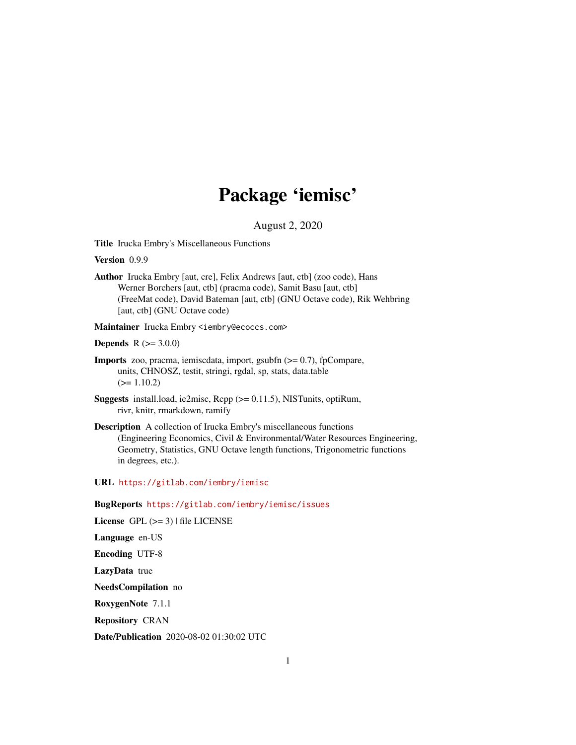# Package 'iemisc'

August 2, 2020

<span id="page-0-0"></span>Title Irucka Embry's Miscellaneous Functions

Version 0.9.9

Author Irucka Embry [aut, cre], Felix Andrews [aut, ctb] (zoo code), Hans Werner Borchers [aut, ctb] (pracma code), Samit Basu [aut, ctb] (FreeMat code), David Bateman [aut, ctb] (GNU Octave code), Rik Wehbring [aut, ctb] (GNU Octave code)

Maintainer Irucka Embry <iembry@ecoccs.com>

**Depends**  $R (= 3.0.0)$ 

- Imports zoo, pracma, iemiscdata, import, gsubfn (>= 0.7), fpCompare, units, CHNOSZ, testit, stringi, rgdal, sp, stats, data.table  $(>= 1.10.2)$
- Suggests install.load, ie2misc, Rcpp (>= 0.11.5), NISTunits, optiRum, rivr, knitr, rmarkdown, ramify
- Description A collection of Irucka Embry's miscellaneous functions (Engineering Economics, Civil & Environmental/Water Resources Engineering, Geometry, Statistics, GNU Octave length functions, Trigonometric functions in degrees, etc.).

URL <https://gitlab.com/iembry/iemisc>

BugReports <https://gitlab.com/iembry/iemisc/issues>

License GPL  $(>= 3)$  | file LICENSE

Language en-US

Encoding UTF-8

LazyData true

NeedsCompilation no

RoxygenNote 7.1.1

Repository CRAN

Date/Publication 2020-08-02 01:30:02 UTC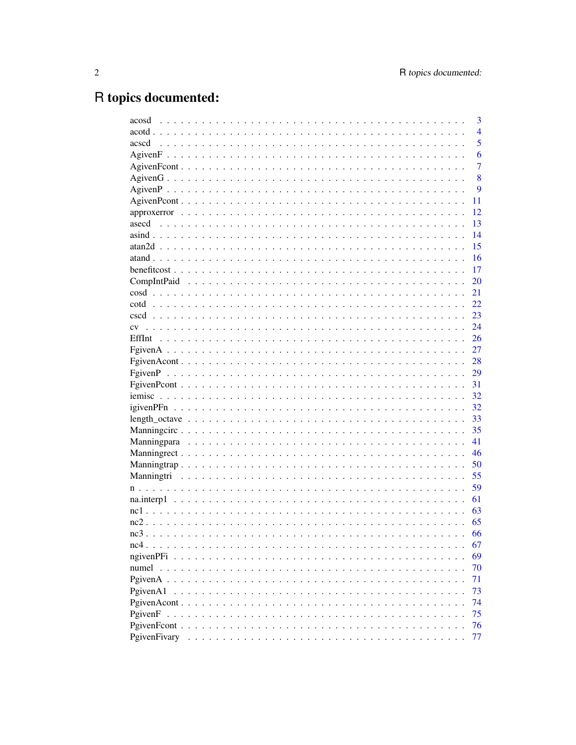# R topics documented:

| acosd                                                                          | 3              |
|--------------------------------------------------------------------------------|----------------|
|                                                                                | $\overline{4}$ |
| acscd                                                                          | $\overline{5}$ |
|                                                                                | 6              |
|                                                                                | 7              |
|                                                                                | 8              |
|                                                                                | 9              |
|                                                                                | 11             |
|                                                                                | 12             |
|                                                                                | 13             |
|                                                                                | 14             |
|                                                                                | 15             |
|                                                                                | 16             |
|                                                                                | 17             |
|                                                                                | 20             |
|                                                                                | 21             |
|                                                                                | 22             |
|                                                                                | 23             |
| CV                                                                             | 24             |
|                                                                                | 26             |
|                                                                                | 27             |
|                                                                                | 28             |
|                                                                                |                |
|                                                                                | 29             |
|                                                                                | 31             |
|                                                                                | 32             |
|                                                                                | 32             |
|                                                                                | 33             |
|                                                                                | 35             |
|                                                                                | 41             |
|                                                                                | 46             |
|                                                                                | 50             |
|                                                                                | 55             |
|                                                                                | 59             |
|                                                                                | 61             |
|                                                                                | 63             |
|                                                                                | 65             |
|                                                                                | 66             |
|                                                                                | 67             |
| $n$ given $PFi$<br>.<br>$\ddot{\phantom{0}}$                                   | 69             |
| numel<br>$\mathbf{L}$ and $\mathbf{L}$ and $\mathbf{L}$<br>$\sim$<br>$\ddotsc$ | 70             |
| PgivenA                                                                        | 71             |
| PgivenA1                                                                       | 73             |
|                                                                                | 74             |
| PgivenF<br>$\sim$ $\sim$ $\sim$ $\sim$                                         | 75             |
| PgivenFcont                                                                    | 76             |
| PgivenFivary                                                                   | 77             |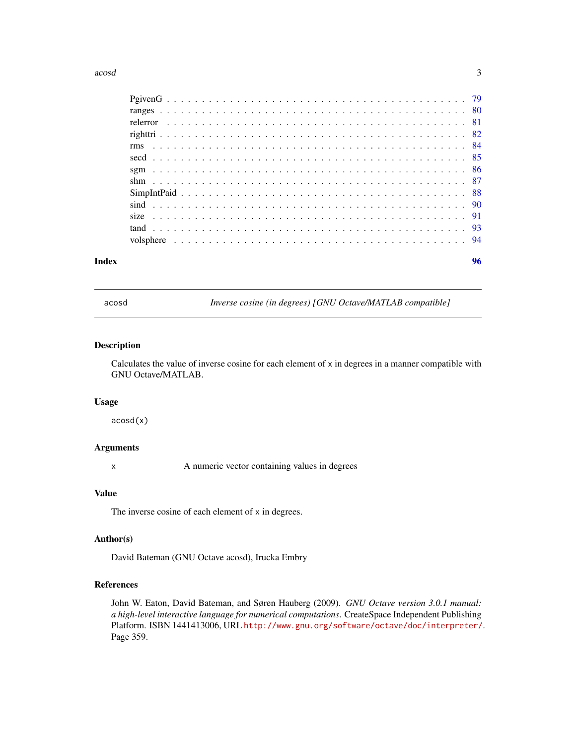#### <span id="page-2-0"></span> $\alpha$ cosd  $\beta$

| Index | 96 |
|-------|----|

acosd *Inverse cosine (in degrees) [GNU Octave/MATLAB compatible]*

#### Description

Calculates the value of inverse cosine for each element of x in degrees in a manner compatible with GNU Octave/MATLAB.

#### Usage

acosd(x)

# Arguments

x A numeric vector containing values in degrees

# Value

The inverse cosine of each element of x in degrees.

# Author(s)

David Bateman (GNU Octave acosd), Irucka Embry

# References

John W. Eaton, David Bateman, and Søren Hauberg (2009). *GNU Octave version 3.0.1 manual: a high-level interactive language for numerical computations*. CreateSpace Independent Publishing Platform. ISBN 1441413006, URL <http://www.gnu.org/software/octave/doc/interpreter/>. Page 359.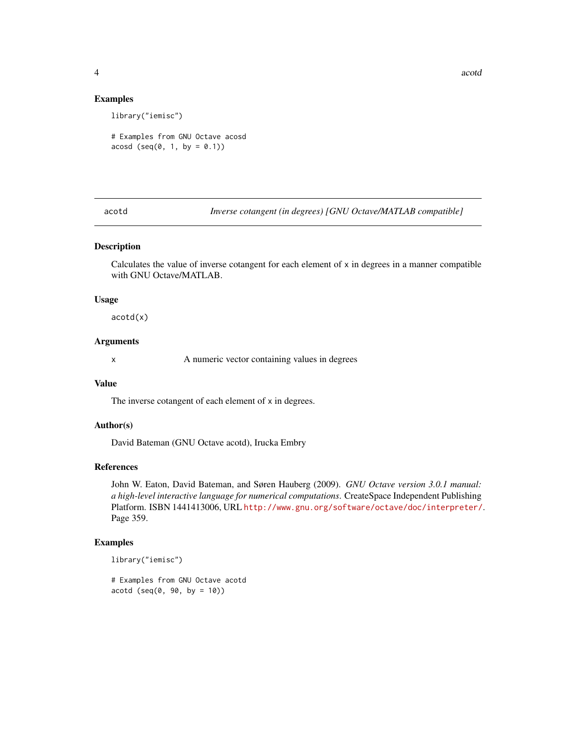4 acord and 2 acord and 2 acord and 2 acord and 2 acord acord acord acord acord acord acord acord acord acord acord acord acord acord acord acord acord acord acord acord acord acord acord acord acord acord acord acord acor

#### Examples

library("iemisc")

# Examples from GNU Octave acosd  $acosd (seq(0, 1, by = 0.1))$ 

acotd *Inverse cotangent (in degrees) [GNU Octave/MATLAB compatible]*

#### Description

Calculates the value of inverse cotangent for each element of  $x$  in degrees in a manner compatible with GNU Octave/MATLAB.

#### Usage

acotd(x)

# Arguments

x A numeric vector containing values in degrees

# Value

The inverse cotangent of each element of x in degrees.

# Author(s)

David Bateman (GNU Octave acotd), Irucka Embry

#### References

John W. Eaton, David Bateman, and Søren Hauberg (2009). *GNU Octave version 3.0.1 manual: a high-level interactive language for numerical computations*. CreateSpace Independent Publishing Platform. ISBN 1441413006, URL <http://www.gnu.org/software/octave/doc/interpreter/>. Page 359.

# Examples

library("iemisc")

# Examples from GNU Octave acotd  $acotd (seq(0, 90, by = 10))$ 

<span id="page-3-0"></span>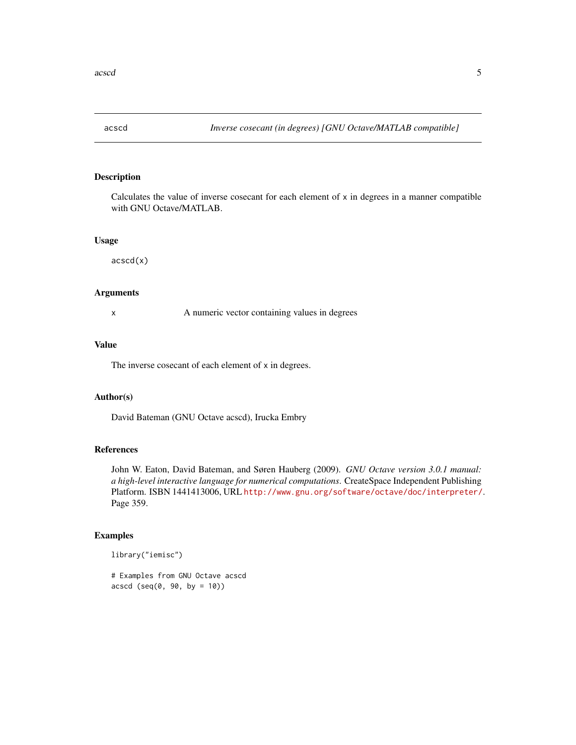<span id="page-4-0"></span>

Calculates the value of inverse cosecant for each element of x in degrees in a manner compatible with GNU Octave/MATLAB.

#### Usage

acscd(x)

# Arguments

x A numeric vector containing values in degrees

# Value

The inverse cosecant of each element of x in degrees.

#### Author(s)

David Bateman (GNU Octave acscd), Irucka Embry

# References

John W. Eaton, David Bateman, and Søren Hauberg (2009). *GNU Octave version 3.0.1 manual: a high-level interactive language for numerical computations*. CreateSpace Independent Publishing Platform. ISBN 1441413006, URL <http://www.gnu.org/software/octave/doc/interpreter/>. Page 359.

# Examples

library("iemisc")

# Examples from GNU Octave acscd  $accdd (seq(0, 90, by = 10))$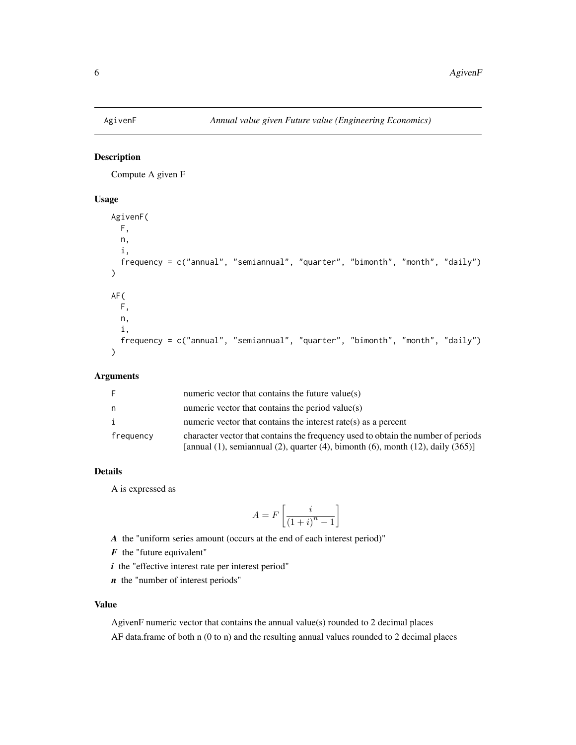<span id="page-5-0"></span>

Compute A given F

#### Usage

```
AgivenF(
  F,
  n,
  i,
  frequency = c("annual", "semiannual", "quarter", "bimonth", "month", "daily")
\mathcal{L}AF(
  F,
  n,
  i,
  frequency = c("annual", "semiannual", "quarter", "bimonth", "month", "daily")
\mathcal{L}
```
# Arguments

| -F        | numeric vector that contains the future value( $s$ )                                                                                                                                   |
|-----------|----------------------------------------------------------------------------------------------------------------------------------------------------------------------------------------|
| n.        | numeric vector that contains the period value(s)                                                                                                                                       |
| i         | numeric vector that contains the interest rate( $s$ ) as a percent                                                                                                                     |
| frequency | character vector that contains the frequency used to obtain the number of periods<br>[annual $(1)$ , semiannual $(2)$ , quarter $(4)$ , bimonth $(6)$ , month $(12)$ , daily $(365)$ ] |

# Details

A is expressed as

$$
A = F\left[\frac{i}{\left(1+i\right)^n - 1}\right]
$$

*A* the "uniform series amount (occurs at the end of each interest period)"

- *F* the "future equivalent"
- *i* the "effective interest rate per interest period"
- *n* the "number of interest periods"

# Value

AgivenF numeric vector that contains the annual value(s) rounded to 2 decimal places AF data.frame of both n (0 to n) and the resulting annual values rounded to 2 decimal places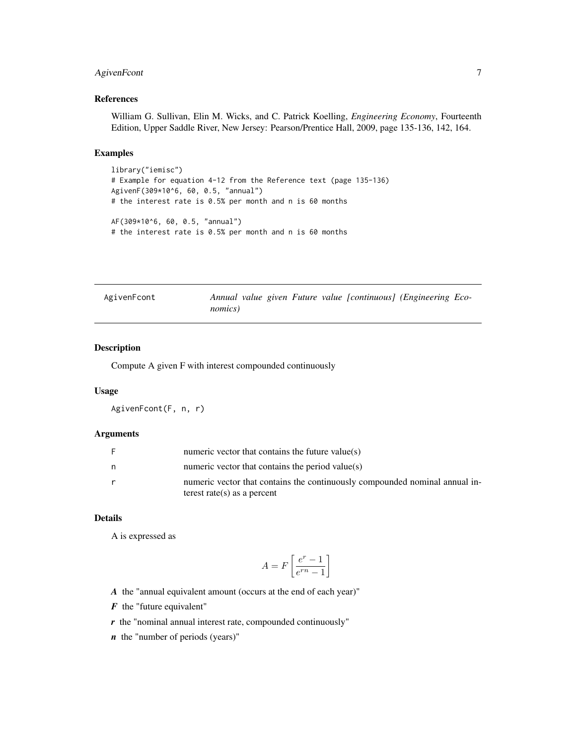# <span id="page-6-0"></span>AgivenFcont 7

# References

William G. Sullivan, Elin M. Wicks, and C. Patrick Koelling, *Engineering Economy*, Fourteenth Edition, Upper Saddle River, New Jersey: Pearson/Prentice Hall, 2009, page 135-136, 142, 164.

#### Examples

```
library("iemisc")
# Example for equation 4-12 from the Reference text (page 135-136)
AgivenF(309*10^6, 60, 0.5, "annual")
# the interest rate is 0.5% per month and n is 60 months
AF(309*10^6, 60, 0.5, "annual")
# the interest rate is 0.5% per month and n is 60 months
```

| AgivenFcont | Annual value given Future value [continuous] (Engineering Eco- |  |  |  |
|-------------|----------------------------------------------------------------|--|--|--|
|             | nomics)                                                        |  |  |  |

# Description

Compute A given F with interest compounded continuously

#### Usage

AgivenFcont(F, n, r)

#### Arguments

|   | numeric vector that contains the future value( $s$ )                        |
|---|-----------------------------------------------------------------------------|
| n | numeric vector that contains the period value(s)                            |
|   | numeric vector that contains the continuously compounded nominal annual in- |
|   | terest rate(s) as a percent                                                 |

# Details

A is expressed as

$$
A = F\left[\frac{e^r - 1}{e^{rn} - 1}\right]
$$

*A* the "annual equivalent amount (occurs at the end of each year)"

- *F* the "future equivalent"
- *r* the "nominal annual interest rate, compounded continuously"

*n* the "number of periods (years)"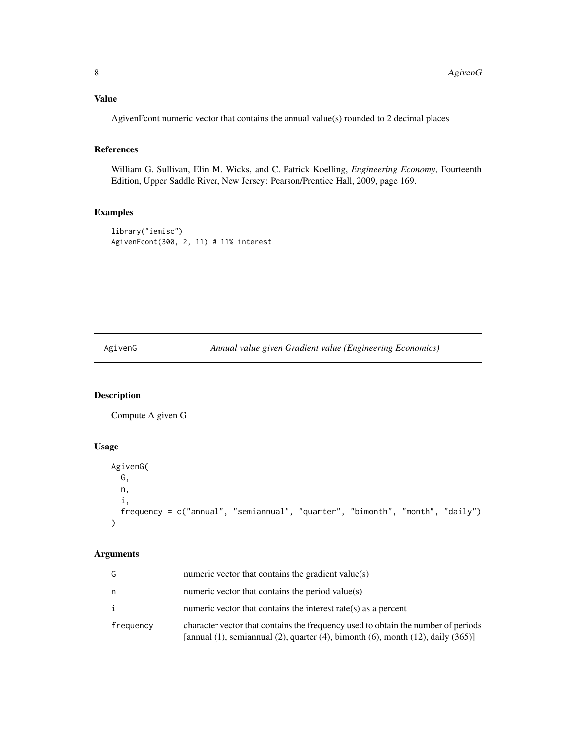# <span id="page-7-0"></span>Value

AgivenFcont numeric vector that contains the annual value(s) rounded to 2 decimal places

# References

William G. Sullivan, Elin M. Wicks, and C. Patrick Koelling, *Engineering Economy*, Fourteenth Edition, Upper Saddle River, New Jersey: Pearson/Prentice Hall, 2009, page 169.

# Examples

```
library("iemisc")
AgivenFcont(300, 2, 11) # 11% interest
```
AgivenG *Annual value given Gradient value (Engineering Economics)*

# Description

Compute A given G

# Usage

```
AgivenG(
 G,
 n,
  i,
 frequency = c("annual", "semiannual", "quarter", "bimonth", "month", "daily")
)
```
# Arguments

| G         | numeric vector that contains the gradient value(s)                                                                                                                      |
|-----------|-------------------------------------------------------------------------------------------------------------------------------------------------------------------------|
| n         | numeric vector that contains the period value $(s)$                                                                                                                     |
|           | numeric vector that contains the interest rate( $s$ ) as a percent                                                                                                      |
| frequency | character vector that contains the frequency used to obtain the number of periods<br>[annual (1), semiannual (2), quarter (4), bimonth (6), month (12), daily $(365)$ ] |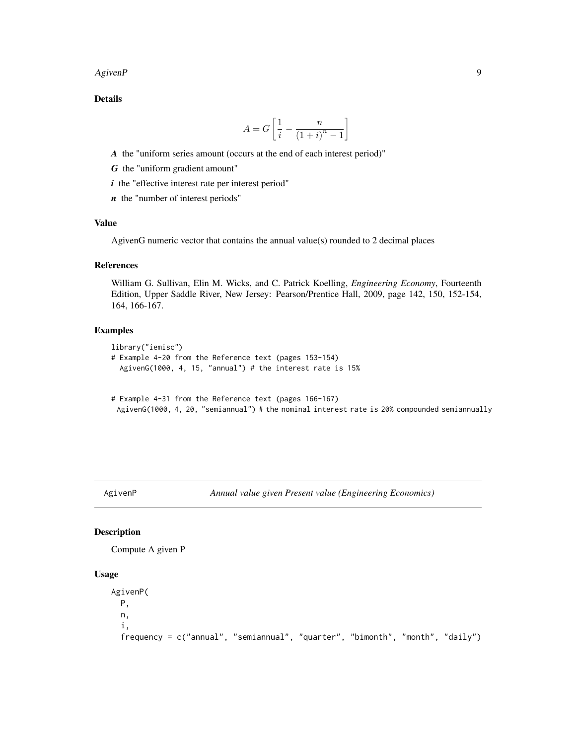<span id="page-8-0"></span> $A$ given $P$  9

Details

$$
A = G\left[\frac{1}{i} - \frac{n}{(1+i)^n - 1}\right]
$$

*A* the "uniform series amount (occurs at the end of each interest period)"

- *G* the "uniform gradient amount"
- *i* the "effective interest rate per interest period"
- *n* the "number of interest periods"

#### Value

AgivenG numeric vector that contains the annual value(s) rounded to 2 decimal places

#### References

William G. Sullivan, Elin M. Wicks, and C. Patrick Koelling, *Engineering Economy*, Fourteenth Edition, Upper Saddle River, New Jersey: Pearson/Prentice Hall, 2009, page 142, 150, 152-154, 164, 166-167.

# Examples

```
library("iemisc")
# Example 4-20 from the Reference text (pages 153-154)
 AgivenG(1000, 4, 15, "annual") # the interest rate is 15%
# Example 4-31 from the Reference text (pages 166-167)
 AgivenG(1000, 4, 20, "semiannual") # the nominal interest rate is 20% compounded semiannually
```
AgivenP *Annual value given Present value (Engineering Economics)*

#### Description

Compute A given P

# Usage

```
AgivenP(
 P,
 n,
  i,
  frequency = c("annual", "semiannual", "quarter", "bimonth", "month", "daily")
```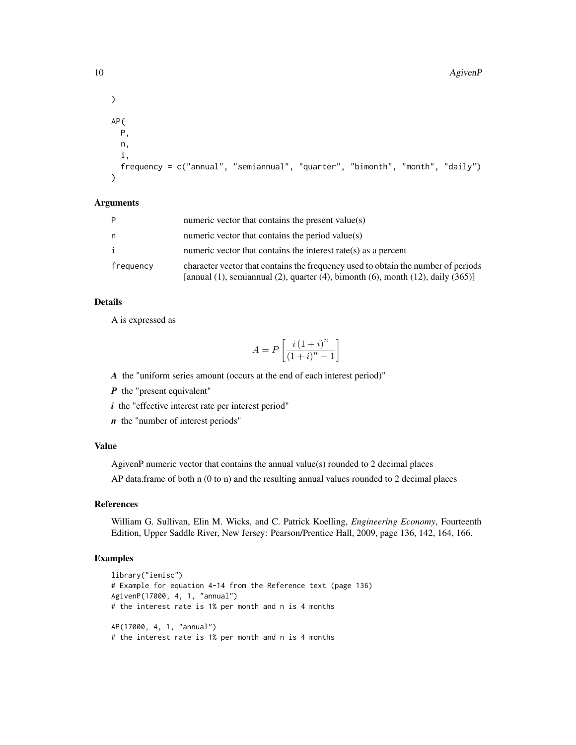#### 10 AgivenP

```
\mathcal{L}AP(
 P,
 n,
  i,
  frequency = c("annual", "semiannual", "quarter", "bimonth", "month", "daily")
)
```
#### Arguments

| P         | numeric vector that contains the present value(s)                                                                                                                                      |
|-----------|----------------------------------------------------------------------------------------------------------------------------------------------------------------------------------------|
| n         | numeric vector that contains the period value( $s$ )                                                                                                                                   |
| i         | numeric vector that contains the interest rate(s) as a percent                                                                                                                         |
| frequency | character vector that contains the frequency used to obtain the number of periods<br>[annual $(1)$ , semiannual $(2)$ , quarter $(4)$ , bimonth $(6)$ , month $(12)$ , daily $(365)$ ] |

#### Details

A is expressed as

$$
A = P\left[\frac{i(1+i)^n}{(1+i)^n - 1}\right]
$$

*A* the "uniform series amount (occurs at the end of each interest period)"

*P* the "present equivalent"

*i* the "effective interest rate per interest period"

*n* the "number of interest periods"

# Value

AgivenP numeric vector that contains the annual value(s) rounded to 2 decimal places

AP data.frame of both n (0 to n) and the resulting annual values rounded to 2 decimal places

#### References

William G. Sullivan, Elin M. Wicks, and C. Patrick Koelling, *Engineering Economy*, Fourteenth Edition, Upper Saddle River, New Jersey: Pearson/Prentice Hall, 2009, page 136, 142, 164, 166.

# Examples

```
library("iemisc")
# Example for equation 4-14 from the Reference text (page 136)
AgivenP(17000, 4, 1, "annual")
# the interest rate is 1% per month and n is 4 months
AP(17000, 4, 1, "annual")
# the interest rate is 1% per month and n is 4 months
```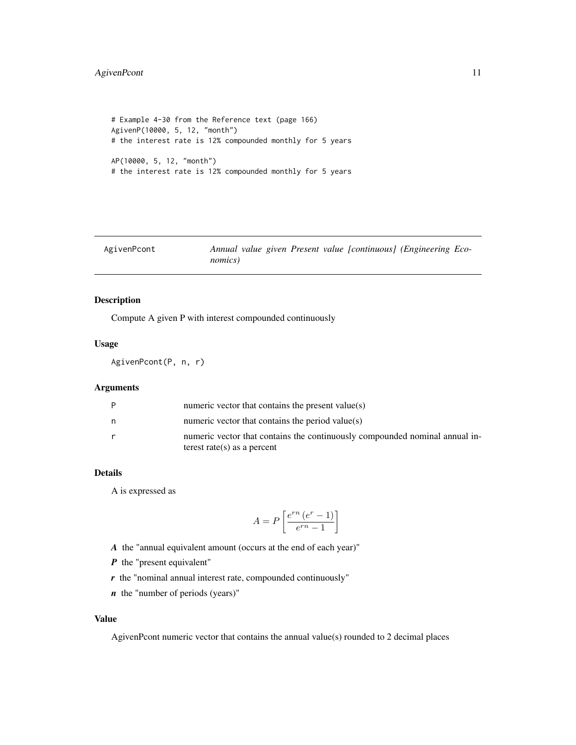# <span id="page-10-0"></span>AgivenPcont 11

```
# Example 4-30 from the Reference text (page 166)
AgivenP(10000, 5, 12, "month")
# the interest rate is 12% compounded monthly for 5 years
AP(10000, 5, 12, "month")
# the interest rate is 12% compounded monthly for 5 years
```

| AgivenPcont |                 |  | Annual value given Present value [continuous] (Engineering Eco- |  |
|-------------|-----------------|--|-----------------------------------------------------------------|--|
|             | <i>nomics</i> ) |  |                                                                 |  |

# Description

Compute A given P with interest compounded continuously

# Usage

AgivenPcont(P, n, r)

# Arguments

| P | numeric vector that contains the present value $(s)$                                                       |
|---|------------------------------------------------------------------------------------------------------------|
| n | numeric vector that contains the period value(s)                                                           |
| r | numeric vector that contains the continuously compounded nominal annual in-<br>terest rate(s) as a percent |

# Details

A is expressed as

$$
A = P\left[\frac{e^{rn} (e^r - 1)}{e^{rn} - 1}\right]
$$

*A* the "annual equivalent amount (occurs at the end of each year)"

- *P* the "present equivalent"
- *r* the "nominal annual interest rate, compounded continuously"
- *n* the "number of periods (years)"

# Value

AgivenPcont numeric vector that contains the annual value(s) rounded to 2 decimal places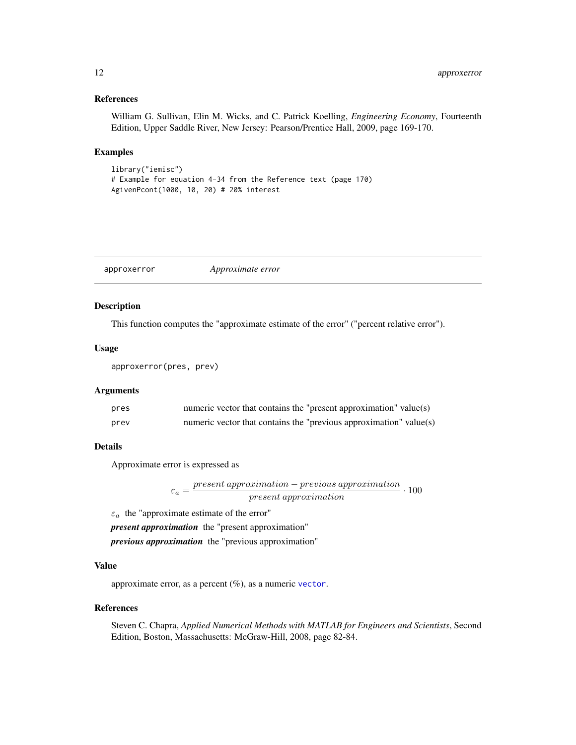#### <span id="page-11-0"></span>References

William G. Sullivan, Elin M. Wicks, and C. Patrick Koelling, *Engineering Economy*, Fourteenth Edition, Upper Saddle River, New Jersey: Pearson/Prentice Hall, 2009, page 169-170.

# Examples

```
library("iemisc")
# Example for equation 4-34 from the Reference text (page 170)
AgivenPcont(1000, 10, 20) # 20% interest
```
<span id="page-11-1"></span>approxerror *Approximate error*

# Description

This function computes the "approximate estimate of the error" ("percent relative error").

#### Usage

```
approxerror(pres, prev)
```
# Arguments

| pres | numeric vector that contains the "present approximation" value(s)  |
|------|--------------------------------------------------------------------|
| prev | numeric vector that contains the "previous approximation" value(s) |

#### Details

Approximate error is expressed as

$$
\varepsilon_a = \frac{present\ approximation - previous\ approximation}{present\ approximation} \cdot 100
$$

 $\varepsilon_a\,$  the "approximate estimate of the error"

*present approximation* the "present approximation"

*previous approximation* the "previous approximation"

#### Value

approximate error, as a percent  $(\%)$ , as a numeric [vector](#page-0-0).

#### References

Steven C. Chapra, *Applied Numerical Methods with MATLAB for Engineers and Scientists*, Second Edition, Boston, Massachusetts: McGraw-Hill, 2008, page 82-84.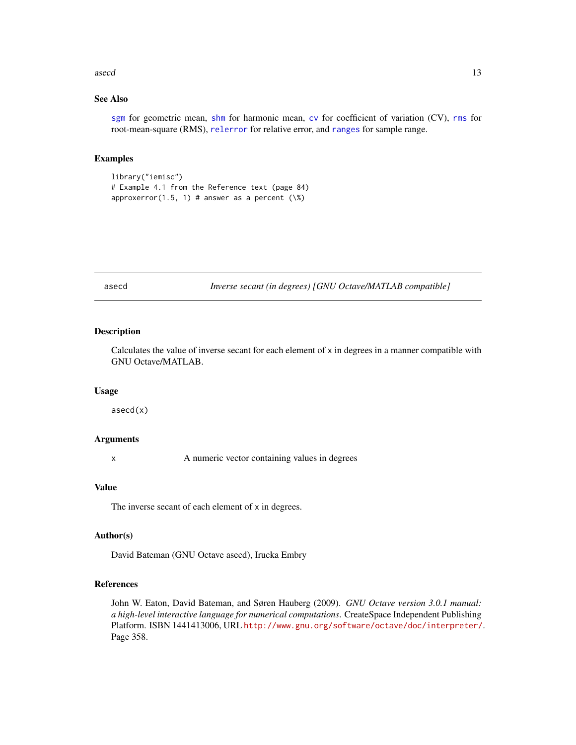#### <span id="page-12-0"></span>asecd 13

# See Also

[sgm](#page-85-1) for geometric mean, [shm](#page-86-1) for harmonic mean, [cv](#page-23-1) for coefficient of variation (CV), [rms](#page-83-1) for root-mean-square (RMS), [relerror](#page-80-1) for relative error, and [ranges](#page-79-1) for sample range.

#### Examples

library("iemisc") # Example 4.1 from the Reference text (page 84) approxerror(1.5, 1) # answer as a percent  $(\aleph)$ 

asecd *Inverse secant (in degrees) [GNU Octave/MATLAB compatible]*

# Description

Calculates the value of inverse secant for each element of  $x$  in degrees in a manner compatible with GNU Octave/MATLAB.

#### Usage

asecd(x)

#### Arguments

x A numeric vector containing values in degrees

# Value

The inverse secant of each element of x in degrees.

#### Author(s)

David Bateman (GNU Octave asecd), Irucka Embry

# References

John W. Eaton, David Bateman, and Søren Hauberg (2009). *GNU Octave version 3.0.1 manual: a high-level interactive language for numerical computations*. CreateSpace Independent Publishing Platform. ISBN 1441413006, URL <http://www.gnu.org/software/octave/doc/interpreter/>. Page 358.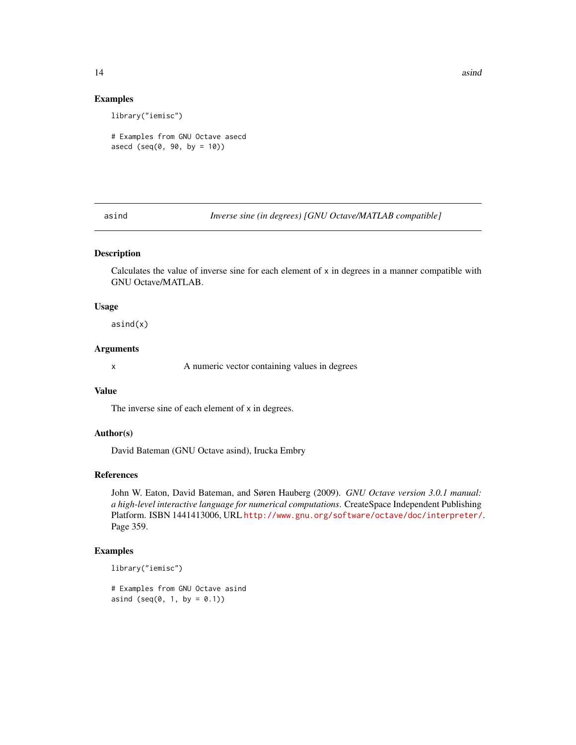14 asind 200 asind 200 asind 200 asind 200 asind 200 asind 200 asind 200 asind 200 asind 200 asind 200 asind 200 asind 200 asind 200 asind 200 asind 200 asind 200 asind 200 asind 200 asind 200 asind 200 asind 200 asind 200

#### Examples

library("iemisc")

# Examples from GNU Octave asecd asecd  $(\text{seq}(0, 90, \text{ by } = 10))$ 

asind *Inverse sine (in degrees) [GNU Octave/MATLAB compatible]*

# Description

Calculates the value of inverse sine for each element of x in degrees in a manner compatible with GNU Octave/MATLAB.

# Usage

asind(x)

# Arguments

x A numeric vector containing values in degrees

# Value

The inverse sine of each element of x in degrees.

# Author(s)

David Bateman (GNU Octave asind), Irucka Embry

#### References

John W. Eaton, David Bateman, and Søren Hauberg (2009). *GNU Octave version 3.0.1 manual: a high-level interactive language for numerical computations*. CreateSpace Independent Publishing Platform. ISBN 1441413006, URL <http://www.gnu.org/software/octave/doc/interpreter/>. Page 359.

# Examples

library("iemisc")

# Examples from GNU Octave asind asind (seq $(0, 1, by = 0.1)$ )

<span id="page-13-0"></span>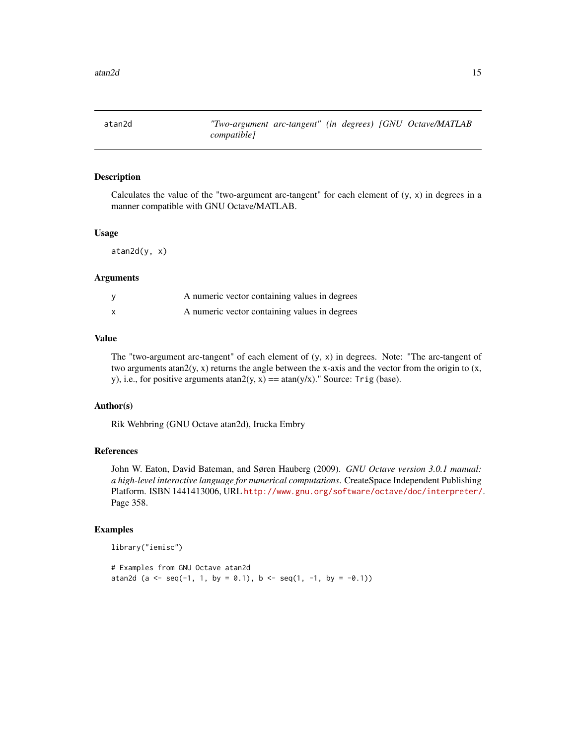<span id="page-14-0"></span>

Calculates the value of the "two-argument arc-tangent" for each element of  $(y, x)$  in degrees in a manner compatible with GNU Octave/MATLAB.

#### Usage

 $atan2d(y, x)$ 

#### Arguments

| A numeric vector containing values in degrees |  |
|-----------------------------------------------|--|
| A numeric vector containing values in degrees |  |

# Value

The "two-argument arc-tangent" of each element of  $(y, x)$  in degrees. Note: "The arc-tangent of two arguments atan $2(y, x)$  returns the angle between the x-axis and the vector from the origin to  $(x,$ y), i.e., for positive arguments atan2(y, x) == atan(y/x)." Source: Trig (base).

#### Author(s)

Rik Wehbring (GNU Octave atan2d), Irucka Embry

#### References

John W. Eaton, David Bateman, and Søren Hauberg (2009). *GNU Octave version 3.0.1 manual: a high-level interactive language for numerical computations*. CreateSpace Independent Publishing Platform. ISBN 1441413006, URL <http://www.gnu.org/software/octave/doc/interpreter/>. Page 358.

#### Examples

library("iemisc")

# Examples from GNU Octave atan2d atan2d (a <- seq(-1, 1, by = 0.1), b <- seq(1, -1, by = -0.1))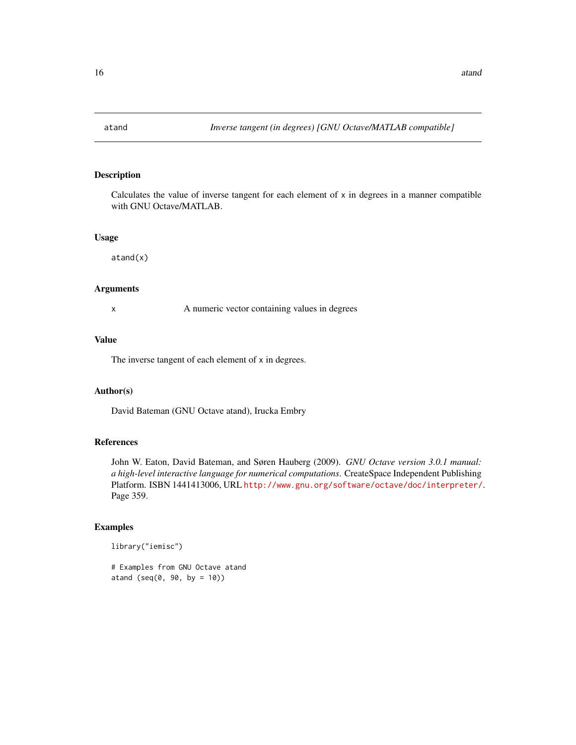<span id="page-15-0"></span>

Calculates the value of inverse tangent for each element of  $x$  in degrees in a manner compatible with GNU Octave/MATLAB.

# Usage

atand(x)

# Arguments

x A numeric vector containing values in degrees

#### Value

The inverse tangent of each element of x in degrees.

#### Author(s)

David Bateman (GNU Octave atand), Irucka Embry

# References

John W. Eaton, David Bateman, and Søren Hauberg (2009). *GNU Octave version 3.0.1 manual: a high-level interactive language for numerical computations*. CreateSpace Independent Publishing Platform. ISBN 1441413006, URL <http://www.gnu.org/software/octave/doc/interpreter/>. Page 359.

# Examples

```
library("iemisc")
```
# Examples from GNU Octave atand atand ( $seq(0, 90, by = 10)$ )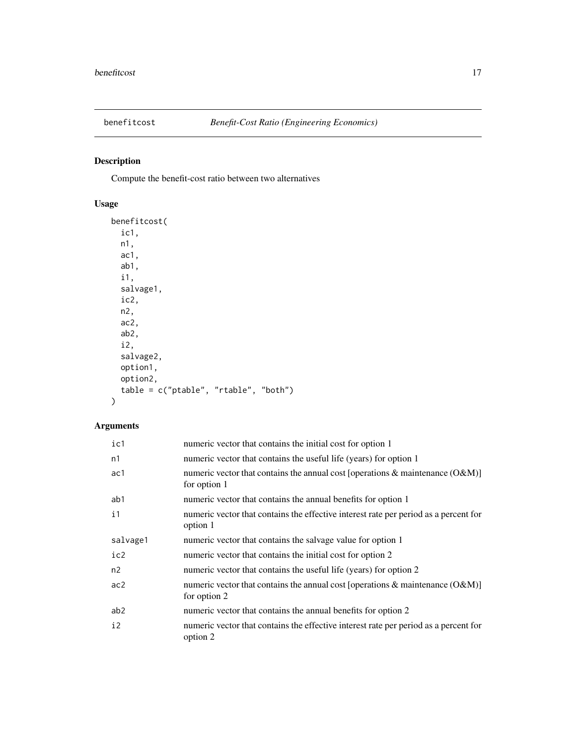<span id="page-16-0"></span>

Compute the benefit-cost ratio between two alternatives

# Usage

```
benefitcost(
  ic1,
 n1,
 ac1,
 ab1,
 i1,
  salvage1,
 ic2,
 n2,
 ac2,
 ab2,
  i2,
  salvage2,
 option1,
 option2,
 table = c("ptable", "rtable", "both")
)
```
# Arguments

| ic1             | numeric vector that contains the initial cost for option 1                                            |
|-----------------|-------------------------------------------------------------------------------------------------------|
| n1              | numeric vector that contains the useful life (years) for option 1                                     |
| ac1             | numeric vector that contains the annual cost [operations & maintenance $(O\&M)$ ]<br>for option 1     |
| ab1             | numeric vector that contains the annual benefits for option 1                                         |
| i1              | numeric vector that contains the effective interest rate per period as a percent for<br>option 1      |
| salvage1        | numeric vector that contains the salvage value for option 1                                           |
| ic2             | numeric vector that contains the initial cost for option 2                                            |
| n2              | numeric vector that contains the useful life (years) for option 2                                     |
| ac2             | numeric vector that contains the annual cost [operations $\&$ maintenance (O $\&$ M)]<br>for option 2 |
| ab <sub>2</sub> | numeric vector that contains the annual benefits for option 2                                         |
| $\frac{1}{2}$   | numeric vector that contains the effective interest rate per period as a percent for<br>option 2      |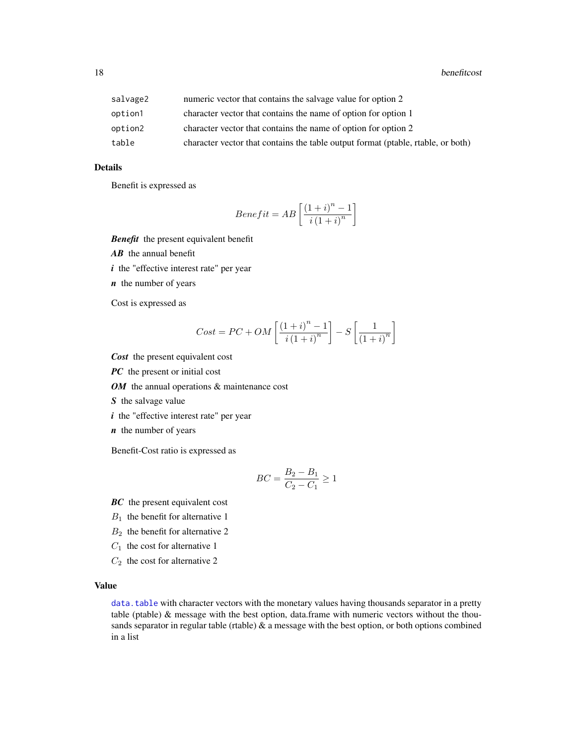| salvage2 | numeric vector that contains the salvage value for option 2                      |
|----------|----------------------------------------------------------------------------------|
| option1  | character vector that contains the name of option for option 1                   |
| option2  | character vector that contains the name of option for option 2                   |
| table    | character vector that contains the table output format (ptable, rtable, or both) |

# Details

Benefit is expressed as

$$
Benefit = AB\left[\frac{\left(1+i\right)^{n}-1}{i\left(1+i\right)^{n}}\right]
$$

*Benefit* the present equivalent benefit

*AB* the annual benefit

*i* the "effective interest rate" per year

*n* the number of years

Cost is expressed as

$$
Cost = PC + OM\left[\frac{\left(1+i\right)^{n}-1}{i\left(1+i\right)^{n}}\right] - S\left[\frac{1}{\left(1+i\right)^{n}}\right]
$$

*Cost* the present equivalent cost

*PC* the present or initial cost

*OM* the annual operations & maintenance cost

*S* the salvage value

*i* the "effective interest rate" per year

*n* the number of years

Benefit-Cost ratio is expressed as

$$
BC = \frac{B_2 - B_1}{C_2 - C_1} \ge 1
$$

*BC* the present equivalent cost

- $B_1$  the benefit for alternative 1
- $B_2$  the benefit for alternative 2
- $C_1$  the cost for alternative 1
- $C_2$  the cost for alternative 2

#### Value

[data.table](#page-0-0) with character vectors with the monetary values having thousands separator in a pretty table (ptable) & message with the best option, data.frame with numeric vectors without the thousands separator in regular table (rtable)  $\&$  a message with the best option, or both options combined in a list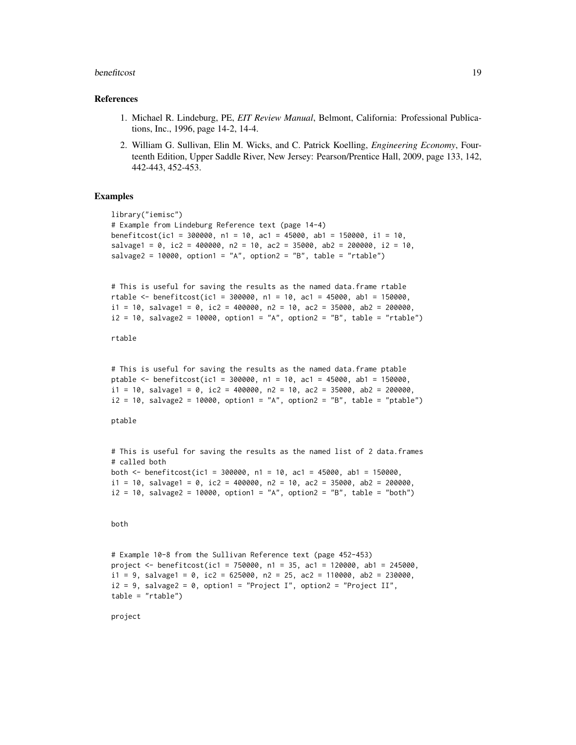#### benefitcost and the set of the set of the set of the set of the set of the set of the set of the set of the set of the set of the set of the set of the set of the set of the set of the set of the set of the set of the set

#### References

- 1. Michael R. Lindeburg, PE, *EIT Review Manual*, Belmont, California: Professional Publications, Inc., 1996, page 14-2, 14-4.
- 2. William G. Sullivan, Elin M. Wicks, and C. Patrick Koelling, *Engineering Economy*, Fourteenth Edition, Upper Saddle River, New Jersey: Pearson/Prentice Hall, 2009, page 133, 142, 442-443, 452-453.

#### Examples

```
library("iemisc")
# Example from Lindeburg Reference text (page 14-4)
benefitcost(ic1 = 300000, n1 = 10, ac1 = 45000, ab1 = 150000, i1 = 10,
salvage1 = \theta, ic2 = 400000, n2 = 10, ac2 = 35000, ab2 = 200000, i2 = 10,
salvage2 = 10000, option1 = "A", option2 = "B", table = "rtable")
# This is useful for saving the results as the named data.frame rtable
rtable <- benefitcost(ic1 = 300000, n1 = 10, ac1 = 45000, ab1 = 150000,
i1 = 10, salvage1 = 0, ic2 = 400000, n2 = 10, ac2 = 35000, ab2 = 200000,
i2 = 10, salvage2 = 10000, option1 = "A", option2 = "B", table = "rtable")
rtable
# This is useful for saving the results as the named data.frame ptable
ptable <- benefitcost(ic1 = 300000, n1 = 10, ac1 = 45000, ab1 = 150000,
i1 = 10, salvage1 = 0, ic2 = 400000, n2 = 10, ac2 = 35000, ab2 = 200000,
i2 = 10, salvage2 = 10000, option1 = "A", option2 = "B", table = "ptable")
```
ptable

```
# This is useful for saving the results as the named list of 2 data.frames
# called both
both \le benefitcost(ic1 = 300000, n1 = 10, ac1 = 45000, ab1 = 150000,
i1 = 10, salvage1 = 0, ic2 = 400000, n2 = 10, ac2 = 35000, ab2 = 200000,
i2 = 10, salvage2 = 10000, option1 = "A", option2 = "B", table = "both")
```
#### both

```
# Example 10-8 from the Sullivan Reference text (page 452-453)
project <- benefitcost(ic1 = 750000, n1 = 35, ac1 = 120000, ab1 = 245000,
i1 = 9, salvage1 = 0, ic2 = 625000, n2 = 25, ac2 = 110000, ab2 = 230000,
i2 = 9, salvage2 = 0, option1 = "Project I", option2 = "Project II",
table = "rtable")
```
project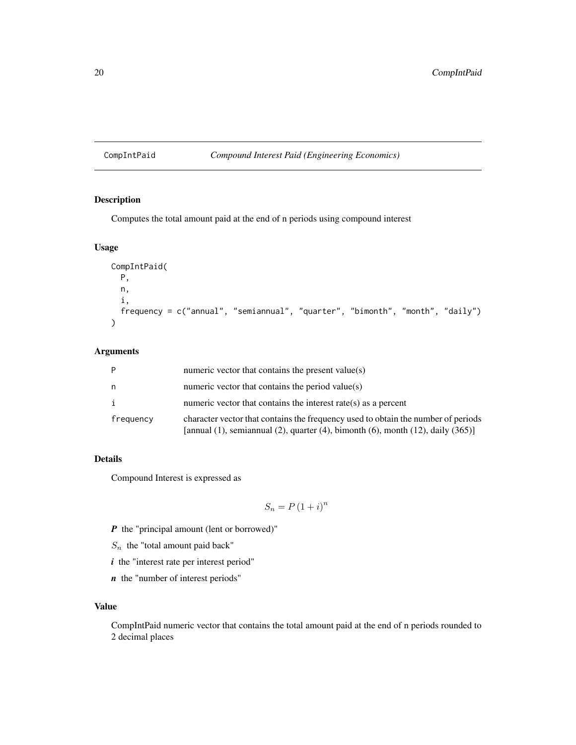# <span id="page-19-0"></span>CompIntPaid *Compound Interest Paid (Engineering Economics)*

# Description

Computes the total amount paid at the end of n periods using compound interest

# Usage

```
CompIntPaid(
  P,
  n,
  i,
  frequency = c("annual", "semiannual", "quarter", "bimonth", "month", "daily")
\mathcal{L}
```
# Arguments

| P         | numeric vector that contains the present value(s)                                                                                                                                      |
|-----------|----------------------------------------------------------------------------------------------------------------------------------------------------------------------------------------|
| n         | numeric vector that contains the period value(s)                                                                                                                                       |
| i         | numeric vector that contains the interest rate(s) as a percent                                                                                                                         |
| frequency | character vector that contains the frequency used to obtain the number of periods<br>[annual $(1)$ , semiannual $(2)$ , quarter $(4)$ , bimonth $(6)$ , month $(12)$ , daily $(365)$ ] |

# Details

Compound Interest is expressed as

$$
S_n = P\left(1+i\right)^n
$$

- *P* the "principal amount (lent or borrowed)"
- $S_n$  the "total amount paid back"
- *i* the "interest rate per interest period"
- *n* the "number of interest periods"

### Value

CompIntPaid numeric vector that contains the total amount paid at the end of n periods rounded to 2 decimal places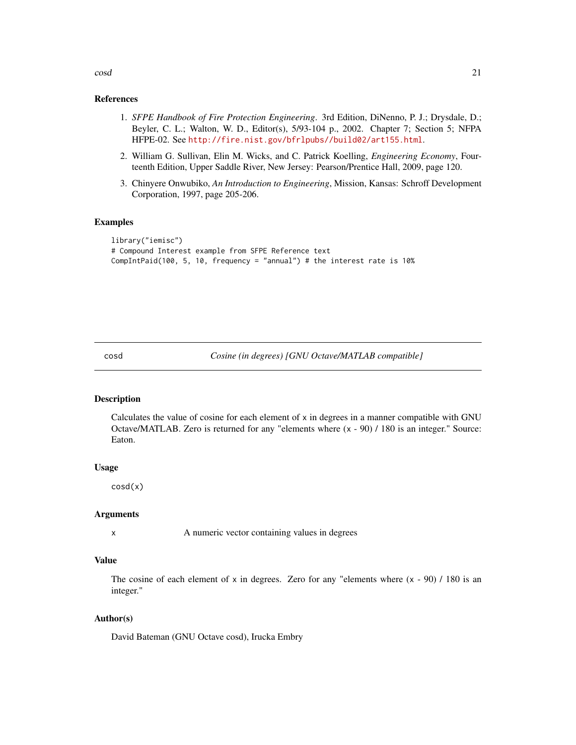<span id="page-20-0"></span>cosd 21

#### References

- 1. *SFPE Handbook of Fire Protection Engineering*. 3rd Edition, DiNenno, P. J.; Drysdale, D.; Beyler, C. L.; Walton, W. D., Editor(s), 5/93-104 p., 2002. Chapter 7; Section 5; NFPA HFPE-02. See <http://fire.nist.gov/bfrlpubs//build02/art155.html>.
- 2. William G. Sullivan, Elin M. Wicks, and C. Patrick Koelling, *Engineering Economy*, Fourteenth Edition, Upper Saddle River, New Jersey: Pearson/Prentice Hall, 2009, page 120.
- 3. Chinyere Onwubiko, *An Introduction to Engineering*, Mission, Kansas: Schroff Development Corporation, 1997, page 205-206.

#### Examples

```
library("iemisc")
# Compound Interest example from SFPE Reference text
CompIntPaid(100, 5, 10, frequency = "annual") # the interest rate is 10%
```
cosd *Cosine (in degrees) [GNU Octave/MATLAB compatible]*

#### Description

Calculates the value of cosine for each element of x in degrees in a manner compatible with GNU Octave/MATLAB. Zero is returned for any "elements where (x - 90) / 180 is an integer." Source: Eaton.

#### Usage

cosd(x)

#### Arguments

x A numeric vector containing values in degrees

# Value

The cosine of each element of x in degrees. Zero for any "elements where  $(x - 90) / 180$  is an integer."

#### Author(s)

David Bateman (GNU Octave cosd), Irucka Embry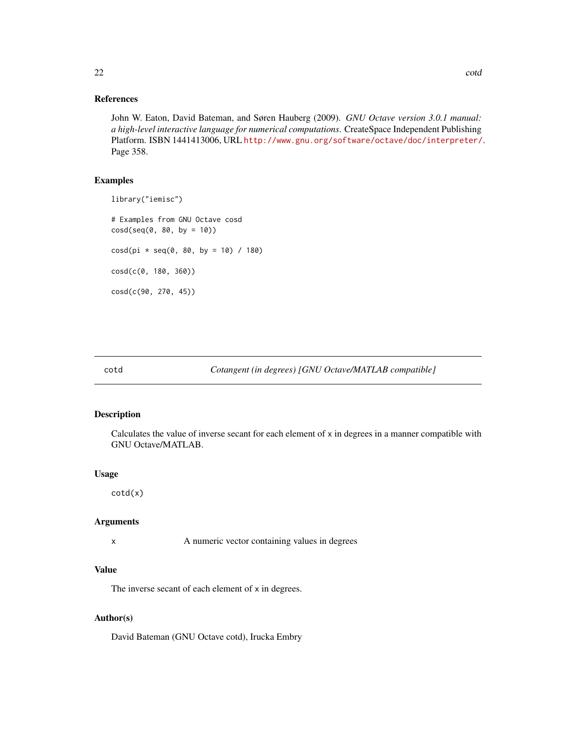# References

John W. Eaton, David Bateman, and Søren Hauberg (2009). *GNU Octave version 3.0.1 manual: a high-level interactive language for numerical computations*. CreateSpace Independent Publishing Platform. ISBN 1441413006, URL <http://www.gnu.org/software/octave/doc/interpreter/>. Page 358.

#### Examples

library("iemisc") # Examples from GNU Octave cosd  $\cos d(\sec(\theta, 80, by = 10))$  $\cosh(\pi x) * \sin(\theta, 80, \text{ by } = 10) / 180$ cosd(c(0, 180, 360)) cosd(c(90, 270, 45))

# cotd *Cotangent (in degrees) [GNU Octave/MATLAB compatible]*

# Description

Calculates the value of inverse secant for each element of x in degrees in a manner compatible with GNU Octave/MATLAB.

#### Usage

cotd(x)

# Arguments

x A numeric vector containing values in degrees

# Value

The inverse secant of each element of x in degrees.

#### Author(s)

David Bateman (GNU Octave cotd), Irucka Embry

<span id="page-21-0"></span>22 cotd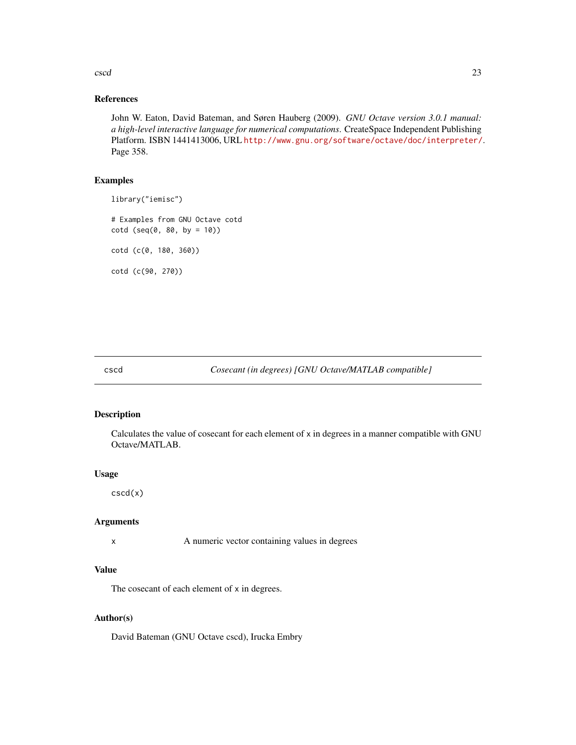<span id="page-22-0"></span>cscd 23

# References

John W. Eaton, David Bateman, and Søren Hauberg (2009). *GNU Octave version 3.0.1 manual: a high-level interactive language for numerical computations*. CreateSpace Independent Publishing Platform. ISBN 1441413006, URL <http://www.gnu.org/software/octave/doc/interpreter/>. Page 358.

# Examples

```
library("iemisc")
```
# Examples from GNU Octave cotd  $\cot d$  ( $\sec(\theta, 80, by = 10)$ ) cotd (c(0, 180, 360)) cotd (c(90, 270))

# cscd *Cosecant (in degrees) [GNU Octave/MATLAB compatible]*

# Description

Calculates the value of cosecant for each element of x in degrees in a manner compatible with GNU Octave/MATLAB.

#### Usage

cscd(x)

# Arguments

x A numeric vector containing values in degrees

# Value

The cosecant of each element of x in degrees.

#### Author(s)

David Bateman (GNU Octave cscd), Irucka Embry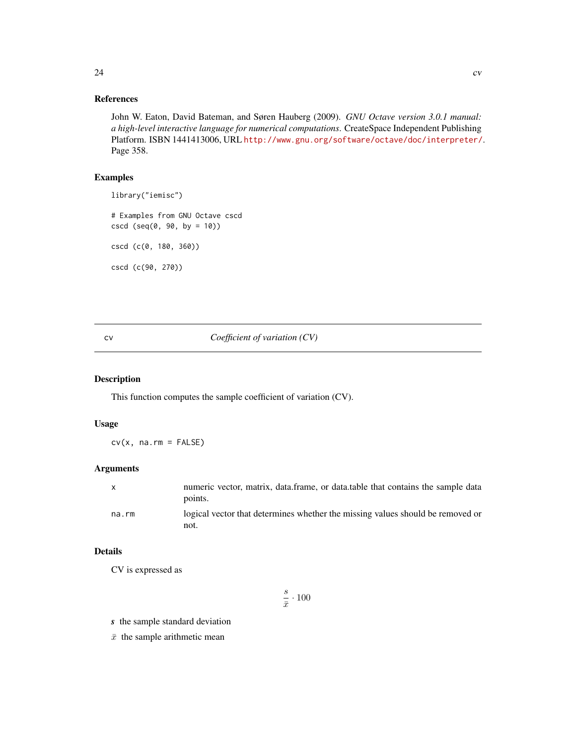# <span id="page-23-0"></span>References

John W. Eaton, David Bateman, and Søren Hauberg (2009). *GNU Octave version 3.0.1 manual: a high-level interactive language for numerical computations*. CreateSpace Independent Publishing Platform. ISBN 1441413006, URL <http://www.gnu.org/software/octave/doc/interpreter/>. Page 358.

# Examples

```
library("iemisc")
# Examples from GNU Octave cscd
cscd (seq(0, 90, by = 10))
cscd (c(0, 180, 360))
```
cscd (c(90, 270))

#### <span id="page-23-1"></span>cv *Coefficient of variation (CV)*

#### Description

This function computes the sample coefficient of variation (CV).

# Usage

 $cv(x, na.rm = FALSE)$ 

#### Arguments

|       | numeric vector, matrix, data.frame, or data.table that contains the sample data<br>points. |
|-------|--------------------------------------------------------------------------------------------|
| na.rm | logical vector that determines whether the missing values should be removed or<br>not.     |

#### Details

CV is expressed as

$$
\frac{s}{\bar{x}}\cdot 100
$$

*s* the sample standard deviation

 $\bar{x}$  the sample arithmetic mean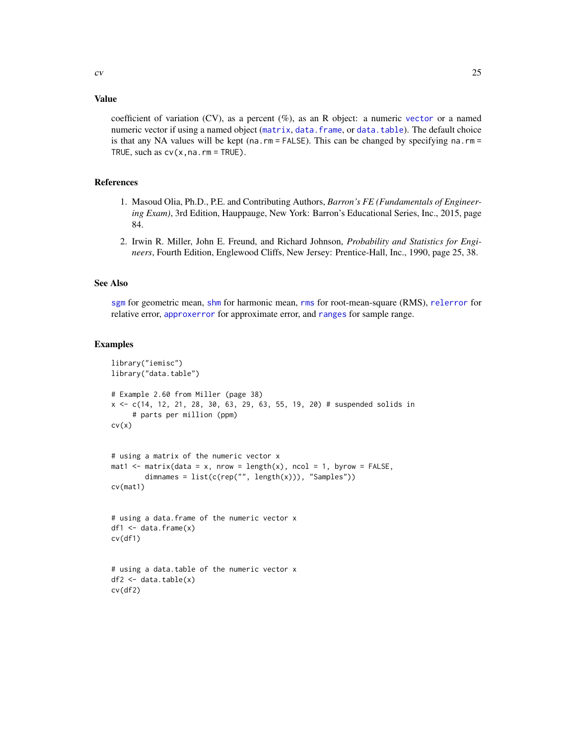# Value

coefficient of variation (CV), as a percent (%), as an R object: a numeric [vector](#page-0-0) or a named numeric vector if using a named object ([matrix](#page-0-0), [data.frame](#page-0-0), or [data.table](#page-0-0)). The default choice is that any NA values will be kept (na.rm = FALSE). This can be changed by specifying na.rm = TRUE, such as  $cv(x,na.rm = TRUE)$ .

# References

- 1. Masoud Olia, Ph.D., P.E. and Contributing Authors, *Barron's FE (Fundamentals of Engineering Exam)*, 3rd Edition, Hauppauge, New York: Barron's Educational Series, Inc., 2015, page 84.
- 2. Irwin R. Miller, John E. Freund, and Richard Johnson, *Probability and Statistics for Engineers*, Fourth Edition, Englewood Cliffs, New Jersey: Prentice-Hall, Inc., 1990, page 25, 38.

#### See Also

[sgm](#page-85-1) for geometric mean, [shm](#page-86-1) for harmonic mean, [rms](#page-83-1) for root-mean-square (RMS), [relerror](#page-80-1) for relative error, [approxerror](#page-11-1) for approximate error, and [ranges](#page-79-1) for sample range.

#### Examples

```
library("iemisc")
library("data.table")
# Example 2.60 from Miller (page 38)
x <- c(14, 12, 21, 28, 30, 63, 29, 63, 55, 19, 20) # suspended solids in
     # parts per million (ppm)
cv(x)# using a matrix of the numeric vector x
mat1 <- matrix(data = x, nrow = length(x), ncol = 1, byrow = FALSE,
        dimnames = list(c(rep("", length(x))), "Samples"))
cv(mat1)
# using a data.frame of the numeric vector x
df1 \leq data.frame(x)cv(df1)
# using a data.table of the numeric vector x
df2 \leq -\text{data.table}(x)cv(df2)
```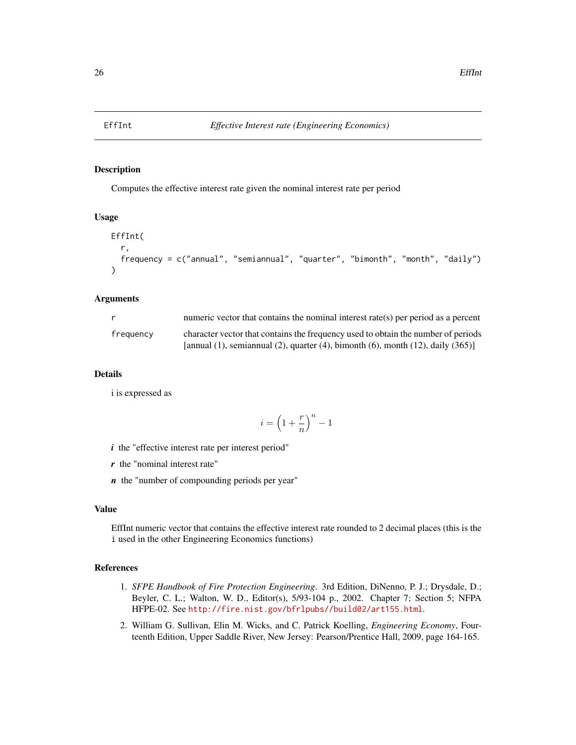<span id="page-25-0"></span>

Computes the effective interest rate given the nominal interest rate per period

# Usage

```
EffInt(
  r,
  frequency = c("annual", "semiannual", "quarter", "bimonth", "month", "daily")
\lambda
```
#### Arguments

| r.        | numeric vector that contains the nominal interest rate(s) per period as a percent                 |
|-----------|---------------------------------------------------------------------------------------------------|
| frequency | character vector that contains the frequency used to obtain the number of periods                 |
|           | [annual $(1)$ , semiannual $(2)$ , quarter $(4)$ , bimonth $(6)$ , month $(12)$ , daily $(365)$ ] |

#### Details

i is expressed as

$$
i=\left(1+\frac{r}{n}\right)^n-1
$$

- *i* the "effective interest rate per interest period"
- *r* the "nominal interest rate"
- *n* the "number of compounding periods per year"

#### Value

EffInt numeric vector that contains the effective interest rate rounded to 2 decimal places (this is the i used in the other Engineering Economics functions)

#### References

- 1. *SFPE Handbook of Fire Protection Engineering*. 3rd Edition, DiNenno, P. J.; Drysdale, D.; Beyler, C. L.; Walton, W. D., Editor(s), 5/93-104 p., 2002. Chapter 7; Section 5; NFPA HFPE-02. See <http://fire.nist.gov/bfrlpubs//build02/art155.html>.
- 2. William G. Sullivan, Elin M. Wicks, and C. Patrick Koelling, *Engineering Economy*, Fourteenth Edition, Upper Saddle River, New Jersey: Pearson/Prentice Hall, 2009, page 164-165.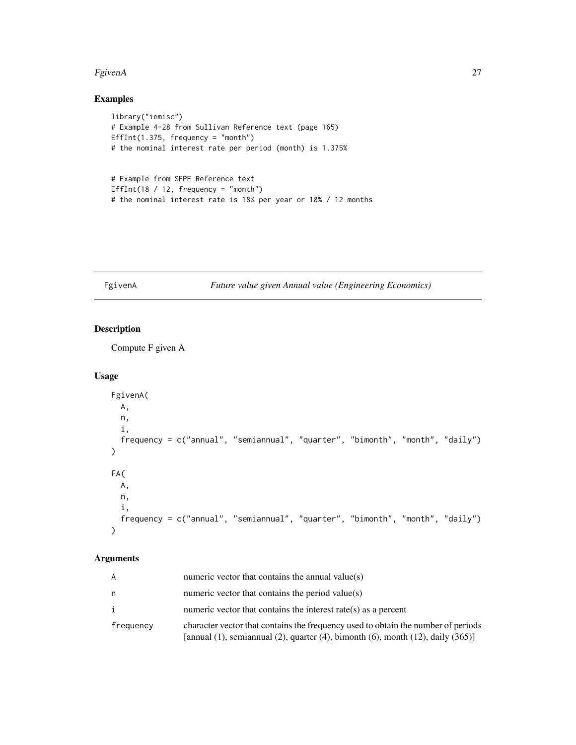#### <span id="page-26-0"></span>FgivenA  $27$

# Examples

```
library("iemisc")
# Example 4-28 from Sullivan Reference text (page 165)
EffInt(1.375, frequency = "month")
# the nominal interest rate per period (month) is 1.375%
# Example from SFPE Reference text
EffInt(18 / 12, frequency = "month")
# the nominal interest rate is 18% per year or 18% / 12 months
```
# FgivenA *Future value given Annual value (Engineering Economics)*

# Description

Compute F given A

# Usage

```
FgivenA(
  A,
  n,
  i,
  frequency = c("annual", "semiannual", "quarter", "bimonth", "month", "daily")
\overline{\phantom{a}}FA(
  A,
  n,
  i,
  frequency = c("annual", "semiannual", "quarter", "bimonth", "month", "daily")
\lambda
```
# Arguments

| A         | numeric vector that contains the annual value(s)                                                                                                                                       |
|-----------|----------------------------------------------------------------------------------------------------------------------------------------------------------------------------------------|
| n         | numeric vector that contains the period value( $s$ )                                                                                                                                   |
|           | numeric vector that contains the interest rate(s) as a percent                                                                                                                         |
| frequency | character vector that contains the frequency used to obtain the number of periods<br>[annual $(1)$ , semiannual $(2)$ , quarter $(4)$ , bimonth $(6)$ , month $(12)$ , daily $(365)$ ] |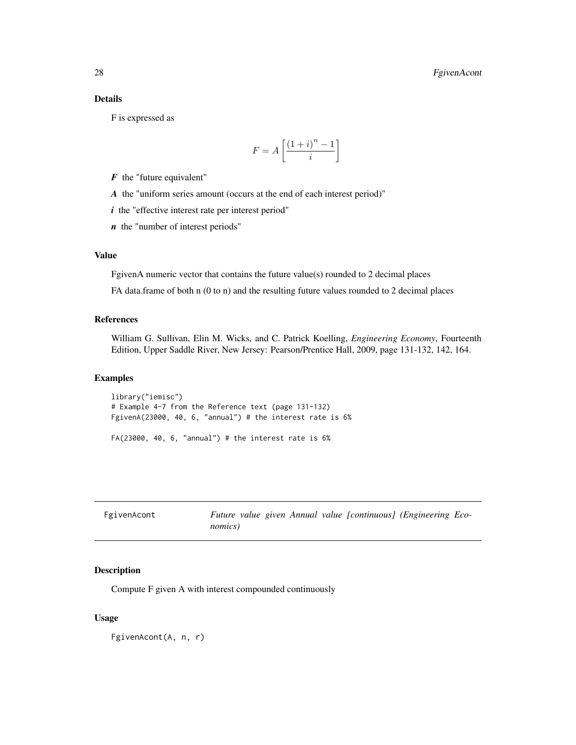#### <span id="page-27-0"></span>Details

F is expressed as

$$
F = A \left[ \frac{\left(1+i\right)^n - 1}{i} \right]
$$

*F* the "future equivalent"

*A* the "uniform series amount (occurs at the end of each interest period)"

*i* the "effective interest rate per interest period"

*n* the "number of interest periods"

#### Value

FgivenA numeric vector that contains the future value(s) rounded to 2 decimal places

FA data.frame of both n (0 to n) and the resulting future values rounded to 2 decimal places

#### References

William G. Sullivan, Elin M. Wicks, and C. Patrick Koelling, *Engineering Economy*, Fourteenth Edition, Upper Saddle River, New Jersey: Pearson/Prentice Hall, 2009, page 131-132, 142, 164.

#### Examples

library("iemisc") # Example 4-7 from the Reference text (page 131-132) FgivenA(23000, 40, 6, "annual") # the interest rate is 6%

 $FA(23000, 40, 6, "annual")$  # the interest rate is  $6%$ 

| FgivenAcont | Future value given Annual value [continuous] (Engineering Eco- |
|-------------|----------------------------------------------------------------|
|             | <i>nomics</i> )                                                |

#### Description

Compute F given A with interest compounded continuously

#### Usage

FgivenAcont(A, n, r)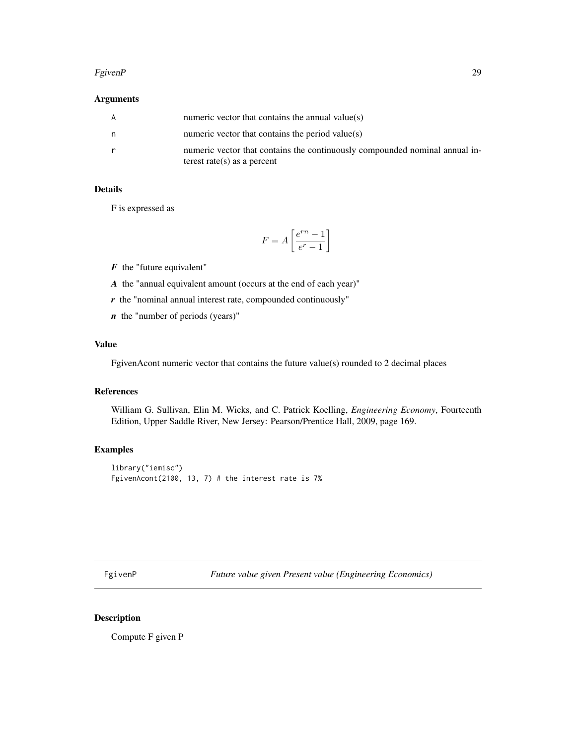#### <span id="page-28-0"></span>FgivenP 29

# Arguments

| A  | numeric vector that contains the annual value $(s)$                                                        |
|----|------------------------------------------------------------------------------------------------------------|
| n. | numeric vector that contains the period value(s)                                                           |
|    | numeric vector that contains the continuously compounded nominal annual in-<br>terest rate(s) as a percent |

# Details

F is expressed as

$$
F = A \left[ \frac{e^{rn} - 1}{e^r - 1} \right]
$$

*F* the "future equivalent"

- *A* the "annual equivalent amount (occurs at the end of each year)"
- *r* the "nominal annual interest rate, compounded continuously"
- *n* the "number of periods (years)"

# Value

FgivenAcont numeric vector that contains the future value(s) rounded to 2 decimal places

# References

William G. Sullivan, Elin M. Wicks, and C. Patrick Koelling, *Engineering Economy*, Fourteenth Edition, Upper Saddle River, New Jersey: Pearson/Prentice Hall, 2009, page 169.

# Examples

```
library("iemisc")
FgivenAcont(2100, 13, 7) # the interest rate is 7%
```
FgivenP *Future value given Present value (Engineering Economics)*

# Description

Compute F given P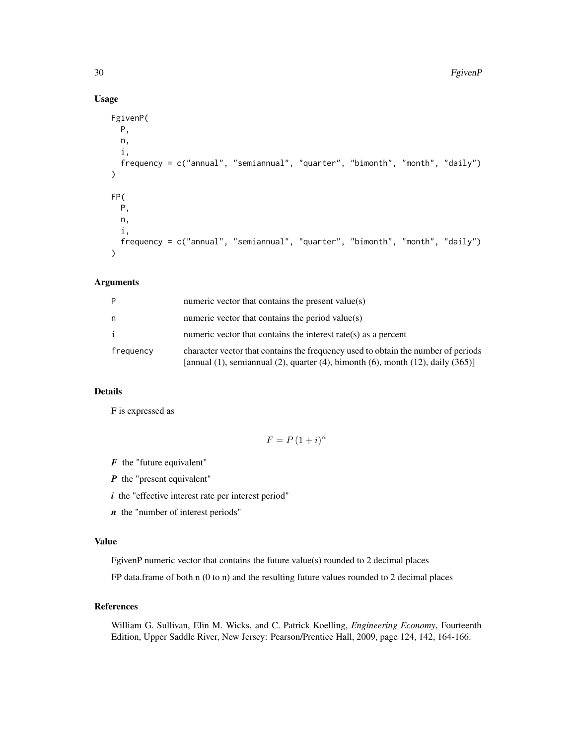# Usage

```
FgivenP(
 P,
 n,
  i,
  frequency = c("annual", "semiannual", "quarter", "bimonth", "month", "daily")
\lambdaFP(
 P,
 n,
  i,
  frequency = c("annual", "semiannual", "quarter", "bimonth", "month", "daily")
)
```
#### Arguments

| P            | numeric vector that contains the present value(s)                                                                                                                                      |
|--------------|----------------------------------------------------------------------------------------------------------------------------------------------------------------------------------------|
| n            | numeric vector that contains the period value( $s$ )                                                                                                                                   |
| $\mathbf{i}$ | numeric vector that contains the interest rate( $s$ ) as a percent                                                                                                                     |
| frequency    | character vector that contains the frequency used to obtain the number of periods<br>[annual $(1)$ , semiannual $(2)$ , quarter $(4)$ , bimonth $(6)$ , month $(12)$ , daily $(365)$ ] |

# Details

F is expressed as

$$
F = P(1+i)^n
$$

*F* the "future equivalent"

*P* the "present equivalent"

*i* the "effective interest rate per interest period"

*n* the "number of interest periods"

#### Value

FgivenP numeric vector that contains the future value(s) rounded to 2 decimal places

FP data.frame of both n (0 to n) and the resulting future values rounded to 2 decimal places

# References

William G. Sullivan, Elin M. Wicks, and C. Patrick Koelling, *Engineering Economy*, Fourteenth Edition, Upper Saddle River, New Jersey: Pearson/Prentice Hall, 2009, page 124, 142, 164-166.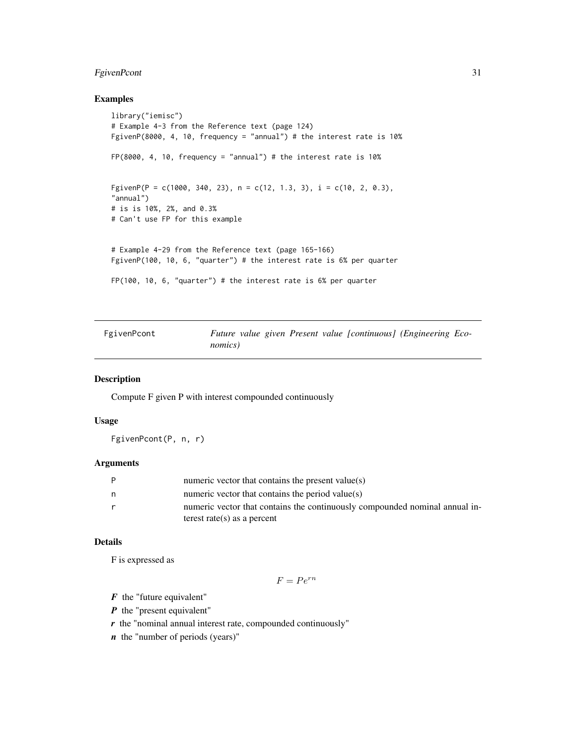# <span id="page-30-0"></span>FgivenPcont 31

#### Examples

```
library("iemisc")
# Example 4-3 from the Reference text (page 124)
FgivenP(8000, 4, 10, frequency = "annual") # the interest rate is 10%
FP(8000, 4, 10, frequency = "annual")# the interest rate is 10%
FgivenP(P = c(1000, 340, 23), n = c(12, 1.3, 3), i = c(10, 2, 0.3),
"annual")
# is is 10%, 2%, and 0.3%
# Can't use FP for this example
# Example 4-29 from the Reference text (page 165-166)
FgivenP(100, 10, 6, "quarter") # the interest rate is 6% per quarter
FP(100, 10, 6, "quarter") # the interest rate is 6% per quarter
```
FgivenPcont *Future value given Present value [continuous] (Engineering Economics)*

#### Description

Compute F given P with interest compounded continuously

# Usage

FgivenPcont(P, n, r)

# Arguments

| P | numeric vector that contains the present value( $s$ )                       |
|---|-----------------------------------------------------------------------------|
| n | numeric vector that contains the period value( $s$ )                        |
| r | numeric vector that contains the continuously compounded nominal annual in- |
|   | terest rate(s) as a percent                                                 |

# Details

F is expressed as

$$
F = Pe^{rn}
$$

*F* the "future equivalent"

*P* the "present equivalent"

*r* the "nominal annual interest rate, compounded continuously"

*n* the "number of periods (years)"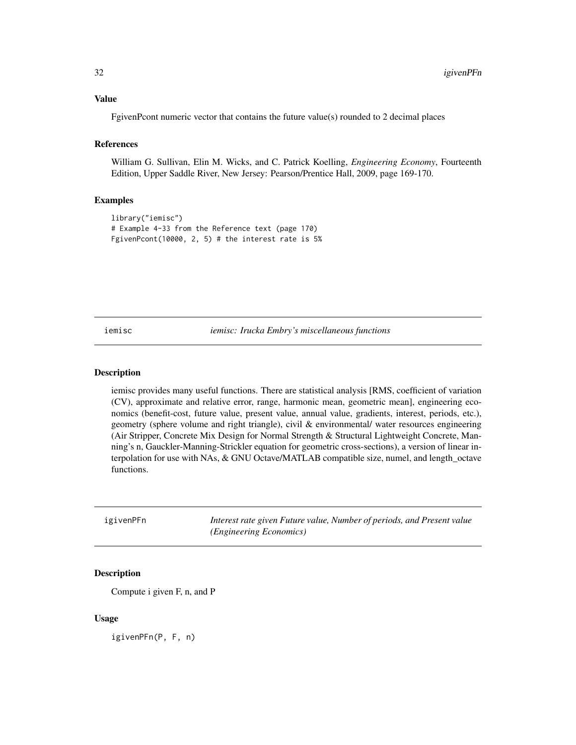# <span id="page-31-0"></span>Value

FgivenPcont numeric vector that contains the future value(s) rounded to 2 decimal places

# References

William G. Sullivan, Elin M. Wicks, and C. Patrick Koelling, *Engineering Economy*, Fourteenth Edition, Upper Saddle River, New Jersey: Pearson/Prentice Hall, 2009, page 169-170.

#### Examples

```
library("iemisc")
# Example 4-33 from the Reference text (page 170)
FgivenPcont(10000, 2, 5) # the interest rate is 5%
```
iemisc *iemisc: Irucka Embry's miscellaneous functions*

#### Description

iemisc provides many useful functions. There are statistical analysis [RMS, coefficient of variation (CV), approximate and relative error, range, harmonic mean, geometric mean], engineering economics (benefit-cost, future value, present value, annual value, gradients, interest, periods, etc.), geometry (sphere volume and right triangle), civil & environmental/ water resources engineering (Air Stripper, Concrete Mix Design for Normal Strength & Structural Lightweight Concrete, Manning's n, Gauckler-Manning-Strickler equation for geometric cross-sections), a version of linear interpolation for use with NAs, & GNU Octave/MATLAB compatible size, numel, and length\_octave functions.

igivenPFn *Interest rate given Future value, Number of periods, and Present value (Engineering Economics)*

# Description

Compute i given F, n, and P

#### Usage

igivenPFn(P, F, n)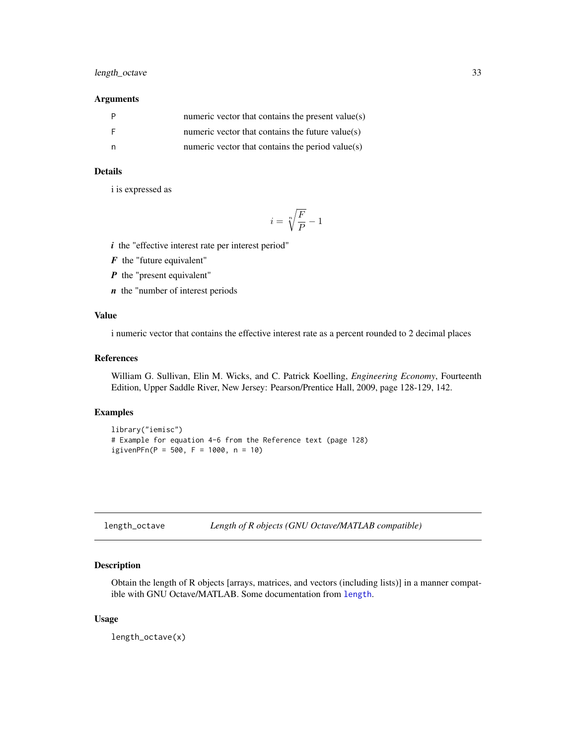# <span id="page-32-0"></span>length\_octave 33

# Arguments

| - P | numeric vector that contains the present value(s)    |
|-----|------------------------------------------------------|
| - F | numeric vector that contains the future value( $s$ ) |
|     | numeric vector that contains the period value( $s$ ) |

# Details

i is expressed as

$$
i=\sqrt[n]{\frac{F}{P}}-1
$$

*i* the "effective interest rate per interest period"

*F* the "future equivalent"

- *P* the "present equivalent"
- *n* the "number of interest periods

# Value

i numeric vector that contains the effective interest rate as a percent rounded to 2 decimal places

# References

William G. Sullivan, Elin M. Wicks, and C. Patrick Koelling, *Engineering Economy*, Fourteenth Edition, Upper Saddle River, New Jersey: Pearson/Prentice Hall, 2009, page 128-129, 142.

#### Examples

```
library("iemisc")
# Example for equation 4-6 from the Reference text (page 128)
igivenPFn(P = 500, F = 1000, n = 10)
```

| length_octave |  | Length of R objects (GNU Octave/MATLAB compatible) |
|---------------|--|----------------------------------------------------|
|---------------|--|----------------------------------------------------|

# Description

Obtain the length of R objects [arrays, matrices, and vectors (including lists)] in a manner compatible with GNU Octave/MATLAB. Some documentation from [length](#page-0-0).

#### Usage

length\_octave(x)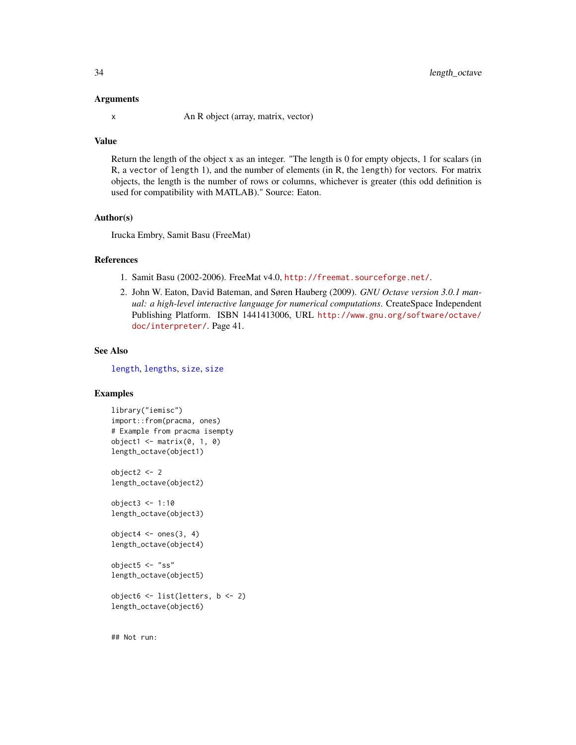#### Arguments

x An R object (array, matrix, vector)

#### Value

Return the length of the object x as an integer. "The length is 0 for empty objects, 1 for scalars (in R, a vector of length 1), and the number of elements (in R, the length) for vectors. For matrix objects, the length is the number of rows or columns, whichever is greater (this odd definition is used for compatibility with MATLAB)." Source: Eaton.

#### Author(s)

Irucka Embry, Samit Basu (FreeMat)

#### References

- 1. Samit Basu (2002-2006). FreeMat v4.0, <http://freemat.sourceforge.net/>.
- 2. John W. Eaton, David Bateman, and Søren Hauberg (2009). *GNU Octave version 3.0.1 manual: a high-level interactive language for numerical computations*. CreateSpace Independent Publishing Platform. ISBN 1441413006, URL [http://www.gnu.org/software/octave/](http://www.gnu.org/software/octave/doc/interpreter/) [doc/interpreter/](http://www.gnu.org/software/octave/doc/interpreter/). Page 41.

# See Also

[length](#page-0-0), [lengths](#page-0-0), [size](#page-90-1), [size](#page-90-1)

# Examples

```
library("iemisc")
import::from(pracma, ones)
# Example from pracma isempty
object1 \leq - matrix(\emptyset, 1, \emptyset)
length_octave(object1)
object2 <- 2
length_octave(object2)
object3 <- 1:10
length_octave(object3)
object4 \leftarrow ones(3, 4)length_octave(object4)
object5 <- "ss"
length_octave(object5)
object6 <- list(letters, b <- 2)
length_octave(object6)
```
## Not run: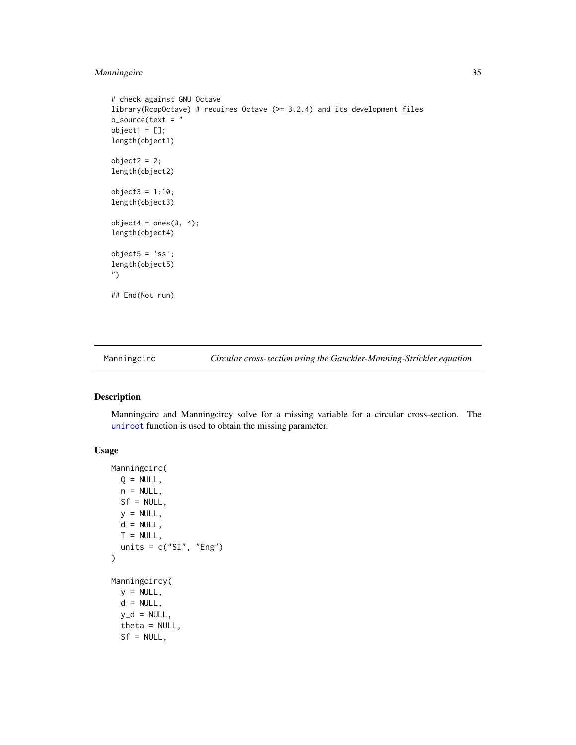# <span id="page-34-0"></span>Manningcirc 35

```
# check against GNU Octave
library(RcppOctave) # requires Octave (>= 3.2.4) and its development files
o_source(text = "
object1 = [];
length(object1)
object2 = 2;length(object2)
object3 = 1:10;length(object3)
object4 = ones(3, 4);length(object4)
object5 = 'ss';
length(object5)
")
## End(Not run)
```
Manningcirc *Circular cross-section using the Gauckler-Manning-Strickler equation*

# Description

Manningcirc and Manningcircy solve for a missing variable for a circular cross-section. The [uniroot](#page-0-0) function is used to obtain the missing parameter.

# Usage

```
Manningcirc(
 Q = NULL,n = NULL,Sf = NULL,y = NULL,d = NULL,T = NULL,units = c("SI", "Eng"))
Manningcircy(
 y = NULL,d = NULL,y_d = NULL,theta = NULL,
  Sf = NULL,
```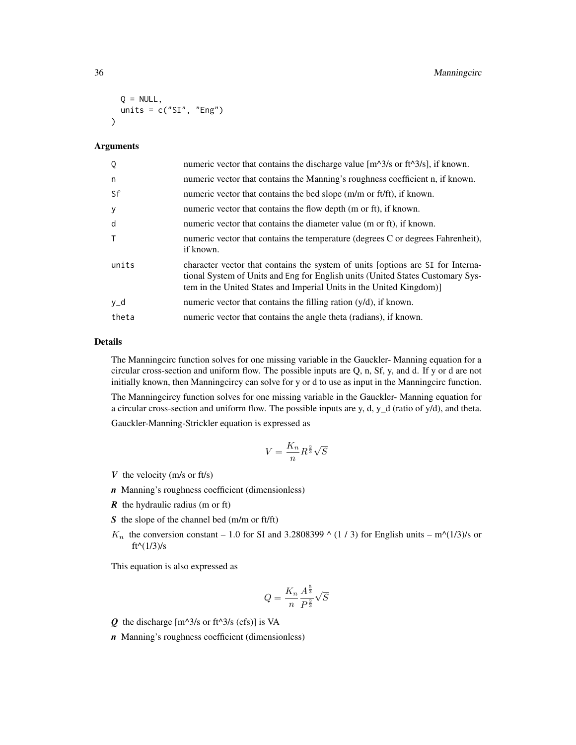```
Q = NULL,units = c("SI", "Eng"))
```
#### Arguments

| Q            | numeric vector that contains the discharge value $[m^3/8]$ or ft <sup><math>\triangle 3/8</math></sup> , if known.                                                                                                                      |
|--------------|-----------------------------------------------------------------------------------------------------------------------------------------------------------------------------------------------------------------------------------------|
| n            | numeric vector that contains the Manning's roughness coefficient n, if known.                                                                                                                                                           |
| Sf           | numeric vector that contains the bed slope (m/m or ft/ft), if known.                                                                                                                                                                    |
| y            | numeric vector that contains the flow depth (m or ft), if known.                                                                                                                                                                        |
| d            | numeric vector that contains the diameter value (m or ft), if known.                                                                                                                                                                    |
| $\mathsf{T}$ | numeric vector that contains the temperature (degrees C or degrees Fahrenheit),<br>if known.                                                                                                                                            |
| units        | character vector that contains the system of units [options are SI for Interna-<br>tional System of Units and Eng for English units (United States Customary Sys-<br>tem in the United States and Imperial Units in the United Kingdom) |
| y_d          | numeric vector that contains the filling ration $(y/d)$ , if known.                                                                                                                                                                     |
| theta        | numeric vector that contains the angle theta (radians), if known.                                                                                                                                                                       |

# Details

The Manningcirc function solves for one missing variable in the Gauckler- Manning equation for a circular cross-section and uniform flow. The possible inputs are Q, n, Sf, y, and d. If y or d are not initially known, then Manningcircy can solve for y or d to use as input in the Manningcirc function.

The Manningcircy function solves for one missing variable in the Gauckler- Manning equation for a circular cross-section and uniform flow. The possible inputs are y, d, y\_d (ratio of y/d), and theta.

Gauckler-Manning-Strickler equation is expressed as

$$
V = \frac{K_n}{n} R^{\frac{2}{3}} \sqrt{S}
$$

- *V* the velocity (m/s or ft/s)
- *n* Manning's roughness coefficient (dimensionless)
- *R* the hydraulic radius (m or ft)
- *S* the slope of the channel bed (m/m or ft/ft)
- $K_n$  the conversion constant 1.0 for SI and 3.2808399  $\wedge$  (1 / 3) for English units m $\wedge$ (1/3)/s or ft^(1/3)/s

This equation is also expressed as

$$
Q = \frac{K_n}{n} \frac{A^{\frac{5}{3}}}{P^{\frac{2}{3}}} \sqrt{S}
$$

- $Q$  the discharge  $[m^{\wedge}3/s \text{ or } ft^{\wedge}3/s \text{ (cfs)}]$  is VA
- *n* Manning's roughness coefficient (dimensionless)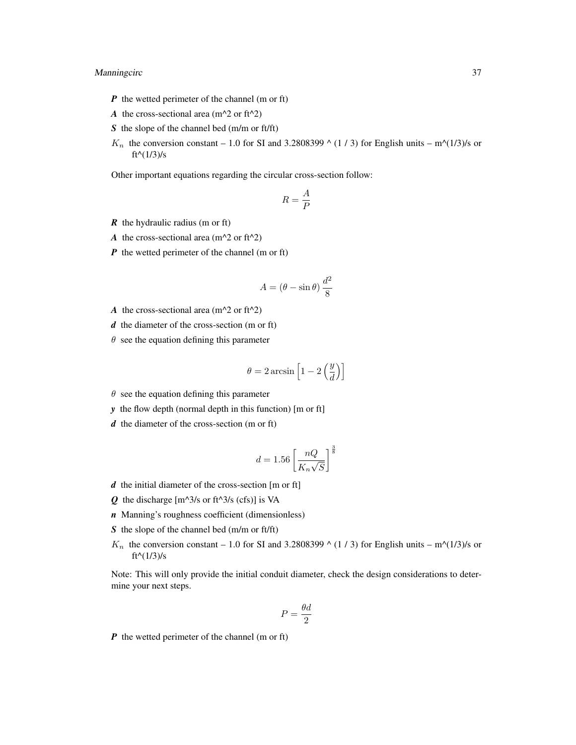## Manningcirc 37

- *P* the wetted perimeter of the channel (m or ft)
- *A* the cross-sectional area ( $m^2$  or ft<sup> $2$ </sup>)
- *S* the slope of the channel bed (m/m or ft/ft)
- $K_n$  the conversion constant 1.0 for SI and 3.2808399  $\wedge$  (1 / 3) for English units m $\wedge$ (1/3)/s or ft^( $1/3$ )/s

Other important equations regarding the circular cross-section follow:

$$
R=\frac{A}{P}
$$

- *R* the hydraulic radius (m or ft)
- *A* the cross-sectional area ( $m^2$  or ft<sup> $2$ </sup>)
- *P* the wetted perimeter of the channel (m or ft)

$$
A = (\theta - \sin \theta) \, \frac{d^2}{8}
$$

- *A* the cross-sectional area ( $m^2$  or ft<sup> $2$ </sup>)
- *d* the diameter of the cross-section (m or ft)
- $\theta$  see the equation defining this parameter

$$
\theta = 2 \arcsin \left[ 1 - 2 \left( \frac{y}{d} \right) \right]
$$

- $\theta$  see the equation defining this parameter
- *y* the flow depth (normal depth in this function) [m or ft]
- *d* the diameter of the cross-section (m or ft)

$$
d = 1.56 \left[ \frac{nQ}{K_n \sqrt{S}} \right]^{\frac{3}{8}}
$$

- *d* the initial diameter of the cross-section [m or ft]
- $Q$  the discharge  $[m^{\wedge}3/s \text{ or } ft^{\wedge}3/s \text{ (cfs)}]$  is VA
- *n* Manning's roughness coefficient (dimensionless)
- *S* the slope of the channel bed (m/m or ft/ft)
- $K_n$  the conversion constant 1.0 for SI and 3.2808399  $\wedge$  (1 / 3) for English units m $\wedge$ (1/3)/s or ft $(1/3)/s$

Note: This will only provide the initial conduit diameter, check the design considerations to determine your next steps.

$$
P = \frac{\theta d}{2}
$$

*P* the wetted perimeter of the channel (m or ft)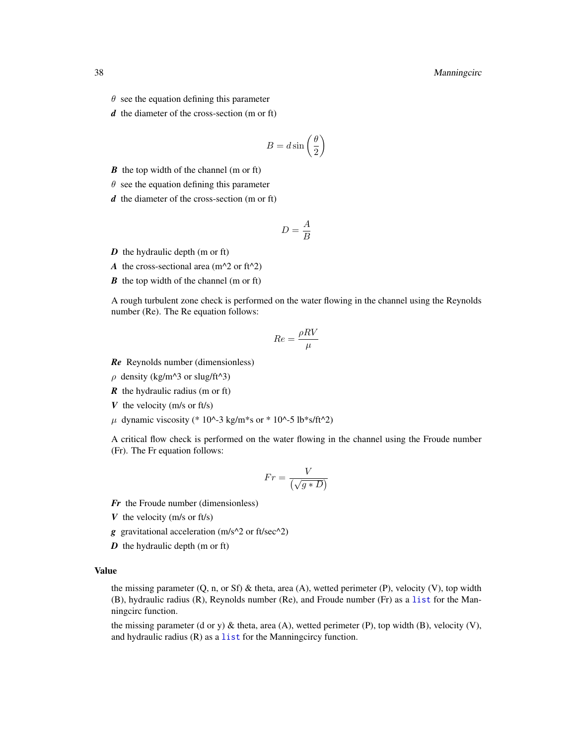- $\theta$  see the equation defining this parameter
- *d* the diameter of the cross-section (m or ft)

$$
B = d \sin\left(\frac{\theta}{2}\right)
$$

- *B* the top width of the channel (m or ft)
- $\theta$  see the equation defining this parameter
- *d* the diameter of the cross-section (m or ft)

$$
D = \frac{A}{B}
$$

*D* the hydraulic depth (m or ft)

*A* the cross-sectional area ( $m^2$  or ft<sup> $2$ </sup>)

*B* the top width of the channel (m or ft)

A rough turbulent zone check is performed on the water flowing in the channel using the Reynolds number (Re). The Re equation follows:

$$
Re = \frac{\rho RV}{\mu}
$$

*Re* Reynolds number (dimensionless)

 $\rho$  density (kg/m^3 or slug/ft^3)

*R* the hydraulic radius (m or ft)

- *V* the velocity (m/s or ft/s)
- $\mu$  dynamic viscosity (\* 10^-3 kg/m\*s or \* 10^-5 lb\*s/ft^2)

A critical flow check is performed on the water flowing in the channel using the Froude number (Fr). The Fr equation follows:

$$
Fr = \frac{V}{\left(\sqrt{g*D}\right)}
$$

- *Fr* the Froude number (dimensionless)
- *V* the velocity (m/s or ft/s)
- *g* gravitational acceleration (m/s^2 or ft/sec^2)
- *D* the hydraulic depth (m or ft)

#### Value

the missing parameter  $(Q, n, \text{or } Sf)$  & theta, area  $(A)$ , wetted perimeter  $(P)$ , velocity  $(V)$ , top width (B), hydraulic radius (R), Reynolds number (Re), and Froude number (Fr) as a [list](#page-0-0) for the Manningcirc function.

the missing parameter (d or y)  $\&$  theta, area (A), wetted perimeter (P), top width (B), velocity (V), and hydraulic radius (R) as a [list](#page-0-0) for the Manningcircy function.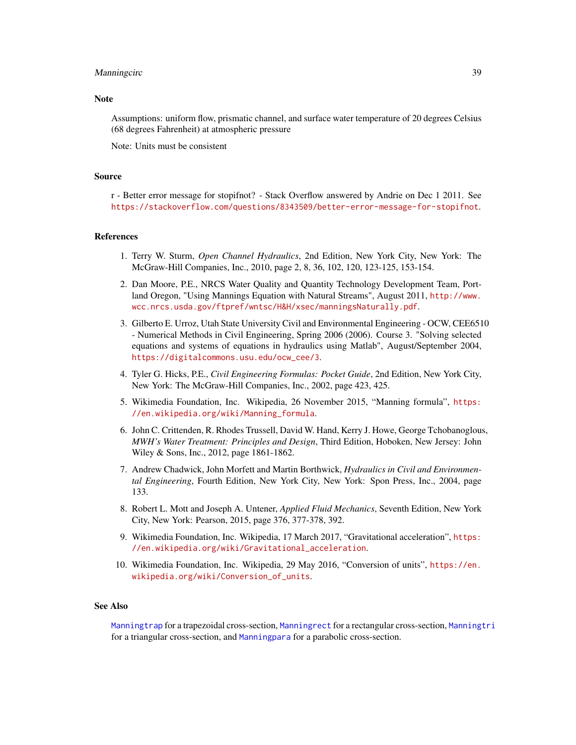#### Manningcirc 39

#### **Note**

Assumptions: uniform flow, prismatic channel, and surface water temperature of 20 degrees Celsius (68 degrees Fahrenheit) at atmospheric pressure

Note: Units must be consistent

#### Source

r - Better error message for stopifnot? - Stack Overflow answered by Andrie on Dec 1 2011. See <https://stackoverflow.com/questions/8343509/better-error-message-for-stopifnot>.

#### References

- 1. Terry W. Sturm, *Open Channel Hydraulics*, 2nd Edition, New York City, New York: The McGraw-Hill Companies, Inc., 2010, page 2, 8, 36, 102, 120, 123-125, 153-154.
- 2. Dan Moore, P.E., NRCS Water Quality and Quantity Technology Development Team, Portland Oregon, "Using Mannings Equation with Natural Streams", August 2011, [http://www.](http://www.wcc.nrcs.usda.gov/ftpref/wntsc/H&H/xsec/manningsNaturally.pdf) [wcc.nrcs.usda.gov/ftpref/wntsc/H&H/xsec/manningsNaturally.pdf](http://www.wcc.nrcs.usda.gov/ftpref/wntsc/H&H/xsec/manningsNaturally.pdf).
- 3. Gilberto E. Urroz, Utah State University Civil and Environmental Engineering OCW, CEE6510 - Numerical Methods in Civil Engineering, Spring 2006 (2006). Course 3. "Solving selected equations and systems of equations in hydraulics using Matlab", August/September 2004, [https://digitalcommons.usu.edu/ocw\\_cee/3](https://digitalcommons.usu.edu/ocw_cee/3).
- 4. Tyler G. Hicks, P.E., *Civil Engineering Formulas: Pocket Guide*, 2nd Edition, New York City, New York: The McGraw-Hill Companies, Inc., 2002, page 423, 425.
- 5. Wikimedia Foundation, Inc. Wikipedia, 26 November 2015, "Manning formula", [https:](https://en.wikipedia.org/wiki/Manning_formula) [//en.wikipedia.org/wiki/Manning\\_formula](https://en.wikipedia.org/wiki/Manning_formula).
- 6. John C. Crittenden, R. Rhodes Trussell, David W. Hand, Kerry J. Howe, George Tchobanoglous, *MWH's Water Treatment: Principles and Design*, Third Edition, Hoboken, New Jersey: John Wiley & Sons, Inc., 2012, page 1861-1862.
- 7. Andrew Chadwick, John Morfett and Martin Borthwick, *Hydraulics in Civil and Environmental Engineering*, Fourth Edition, New York City, New York: Spon Press, Inc., 2004, page 133.
- 8. Robert L. Mott and Joseph A. Untener, *Applied Fluid Mechanics*, Seventh Edition, New York City, New York: Pearson, 2015, page 376, 377-378, 392.
- 9. Wikimedia Foundation, Inc. Wikipedia, 17 March 2017, "Gravitational acceleration", [https:](https://en.wikipedia.org/wiki/Gravitational_acceleration) [//en.wikipedia.org/wiki/Gravitational\\_acceleration](https://en.wikipedia.org/wiki/Gravitational_acceleration).
- 10. Wikimedia Foundation, Inc. Wikipedia, 29 May 2016, "Conversion of units", [https://en.](https://en.wikipedia.org/wiki/Conversion_of_units) [wikipedia.org/wiki/Conversion\\_of\\_units](https://en.wikipedia.org/wiki/Conversion_of_units).

#### See Also

[Manningtrap](#page-49-0) for a trapezoidal cross-section, [Manningrect](#page-45-0) for a rectangular cross-section, [Manningtri](#page-54-0) for a triangular cross-section, and [Manningpara](#page-40-0) for a parabolic cross-section.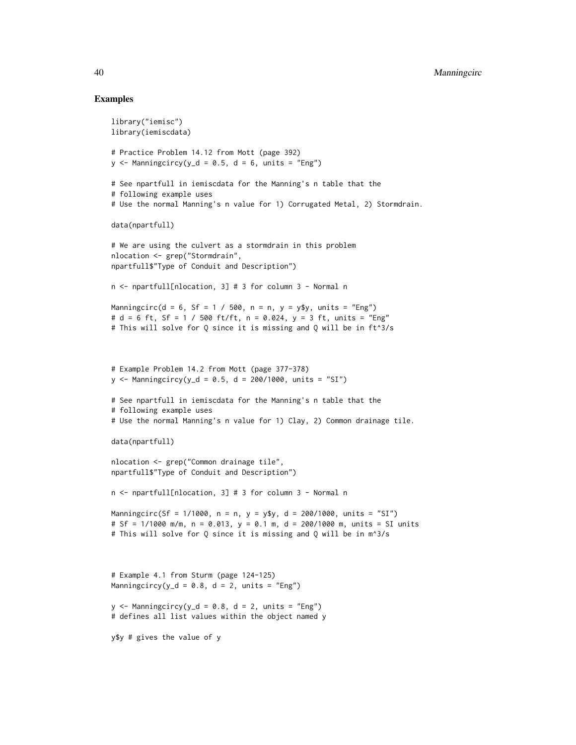#### Examples

```
library("iemisc")
library(iemiscdata)
# Practice Problem 14.12 from Mott (page 392)
y \le - Manningcircy(y_d = 0.5, d = 6, units = "Eng")
# See npartfull in iemiscdata for the Manning's n table that the
# following example uses
# Use the normal Manning's n value for 1) Corrugated Metal, 2) Stormdrain.
data(npartfull)
# We are using the culvert as a stormdrain in this problem
nlocation <- grep("Stormdrain",
npartfull$"Type of Conduit and Description")
n <- npartfull[nlocation, 3] # 3 for column 3 - Normal n
Manningcirc(d = 6, Sf = 1 / 500, n = n, y = y$y, units = "Eng")
# d = 6 ft, Sf = 1 / 500 ft/ft, n = 0.024, y = 3 ft, units = "Eng"
# This will solve for Q since it is missing and Q will be in ft^3/s
# Example Problem 14.2 from Mott (page 377-378)
y \le - Manningcircy(y_d = 0.5, d = 200/1000, units = "SI")
# See npartfull in iemiscdata for the Manning's n table that the
# following example uses
# Use the normal Manning's n value for 1) Clay, 2) Common drainage tile.
data(npartfull)
nlocation <- grep("Common drainage tile",
npartfull$"Type of Conduit and Description")
n <- npartfull[nlocation, 3] # 3 for column 3 - Normal n
Manningcirc(Sf = 1/1000, n = n, y = \frac{9}{9}y, d = 200/1000, units = "SI")
# Sf = 1/1000 m/m, n = 0.013, y = 0.1 m, d = 200/1000 m, units = SI units
# This will solve for Q since it is missing and Q will be in m^3/s
# Example 4.1 from Sturm (page 124-125)
Manningcircy(y_d = 0.8, d = 2, units = "Eng")
y \le - Manningcircy(y_d = 0.8, d = 2, units = "Eng")
# defines all list values within the object named y
y$y # gives the value of y
```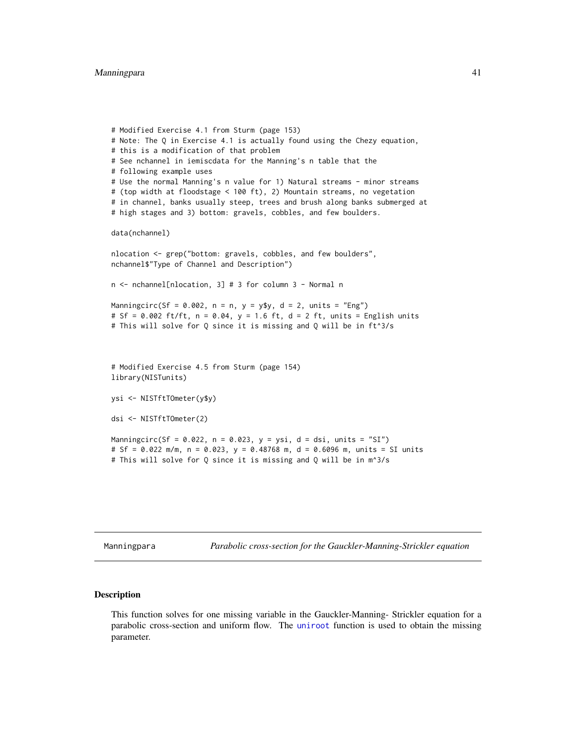```
# Modified Exercise 4.1 from Sturm (page 153)
# Note: The Q in Exercise 4.1 is actually found using the Chezy equation,
# this is a modification of that problem
# See nchannel in iemiscdata for the Manning's n table that the
# following example uses
# Use the normal Manning's n value for 1) Natural streams - minor streams
# (top width at floodstage < 100 ft), 2) Mountain streams, no vegetation
# in channel, banks usually steep, trees and brush along banks submerged at
# high stages and 3) bottom: gravels, cobbles, and few boulders.
data(nchannel)
nlocation <- grep("bottom: gravels, cobbles, and few boulders",
nchannel$"Type of Channel and Description")
n <- nchannel[nlocation, 3] # 3 for column 3 - Normal n
Manningcirc(Sf = 0.002, n = n, y = y$y, d = 2, units = "Eng")
# Sf = 0.002 ft/ft, n = 0.04, y = 1.6 ft, d = 2 ft, units = English units
# This will solve for Q since it is missing and Q will be in ft^3/s
# Modified Exercise 4.5 from Sturm (page 154)
library(NISTunits)
ysi <- NISTftTOmeter(y$y)
dsi <- NISTftTOmeter(2)
Manningcirc(Sf = 0.022, n = 0.023, y = ysi, d = dsi, units = "SI")
# Sf = 0.022 m/m, n = 0.023, y = 0.48768 m, d = 0.6096 m, units = SI units
# This will solve for Q since it is missing and Q will be in m^3/s
```
<span id="page-40-0"></span>Manningpara *Parabolic cross-section for the Gauckler-Manning-Strickler equation*

#### Description

This function solves for one missing variable in the Gauckler-Manning- Strickler equation for a parabolic cross-section and uniform flow. The [uniroot](#page-0-0) function is used to obtain the missing parameter.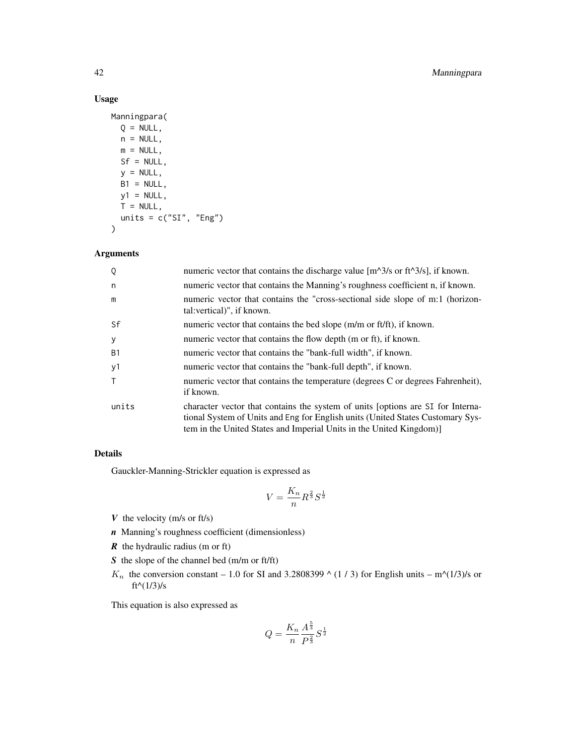# Usage

```
Manningpara(
 Q = NULL,n = NULL,m = NULL,Sf = NULL,y = NULL,B1 = NULL,y1 = NULL,T = NULL,units = c("SI", "Eng"))
```
# Arguments

| Q              | numeric vector that contains the discharge value $[m^2/3/s]$ or ft <sup><math>\Delta s</math></sup> s], if known.                                                                                                                        |
|----------------|------------------------------------------------------------------------------------------------------------------------------------------------------------------------------------------------------------------------------------------|
| n              | numeric vector that contains the Manning's roughness coefficient n, if known.                                                                                                                                                            |
| m              | numeric vector that contains the "cross-sectional side slope of m:1 (horizon-<br>tal: vertical)", if known.                                                                                                                              |
| Sf             | numeric vector that contains the bed slope (m/m or ft/ft), if known.                                                                                                                                                                     |
| y              | numeric vector that contains the flow depth (m or ft), if known.                                                                                                                                                                         |
| B <sub>1</sub> | numeric vector that contains the "bank-full width", if known.                                                                                                                                                                            |
| y1             | numeric vector that contains the "bank-full depth", if known.                                                                                                                                                                            |
|                | numeric vector that contains the temperature (degrees C or degrees Fahrenheit),<br>if known.                                                                                                                                             |
| units          | character vector that contains the system of units soptions are SI for Interna-<br>tional System of Units and Eng for English units (United States Customary Sys-<br>tem in the United States and Imperial Units in the United Kingdom)] |

## Details

Gauckler-Manning-Strickler equation is expressed as

$$
V = \frac{K_n}{n} R^{\frac{2}{3}} S^{\frac{1}{2}}
$$

- *V* the velocity (m/s or ft/s)
- *n* Manning's roughness coefficient (dimensionless)
- *R* the hydraulic radius (m or ft)
- *S* the slope of the channel bed (m/m or ft/ft)
- $K_n$  the conversion constant 1.0 for SI and 3.2808399  $\wedge$  (1 / 3) for English units m $\wedge$ (1/3)/s or ft^( $1/3$ )/s

This equation is also expressed as

$$
Q = \frac{K_n}{n} \frac{A^{\frac{5}{3}}}{P^{\frac{2}{3}}} S^{\frac{1}{2}}
$$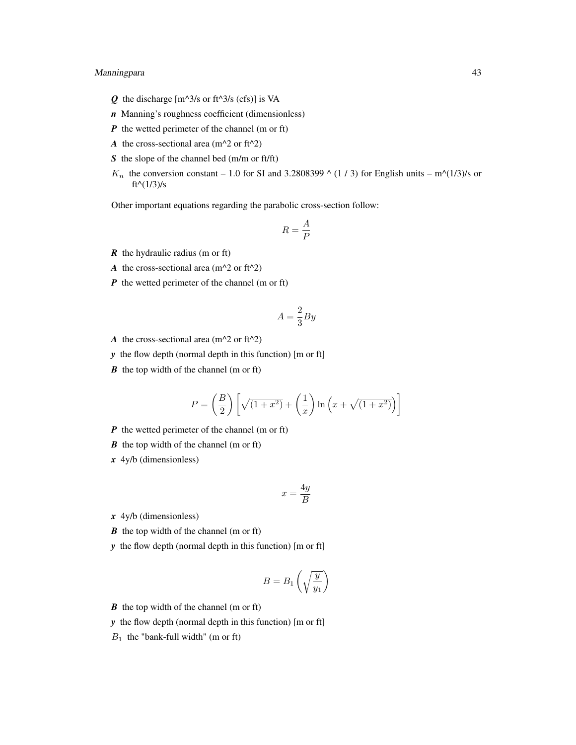## Manningpara 43

- $Q$  the discharge  $[m^{\wedge}3/s \text{ or } ft^{\wedge}3/s \text{ (cfs)}]$  is VA
- *n* Manning's roughness coefficient (dimensionless)
- *P* the wetted perimeter of the channel (m or ft)
- *A* the cross-sectional area ( $m^2$  or ft<sup> $2$ </sup>)
- *S* the slope of the channel bed (m/m or ft/ft)
- $K_n$  the conversion constant 1.0 for SI and 3.2808399  $\wedge$  (1 / 3) for English units m $\wedge$ (1/3)/s or  $ft^{(1/3)/s}$

Other important equations regarding the parabolic cross-section follow:

$$
R = \frac{A}{P}
$$

- *R* the hydraulic radius (m or ft)
- *A* the cross-sectional area ( $m^2$  or ft<sup> $2$ </sup>)
- *P* the wetted perimeter of the channel (m or ft)

$$
A = \frac{2}{3}By
$$

- *A* the cross-sectional area ( $m^2$  or ft<sup> $2$ </sup>)
- *y* the flow depth (normal depth in this function) [m or ft]
- *B* the top width of the channel (m or ft)

$$
P = \left(\frac{B}{2}\right) \left[ \sqrt{(1+x^2)} + \left(\frac{1}{x}\right) \ln\left(x + \sqrt{(1+x^2)}\right) \right]
$$

- *P* the wetted perimeter of the channel (m or ft)
- *B* the top width of the channel (m or ft)
- *x* 4y/b (dimensionless)

$$
x = \frac{4y}{B}
$$

- *x* 4y/b (dimensionless)
- *B* the top width of the channel (m or ft)
- *y* the flow depth (normal depth in this function) [m or ft]

$$
B = B_1 \left(\sqrt{\frac{y}{y_1}}\right)
$$

- *B* the top width of the channel (m or ft)
- *y* the flow depth (normal depth in this function) [m or ft]
- $B_1$  the "bank-full width" (m or ft)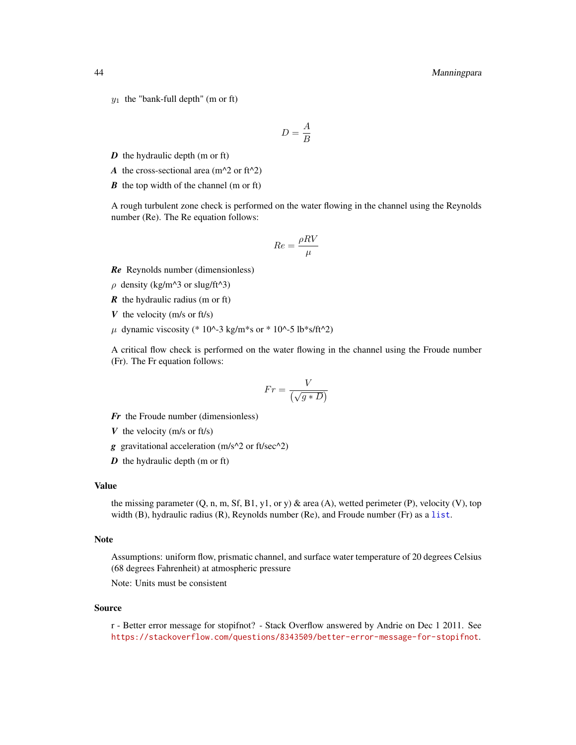$y_1$  the "bank-full depth" (m or ft)

$$
D = \frac{A}{B}
$$

- *D* the hydraulic depth (m or ft)
- *A* the cross-sectional area ( $m^2$  or ft<sup> $2$ </sup>)
- *B* the top width of the channel (m or ft)

A rough turbulent zone check is performed on the water flowing in the channel using the Reynolds number (Re). The Re equation follows:

$$
Re = \frac{\rho RV}{\mu}
$$

- *Re* Reynolds number (dimensionless)
- $\rho$  density (kg/m^3 or slug/ft^3)
- *R* the hydraulic radius (m or ft)
- *V* the velocity (m/s or ft/s)
- $\mu$  dynamic viscosity (\* 10^-3 kg/m\*s or \* 10^-5 lb\*s/ft^2)

A critical flow check is performed on the water flowing in the channel using the Froude number (Fr). The Fr equation follows:

$$
Fr = \frac{V}{\left(\sqrt{g*D}\right)}
$$

- *Fr* the Froude number (dimensionless)
- *V* the velocity (m/s or ft/s)
- *g* gravitational acceleration (m/s^2 or ft/sec^2)
- *D* the hydraulic depth (m or ft)

## Value

the missing parameter  $(Q, n, m, Sf, B1, y1, or y)$  & area  $(A)$ , wetted perimeter  $(P)$ , velocity  $(V)$ , top width  $(B)$ , hydraulic radius  $(R)$ , Reynolds number  $(Re)$ , and Froude number  $(Fr)$  as a [list](#page-0-0).

#### Note

Assumptions: uniform flow, prismatic channel, and surface water temperature of 20 degrees Celsius (68 degrees Fahrenheit) at atmospheric pressure

Note: Units must be consistent

#### Source

r - Better error message for stopifnot? - Stack Overflow answered by Andrie on Dec 1 2011. See <https://stackoverflow.com/questions/8343509/better-error-message-for-stopifnot>.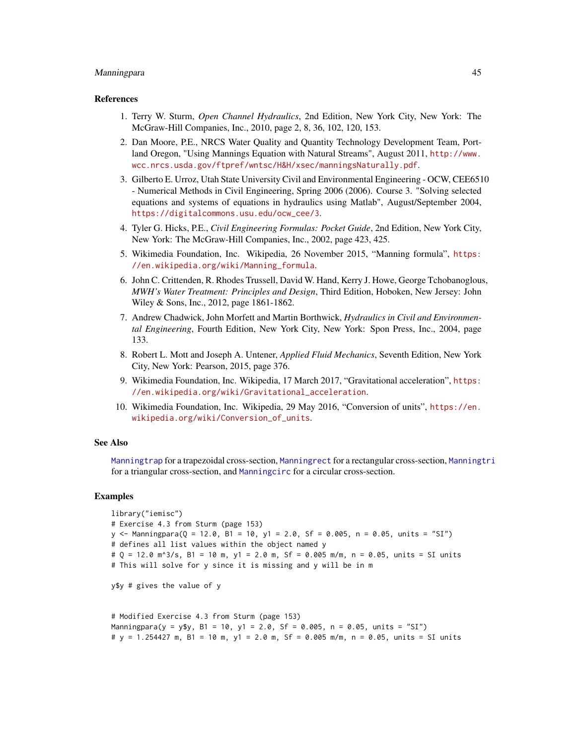#### Manningpara 45

#### References

- 1. Terry W. Sturm, *Open Channel Hydraulics*, 2nd Edition, New York City, New York: The McGraw-Hill Companies, Inc., 2010, page 2, 8, 36, 102, 120, 153.
- 2. Dan Moore, P.E., NRCS Water Quality and Quantity Technology Development Team, Portland Oregon, "Using Mannings Equation with Natural Streams", August 2011, [http://www.](http://www.wcc.nrcs.usda.gov/ftpref/wntsc/H&H/xsec/manningsNaturally.pdf) [wcc.nrcs.usda.gov/ftpref/wntsc/H&H/xsec/manningsNaturally.pdf](http://www.wcc.nrcs.usda.gov/ftpref/wntsc/H&H/xsec/manningsNaturally.pdf).
- 3. Gilberto E. Urroz, Utah State University Civil and Environmental Engineering OCW, CEE6510 - Numerical Methods in Civil Engineering, Spring 2006 (2006). Course 3. "Solving selected equations and systems of equations in hydraulics using Matlab", August/September 2004, [https://digitalcommons.usu.edu/ocw\\_cee/3](https://digitalcommons.usu.edu/ocw_cee/3).
- 4. Tyler G. Hicks, P.E., *Civil Engineering Formulas: Pocket Guide*, 2nd Edition, New York City, New York: The McGraw-Hill Companies, Inc., 2002, page 423, 425.
- 5. Wikimedia Foundation, Inc. Wikipedia, 26 November 2015, "Manning formula", [https:](https://en.wikipedia.org/wiki/Manning_formula) [//en.wikipedia.org/wiki/Manning\\_formula](https://en.wikipedia.org/wiki/Manning_formula).
- 6. John C. Crittenden, R. Rhodes Trussell, David W. Hand, Kerry J. Howe, George Tchobanoglous, *MWH's Water Treatment: Principles and Design*, Third Edition, Hoboken, New Jersey: John Wiley & Sons, Inc., 2012, page 1861-1862.
- 7. Andrew Chadwick, John Morfett and Martin Borthwick, *Hydraulics in Civil and Environmental Engineering*, Fourth Edition, New York City, New York: Spon Press, Inc., 2004, page 133.
- 8. Robert L. Mott and Joseph A. Untener, *Applied Fluid Mechanics*, Seventh Edition, New York City, New York: Pearson, 2015, page 376.
- 9. Wikimedia Foundation, Inc. Wikipedia, 17 March 2017, "Gravitational acceleration", [https:](https://en.wikipedia.org/wiki/Gravitational_acceleration) [//en.wikipedia.org/wiki/Gravitational\\_acceleration](https://en.wikipedia.org/wiki/Gravitational_acceleration).
- 10. Wikimedia Foundation, Inc. Wikipedia, 29 May 2016, "Conversion of units", [https://en.](https://en.wikipedia.org/wiki/Conversion_of_units) [wikipedia.org/wiki/Conversion\\_of\\_units](https://en.wikipedia.org/wiki/Conversion_of_units).

#### See Also

[Manningtrap](#page-49-0) for a trapezoidal cross-section, [Manningrect](#page-45-0) for a rectangular cross-section, [Manningtri](#page-54-0) for a triangular cross-section, and [Manningcirc](#page-34-0) for a circular cross-section.

## Examples

```
library("iemisc")
# Exercise 4.3 from Sturm (page 153)
y <- Manningpara(Q = 12.0, B1 = 10, y1 = 2.0, Sf = 0.005, n = 0.05, units = "SI")
# defines all list values within the object named y
# Q = 12.0 m^3/s, B1 = 10 m, y1 = 2.0 m, Sf = 0.005 m/m, n = 0.05, units = SI units
# This will solve for y since it is missing and y will be in m
y$y # gives the value of y
# Modified Exercise 4.3 from Sturm (page 153)
Manningpara(y = y$y, B1 = 10, y1 = 2.0, Sf = 0.005, n = 0.05, units = "SI")
```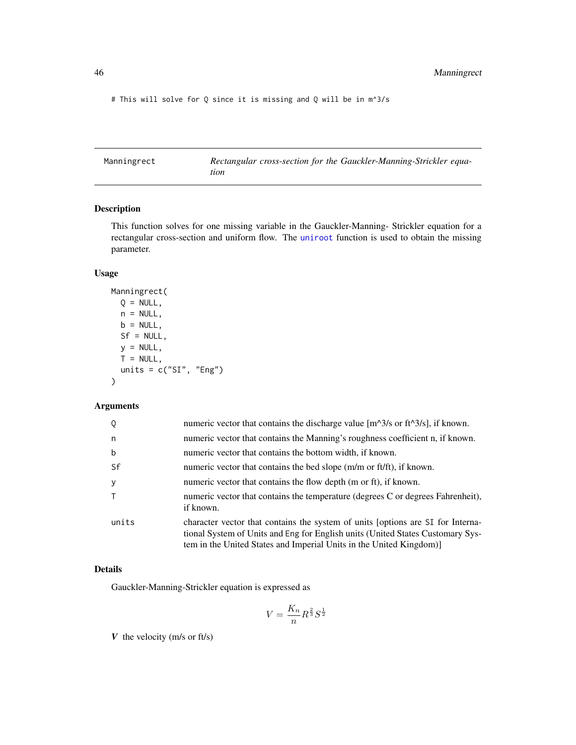# This will solve for Q since it is missing and Q will be in m^3/s

<span id="page-45-0"></span>Manningrect *Rectangular cross-section for the Gauckler-Manning-Strickler equation*

## Description

This function solves for one missing variable in the Gauckler-Manning- Strickler equation for a rectangular cross-section and uniform flow. The [uniroot](#page-0-0) function is used to obtain the missing parameter.

# Usage

```
Manningrect(
 Q = NULL,n = NULL,b = NULL,Sf = NULL,y = NULL,T = NULL,units = c("SI", "Eng"))
```
# Arguments

| Q           | numeric vector that contains the discharge value $[m^3/8]$ or ft <sup><math>\triangle 3/8</math></sup> , if known.                                                                                                                      |
|-------------|-----------------------------------------------------------------------------------------------------------------------------------------------------------------------------------------------------------------------------------------|
| n           | numeric vector that contains the Manning's roughness coefficient n, if known.                                                                                                                                                           |
| $\mathbf b$ | numeric vector that contains the bottom width, if known.                                                                                                                                                                                |
| Sf          | numeric vector that contains the bed slope (m/m or ft/ft), if known.                                                                                                                                                                    |
| У           | numeric vector that contains the flow depth (m or ft), if known.                                                                                                                                                                        |
| T.          | numeric vector that contains the temperature (degrees C or degrees Fahrenheit),<br>if known.                                                                                                                                            |
| units       | character vector that contains the system of units [options are SI for Interna-<br>tional System of Units and Eng for English units (United States Customary Sys-<br>tem in the United States and Imperial Units in the United Kingdom) |

# Details

Gauckler-Manning-Strickler equation is expressed as

$$
V = \frac{K_n}{n} R^{\frac{2}{3}} S^{\frac{1}{2}}
$$

*V* the velocity (m/s or ft/s)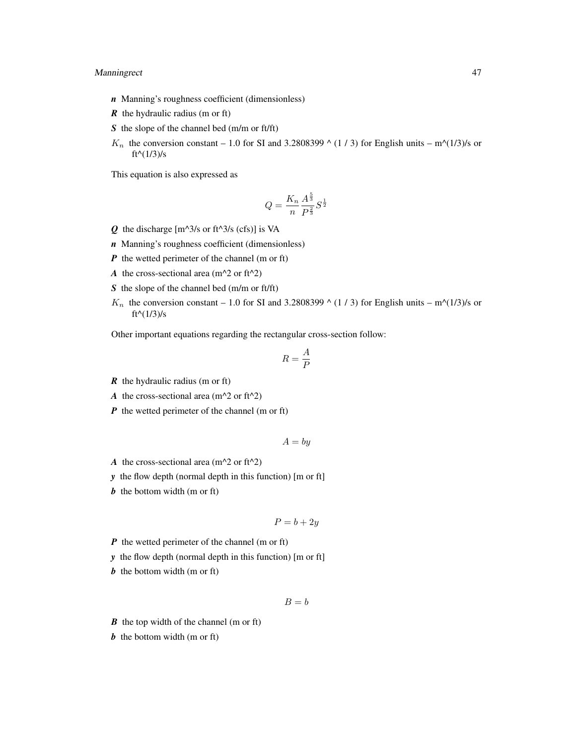## Manningrect 47

- *n* Manning's roughness coefficient (dimensionless)
- *R* the hydraulic radius (m or ft)
- *S* the slope of the channel bed (m/m or ft/ft)
- $K_n$  the conversion constant 1.0 for SI and 3.2808399  $\wedge$  (1 / 3) for English units m $\wedge$ (1/3)/s or  $ft^{(1/3)/s}$

This equation is also expressed as

$$
Q = \frac{K_n}{n} \frac{A^{\frac{5}{3}}}{P^{\frac{2}{3}}} S^{\frac{1}{2}}
$$

- $Q$  the discharge  $[m^{\wedge}3/s \text{ or } ft^{\wedge}3/s \text{ (cfs)}]$  is VA
- *n* Manning's roughness coefficient (dimensionless)
- *P* the wetted perimeter of the channel (m or ft)
- *A* the cross-sectional area ( $m^2$  or ft<sup> $2$ </sup>)
- *S* the slope of the channel bed (m/m or ft/ft)
- $K_n$  the conversion constant 1.0 for SI and 3.2808399  $\wedge$  (1 / 3) for English units m $\wedge$ (1/3)/s or  $ft^{\wedge}(1/3)/s$

Other important equations regarding the rectangular cross-section follow:

$$
R=\frac{A}{P}
$$

- *R* the hydraulic radius (m or ft)
- *A* the cross-sectional area ( $m^2$  or ft<sup> $2$ </sup>)
- *P* the wetted perimeter of the channel (m or ft)

$$
A = by
$$

- *A* the cross-sectional area ( $m^2$  or ft<sup> $2$ </sup>)
- *y* the flow depth (normal depth in this function) [m or ft]
- *b* the bottom width (m or ft)

$$
P = b + 2y
$$

- *P* the wetted perimeter of the channel (m or ft)
- *y* the flow depth (normal depth in this function) [m or ft]
- *b* the bottom width (m or ft)

$$
B = b
$$

- *B* the top width of the channel (m or ft)
- *b* the bottom width (m or ft)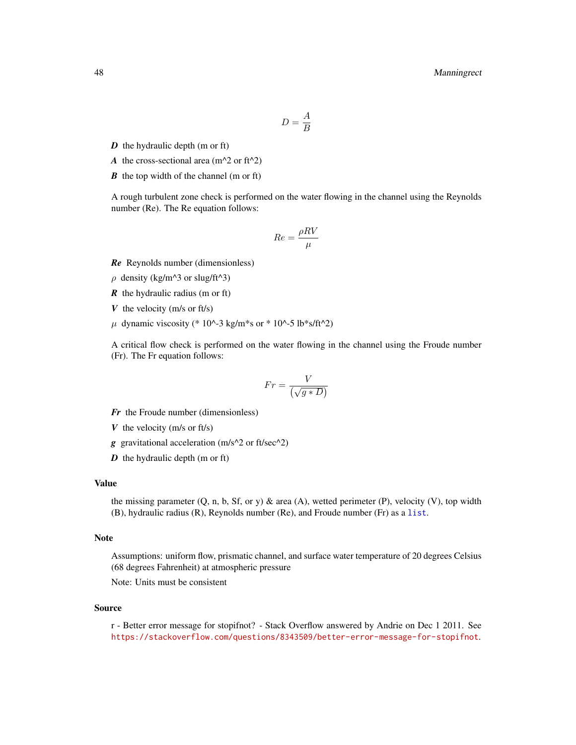$$
D=\frac{A}{B}
$$

- *D* the hydraulic depth (m or ft)
- *A* the cross-sectional area ( $m^2$  or ft<sup> $2$ </sup>)
- *B* the top width of the channel (m or ft)

A rough turbulent zone check is performed on the water flowing in the channel using the Reynolds number (Re). The Re equation follows:

$$
Re = \frac{\rho RV}{\mu}
$$

*Re* Reynolds number (dimensionless)

- $\rho$  density (kg/m^3 or slug/ft^3)
- *R* the hydraulic radius (m or ft)
- *V* the velocity (m/s or ft/s)
- $\mu$  dynamic viscosity (\* 10^-3 kg/m\*s or \* 10^-5 lb\*s/ft^2)

A critical flow check is performed on the water flowing in the channel using the Froude number (Fr). The Fr equation follows:

$$
Fr = \frac{V}{\left(\sqrt{g*D}\right)}
$$

- *Fr* the Froude number (dimensionless)
- *V* the velocity (m/s or ft/s)
- *g* gravitational acceleration (m/s^2 or ft/sec^2)
- *D* the hydraulic depth (m or ft)

#### Value

the missing parameter  $(Q, n, b, Sf, or y)$  & area  $(A)$ , wetted perimeter  $(P)$ , velocity  $(V)$ , top width (B), hydraulic radius (R), Reynolds number (Re), and Froude number (Fr) as a [list](#page-0-0).

#### Note

Assumptions: uniform flow, prismatic channel, and surface water temperature of 20 degrees Celsius (68 degrees Fahrenheit) at atmospheric pressure

Note: Units must be consistent

#### Source

r - Better error message for stopifnot? - Stack Overflow answered by Andrie on Dec 1 2011. See <https://stackoverflow.com/questions/8343509/better-error-message-for-stopifnot>.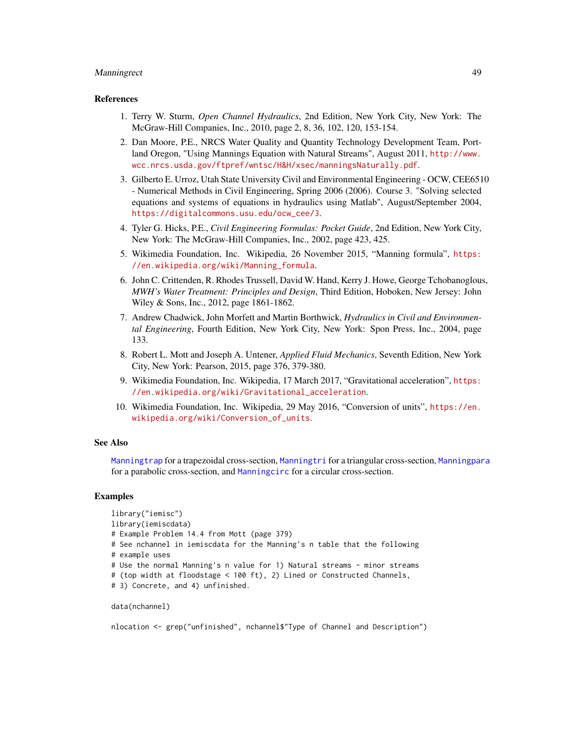## Manningrect 49

#### References

- 1. Terry W. Sturm, *Open Channel Hydraulics*, 2nd Edition, New York City, New York: The McGraw-Hill Companies, Inc., 2010, page 2, 8, 36, 102, 120, 153-154.
- 2. Dan Moore, P.E., NRCS Water Quality and Quantity Technology Development Team, Portland Oregon, "Using Mannings Equation with Natural Streams", August 2011, [http://www.](http://www.wcc.nrcs.usda.gov/ftpref/wntsc/H&H/xsec/manningsNaturally.pdf) [wcc.nrcs.usda.gov/ftpref/wntsc/H&H/xsec/manningsNaturally.pdf](http://www.wcc.nrcs.usda.gov/ftpref/wntsc/H&H/xsec/manningsNaturally.pdf).
- 3. Gilberto E. Urroz, Utah State University Civil and Environmental Engineering OCW, CEE6510 - Numerical Methods in Civil Engineering, Spring 2006 (2006). Course 3. "Solving selected equations and systems of equations in hydraulics using Matlab", August/September 2004, [https://digitalcommons.usu.edu/ocw\\_cee/3](https://digitalcommons.usu.edu/ocw_cee/3).
- 4. Tyler G. Hicks, P.E., *Civil Engineering Formulas: Pocket Guide*, 2nd Edition, New York City, New York: The McGraw-Hill Companies, Inc., 2002, page 423, 425.
- 5. Wikimedia Foundation, Inc. Wikipedia, 26 November 2015, "Manning formula", [https:](https://en.wikipedia.org/wiki/Manning_formula) [//en.wikipedia.org/wiki/Manning\\_formula](https://en.wikipedia.org/wiki/Manning_formula).
- 6. John C. Crittenden, R. Rhodes Trussell, David W. Hand, Kerry J. Howe, George Tchobanoglous, *MWH's Water Treatment: Principles and Design*, Third Edition, Hoboken, New Jersey: John Wiley & Sons, Inc., 2012, page 1861-1862.
- 7. Andrew Chadwick, John Morfett and Martin Borthwick, *Hydraulics in Civil and Environmental Engineering*, Fourth Edition, New York City, New York: Spon Press, Inc., 2004, page 133.
- 8. Robert L. Mott and Joseph A. Untener, *Applied Fluid Mechanics*, Seventh Edition, New York City, New York: Pearson, 2015, page 376, 379-380.
- 9. Wikimedia Foundation, Inc. Wikipedia, 17 March 2017, "Gravitational acceleration", [https:](https://en.wikipedia.org/wiki/Gravitational_acceleration) [//en.wikipedia.org/wiki/Gravitational\\_acceleration](https://en.wikipedia.org/wiki/Gravitational_acceleration).
- 10. Wikimedia Foundation, Inc. Wikipedia, 29 May 2016, "Conversion of units", [https://en.](https://en.wikipedia.org/wiki/Conversion_of_units) [wikipedia.org/wiki/Conversion\\_of\\_units](https://en.wikipedia.org/wiki/Conversion_of_units).

#### See Also

[Manningtrap](#page-49-0) for a trapezoidal cross-section, [Manningtri](#page-54-0) for a triangular cross-section, [Manningpara](#page-40-0) for a parabolic cross-section, and [Manningcirc](#page-34-0) for a circular cross-section.

#### Examples

```
library("iemisc")
library(iemiscdata)
# Example Problem 14.4 from Mott (page 379)
# See nchannel in iemiscdata for the Manning's n table that the following
# example uses
# Use the normal Manning's n value for 1) Natural streams - minor streams
# (top width at floodstage < 100 ft), 2) Lined or Constructed Channels,
# 3) Concrete, and 4) unfinished.
```

```
data(nchannel)
```
nlocation <- grep("unfinished", nchannel\$"Type of Channel and Description")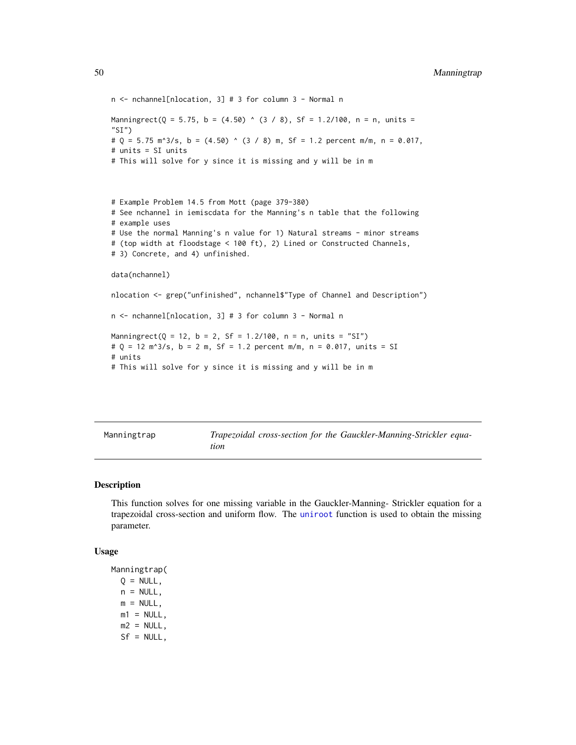```
n <- nchannel[nlocation, 3] # 3 for column 3 - Normal n
Manningrect(Q = 5.75, b = (4.50) ^ (3 / 8), Sf = 1.2/100, n = n, units =
"SI")
# Q = 5.75 m^3/s, b = (4.50) ^ (3 / 8) m, Sf = 1.2 percent m/m, n = 0.017,
# units = SI units
# This will solve for y since it is missing and y will be in m
# Example Problem 14.5 from Mott (page 379-380)
# See nchannel in iemiscdata for the Manning's n table that the following
# example uses
# Use the normal Manning's n value for 1) Natural streams - minor streams
# (top width at floodstage < 100 ft), 2) Lined or Constructed Channels,
# 3) Concrete, and 4) unfinished.
data(nchannel)
nlocation <- grep("unfinished", nchannel$"Type of Channel and Description")
n <- nchannel[nlocation, 3] # 3 for column 3 - Normal n
Manningrect(Q = 12, b = 2, Sf = 1.2/100, n = n, units = "SI")
# Q = 12 m^3/s, b = 2 m, Sf = 1.2 percent m/m, n = 0.017, units = SI
# units
# This will solve for y since it is missing and y will be in m
```

| Manningtrap |
|-------------|
|-------------|

<span id="page-49-0"></span>Manningtrap *Trapezoidal cross-section for the Gauckler-Manning-Strickler equation*

#### Description

This function solves for one missing variable in the Gauckler-Manning- Strickler equation for a trapezoidal cross-section and uniform flow. The [uniroot](#page-0-0) function is used to obtain the missing parameter.

#### Usage

Manningtrap(  $Q = NULL$ ,  $n = NULL$ ,  $m = NULL$ ,  $m1 = NULL,$  $m2 = NULL,$  $Sf = NULL,$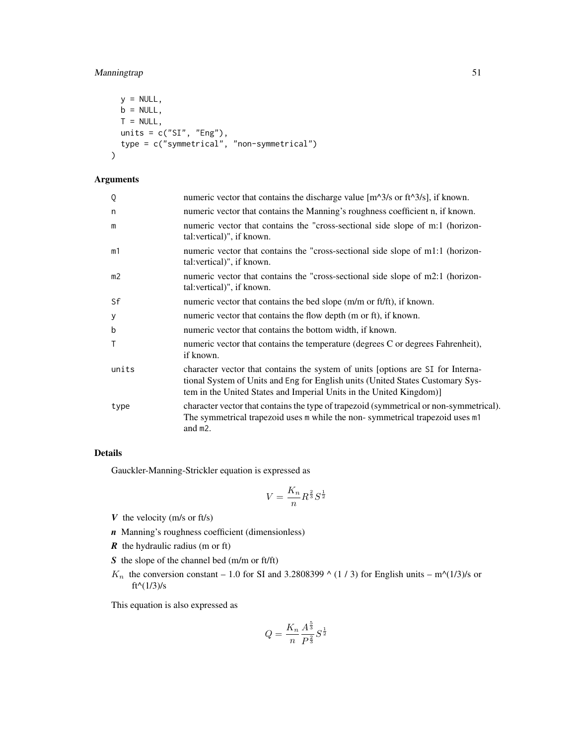# Manningtrap 51

```
y = NULL,b = NULL,T = NULL,units = c("SI", "Eng"),
 type = c("symmetrical", "non-symmetrical")
\mathcal{L}
```
# Arguments

| numeric vector that contains the discharge value $[m^{\wedge}3/s]$ or ft <sup><math>\wedge</math>3/s], if known.</sup>                                                                                                                   |
|------------------------------------------------------------------------------------------------------------------------------------------------------------------------------------------------------------------------------------------|
| numeric vector that contains the Manning's roughness coefficient n, if known.                                                                                                                                                            |
| numeric vector that contains the "cross-sectional side slope of m:1 (horizon-<br>tal: vertical)", if known.                                                                                                                              |
| numeric vector that contains the "cross-sectional side slope of m1:1 (horizon-<br>tal: vertical)", if known.                                                                                                                             |
| numeric vector that contains the "cross-sectional side slope of m2:1 (horizon-<br>tal: vertical)", if known.                                                                                                                             |
| numeric vector that contains the bed slope (m/m or ft/ft), if known.                                                                                                                                                                     |
| numeric vector that contains the flow depth (m or ft), if known.                                                                                                                                                                         |
| numeric vector that contains the bottom width, if known.                                                                                                                                                                                 |
| numeric vector that contains the temperature (degrees C or degrees Fahrenheit),<br>if known.                                                                                                                                             |
| character vector that contains the system of units [options are SI for Interna-<br>tional System of Units and Eng for English units (United States Customary Sys-<br>tem in the United States and Imperial Units in the United Kingdom)] |
| character vector that contains the type of trapezoid (symmetrical or non-symmetrical).<br>The symmetrical trapezoid uses m while the non-symmetrical trapezoid uses m1<br>and m2.                                                        |
|                                                                                                                                                                                                                                          |

## Details

Gauckler-Manning-Strickler equation is expressed as

$$
V = \frac{K_n}{n} R^{\frac{2}{3}} S^{\frac{1}{2}}
$$

- *V* the velocity (m/s or ft/s)
- *n* Manning's roughness coefficient (dimensionless)
- *R* the hydraulic radius (m or ft)
- *S* the slope of the channel bed (m/m or ft/ft)
- $K_n$  the conversion constant 1.0 for SI and 3.2808399  $\wedge$  (1 / 3) for English units m $\wedge$ (1/3)/s or ft^( $1/3$ )/s

This equation is also expressed as

$$
Q = \frac{K_n}{n} \frac{A^{\frac{5}{3}}}{P^{\frac{2}{3}}} S^{\frac{1}{2}}
$$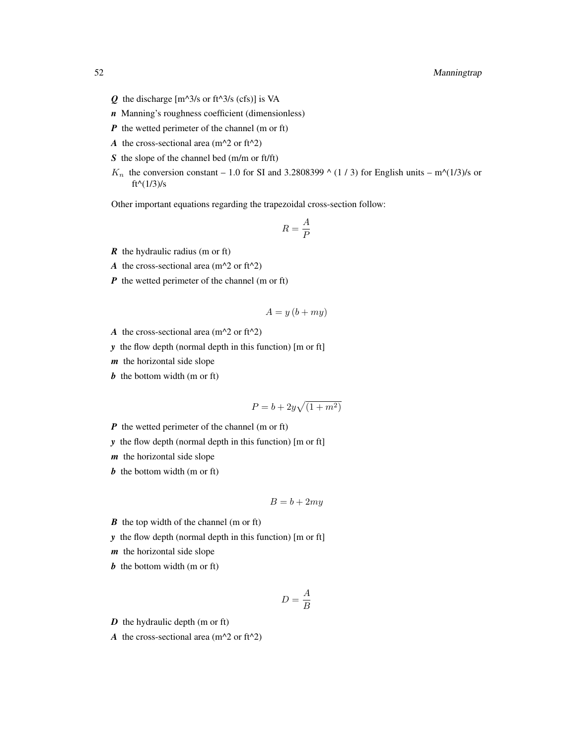- $Q$  the discharge  $[m^{\wedge}3/s \text{ or } ft^{\wedge}3/s \text{ (cfs)}]$  is VA
- *n* Manning's roughness coefficient (dimensionless)
- *P* the wetted perimeter of the channel (m or ft)
- *A* the cross-sectional area ( $m^2$  or ft<sup> $2$ </sup>)
- *S* the slope of the channel bed (m/m or ft/ft)
- $K_n$  the conversion constant 1.0 for SI and 3.2808399  $\wedge$  (1 / 3) for English units m $\wedge$ (1/3)/s or  $ft^{(1/3)/s}$

Other important equations regarding the trapezoidal cross-section follow:

$$
R=\frac{A}{P}
$$

- *R* the hydraulic radius (m or ft)
- *A* the cross-sectional area ( $m^2$  or ft<sup> $2$ </sup>)
- *P* the wetted perimeter of the channel (m or ft)

$$
A = y(b + my)
$$

- *A* the cross-sectional area ( $m^2$  or ft<sup> $2$ </sup>)
- *y* the flow depth (normal depth in this function) [m or ft]
- *m* the horizontal side slope
- *b* the bottom width (m or ft)

$$
P = b + 2y\sqrt{(1+m^2)}
$$

- *P* the wetted perimeter of the channel (m or ft)
- *y* the flow depth (normal depth in this function) [m or ft]
- *m* the horizontal side slope
- *b* the bottom width (m or ft)

$$
B = b + 2my
$$

- *B* the top width of the channel (m or ft)
- *y* the flow depth (normal depth in this function) [m or ft]
- *m* the horizontal side slope
- *b* the bottom width (m or ft)

$$
D = \frac{A}{B}
$$

*D* the hydraulic depth (m or ft)

*A* the cross-sectional area ( $m^2$  or ft<sup> $2$ </sup>)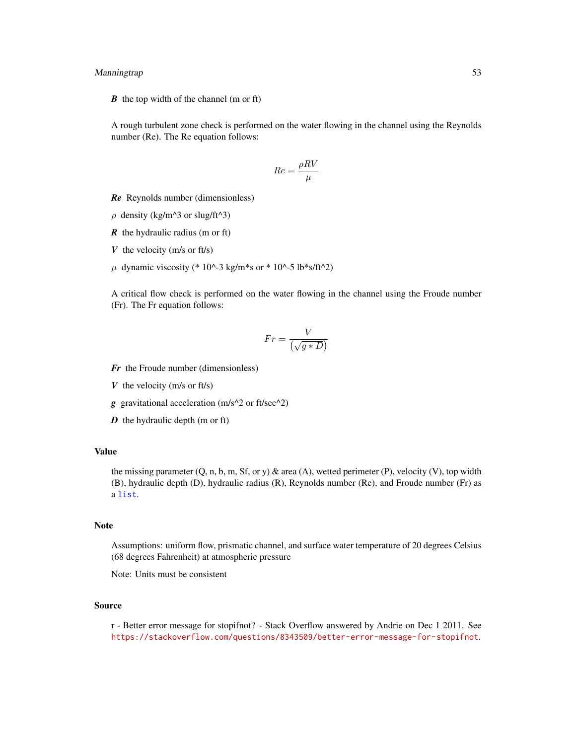## Manningtrap 53

*B* the top width of the channel (m or ft)

A rough turbulent zone check is performed on the water flowing in the channel using the Reynolds number (Re). The Re equation follows:

$$
Re = \frac{\rho RV}{\mu}
$$

*Re* Reynolds number (dimensionless)

- $\rho$  density (kg/m^3 or slug/ft^3)
- *R* the hydraulic radius (m or ft)
- *V* the velocity (m/s or ft/s)
- $\mu$  dynamic viscosity (\* 10^-3 kg/m\*s or \* 10^-5 lb\*s/ft^2)

A critical flow check is performed on the water flowing in the channel using the Froude number (Fr). The Fr equation follows:

$$
Fr = \frac{V}{\left(\sqrt{g*D}\right)}
$$

- *Fr* the Froude number (dimensionless)
- *V* the velocity (m/s or ft/s)
- *g* gravitational acceleration (m/s^2 or ft/sec^2)
- *D* the hydraulic depth (m or ft)

#### Value

the missing parameter (Q, n, b, m, Sf, or y) & area (A), wetted perimeter (P), velocity (V), top width (B), hydraulic depth (D), hydraulic radius (R), Reynolds number (Re), and Froude number (Fr) as a [list](#page-0-0).

#### Note

Assumptions: uniform flow, prismatic channel, and surface water temperature of 20 degrees Celsius (68 degrees Fahrenheit) at atmospheric pressure

Note: Units must be consistent

#### Source

r - Better error message for stopifnot? - Stack Overflow answered by Andrie on Dec 1 2011. See <https://stackoverflow.com/questions/8343509/better-error-message-for-stopifnot>.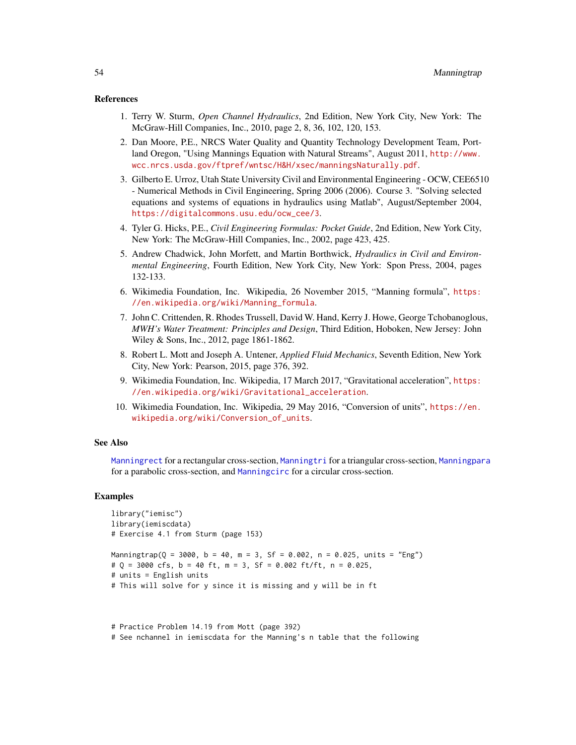#### References

- 1. Terry W. Sturm, *Open Channel Hydraulics*, 2nd Edition, New York City, New York: The McGraw-Hill Companies, Inc., 2010, page 2, 8, 36, 102, 120, 153.
- 2. Dan Moore, P.E., NRCS Water Quality and Quantity Technology Development Team, Portland Oregon, "Using Mannings Equation with Natural Streams", August 2011, [http://www.](http://www.wcc.nrcs.usda.gov/ftpref/wntsc/H&H/xsec/manningsNaturally.pdf) [wcc.nrcs.usda.gov/ftpref/wntsc/H&H/xsec/manningsNaturally.pdf](http://www.wcc.nrcs.usda.gov/ftpref/wntsc/H&H/xsec/manningsNaturally.pdf).
- 3. Gilberto E. Urroz, Utah State University Civil and Environmental Engineering OCW, CEE6510 - Numerical Methods in Civil Engineering, Spring 2006 (2006). Course 3. "Solving selected equations and systems of equations in hydraulics using Matlab", August/September 2004, [https://digitalcommons.usu.edu/ocw\\_cee/3](https://digitalcommons.usu.edu/ocw_cee/3).
- 4. Tyler G. Hicks, P.E., *Civil Engineering Formulas: Pocket Guide*, 2nd Edition, New York City, New York: The McGraw-Hill Companies, Inc., 2002, page 423, 425.
- 5. Andrew Chadwick, John Morfett, and Martin Borthwick, *Hydraulics in Civil and Environmental Engineering*, Fourth Edition, New York City, New York: Spon Press, 2004, pages 132-133.
- 6. Wikimedia Foundation, Inc. Wikipedia, 26 November 2015, "Manning formula", [https:](https://en.wikipedia.org/wiki/Manning_formula) [//en.wikipedia.org/wiki/Manning\\_formula](https://en.wikipedia.org/wiki/Manning_formula).
- 7. John C. Crittenden, R. Rhodes Trussell, David W. Hand, Kerry J. Howe, George Tchobanoglous, *MWH's Water Treatment: Principles and Design*, Third Edition, Hoboken, New Jersey: John Wiley & Sons, Inc., 2012, page 1861-1862.
- 8. Robert L. Mott and Joseph A. Untener, *Applied Fluid Mechanics*, Seventh Edition, New York City, New York: Pearson, 2015, page 376, 392.
- 9. Wikimedia Foundation, Inc. Wikipedia, 17 March 2017, "Gravitational acceleration", [https:](https://en.wikipedia.org/wiki/Gravitational_acceleration) [//en.wikipedia.org/wiki/Gravitational\\_acceleration](https://en.wikipedia.org/wiki/Gravitational_acceleration).
- 10. Wikimedia Foundation, Inc. Wikipedia, 29 May 2016, "Conversion of units", [https://en.](https://en.wikipedia.org/wiki/Conversion_of_units) [wikipedia.org/wiki/Conversion\\_of\\_units](https://en.wikipedia.org/wiki/Conversion_of_units).

#### See Also

[Manningrect](#page-45-0) for a rectangular cross-section, [Manningtri](#page-54-0) for a triangular cross-section, [Manningpara](#page-40-0) for a parabolic cross-section, and [Manningcirc](#page-34-0) for a circular cross-section.

#### Examples

```
library("iemisc")
library(iemiscdata)
# Exercise 4.1 from Sturm (page 153)
Manningtrap(Q = 3000, b = 40, m = 3, Sf = 0.002, n = 0.025, units = "Eng")
# Q = 3000 cfs, b = 40 ft, m = 3, Sf = 0.002 ft/ft, n = 0.025,
# units = English units
# This will solve for y since it is missing and y will be in ft
```
# Practice Problem 14.19 from Mott (page 392) # See nchannel in iemiscdata for the Manning's n table that the following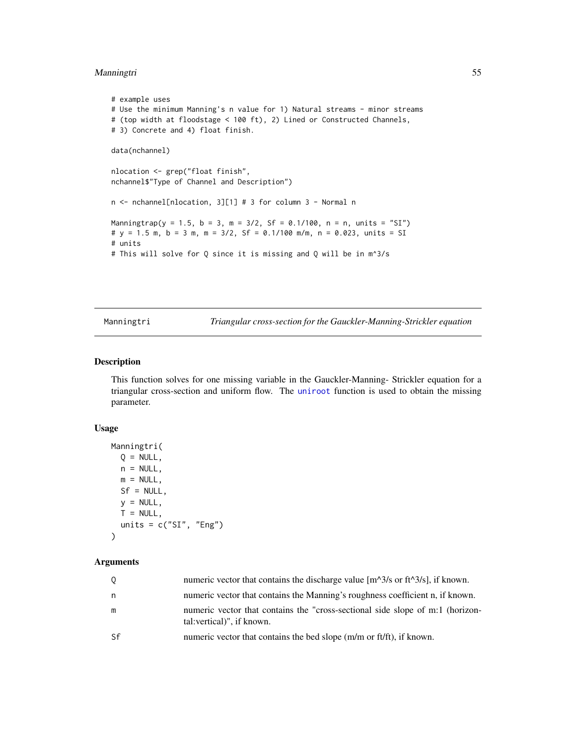## Manningtri 55

```
# example uses
# Use the minimum Manning's n value for 1) Natural streams - minor streams
# (top width at floodstage < 100 ft), 2) Lined or Constructed Channels,
# 3) Concrete and 4) float finish.
data(nchannel)
nlocation <- grep("float finish",
nchannel$"Type of Channel and Description")
n <- nchannel[nlocation, 3][1] # 3 for column 3 - Normal n
Manningtrap(y = 1.5, b = 3, m = 3/2, Sf = 0.1/100, n = n, units = "SI")
# y = 1.5 m, b = 3 m, m = 3/2, Sf = 0.1/100 m/m, n = 0.023, units = SI
# units
# This will solve for Q since it is missing and Q will be in m^3/s
```
<span id="page-54-0"></span>

Manningtri *Triangular cross-section for the Gauckler-Manning-Strickler equation*

## Description

This function solves for one missing variable in the Gauckler-Manning- Strickler equation for a triangular cross-section and uniform flow. The [uniroot](#page-0-0) function is used to obtain the missing parameter.

#### Usage

```
Manningtri(
 Q = NULL,
 n = NULL,m = NULL,Sf = NULL,y = NULL,T = NULL,units = c("SI", "Eng"))
```
#### Arguments

| $\circ$ | numeric vector that contains the discharge value $[m^{\wedge}3/s \text{ or } ft^{\wedge}3/s]$ , if known.   |
|---------|-------------------------------------------------------------------------------------------------------------|
| n.      | numeric vector that contains the Manning's roughness coefficient n, if known.                               |
| m       | numeric vector that contains the "cross-sectional side slope of m:1 (horizon-<br>tal: vertical)", if known. |
| -Sf     | numeric vector that contains the bed slope (m/m or ft/ft), if known.                                        |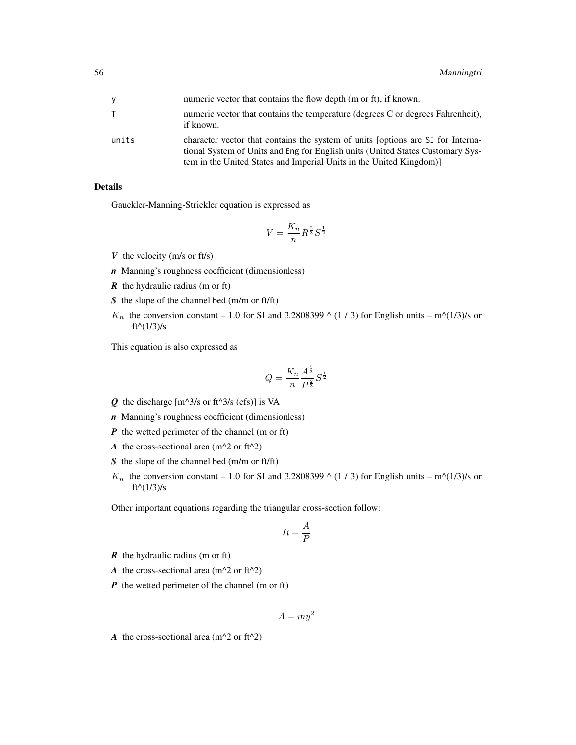| ٧     | numeric vector that contains the flow depth (m or ft), if known.                                                                                                                                                                        |
|-------|-----------------------------------------------------------------------------------------------------------------------------------------------------------------------------------------------------------------------------------------|
|       | numeric vector that contains the temperature (degrees C or degrees Fahrenheit).<br>if known.                                                                                                                                            |
| units | character vector that contains the system of units (options are SI for Interna-<br>tional System of Units and Eng for English units (United States Customary Sys-<br>tem in the United States and Imperial Units in the United Kingdom) |

# Details

Gauckler-Manning-Strickler equation is expressed as

$$
V = \frac{K_n}{n} R^{\frac{2}{3}} S^{\frac{1}{2}}
$$

- *V* the velocity (m/s or ft/s)
- *n* Manning's roughness coefficient (dimensionless)
- *R* the hydraulic radius (m or ft)
- *S* the slope of the channel bed (m/m or ft/ft)
- $K_n$  the conversion constant 1.0 for SI and 3.2808399  $\wedge$  (1 / 3) for English units m $\wedge$ (1/3)/s or  $ft^{\wedge}(1/3)/s$

This equation is also expressed as

$$
Q = \frac{K_n}{n} \frac{A^{\frac{5}{3}}}{P^{\frac{2}{3}}} S^{\frac{1}{2}}
$$

- $Q$  the discharge  $[m^{\wedge}3/s \text{ or } ft^{\wedge}3/s \text{ (cfs)}]$  is VA
- *n* Manning's roughness coefficient (dimensionless)
- *P* the wetted perimeter of the channel (m or ft)
- *A* the cross-sectional area ( $m^2$  or ft<sup> $2$ </sup>)
- *S* the slope of the channel bed (m/m or ft/ft)
- $K_n$  the conversion constant 1.0 for SI and 3.2808399  $\wedge$  (1 / 3) for English units m $\wedge$ (1/3)/s or  $ft^{\wedge}(1/3)/s$

Other important equations regarding the triangular cross-section follow:

$$
R=\frac{A}{P}
$$

- *R* the hydraulic radius (m or ft)
- *A* the cross-sectional area ( $m^2$  or ft<sup> $2$ </sup>)
- *P* the wetted perimeter of the channel (m or ft)

$$
A = my^2
$$

*A* the cross-sectional area ( $m^2$  or ft<sup> $2$ </sup>)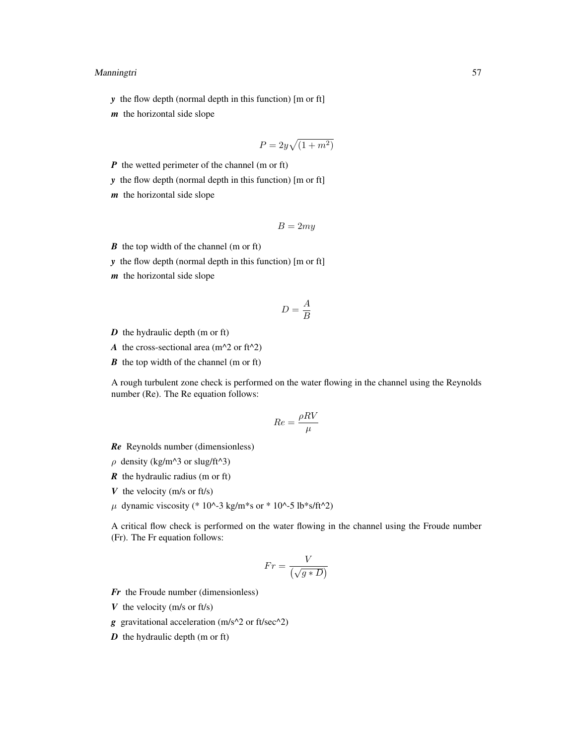## Manningtri 57

*y* the flow depth (normal depth in this function) [m or ft]

*m* the horizontal side slope

$$
P = 2y\sqrt{(1+m^2)}
$$

*P* the wetted perimeter of the channel (m or ft)

*y* the flow depth (normal depth in this function) [m or ft]

*m* the horizontal side slope

$$
B=2my
$$

*B* the top width of the channel (m or ft)

*y* the flow depth (normal depth in this function) [m or ft]

*m* the horizontal side slope

$$
D = \frac{A}{B}
$$

*D* the hydraulic depth (m or ft)

*A* the cross-sectional area ( $m^2$  or ft<sup> $2$ </sup>)

*B* the top width of the channel (m or ft)

A rough turbulent zone check is performed on the water flowing in the channel using the Reynolds number (Re). The Re equation follows:

$$
Re = \frac{\rho RV}{\mu}
$$

*Re* Reynolds number (dimensionless)

- $\rho$  density (kg/m^3 or slug/ft^3)
- *R* the hydraulic radius (m or ft)
- *V* the velocity (m/s or ft/s)
- $\mu$  dynamic viscosity (\* 10^-3 kg/m\*s or \* 10^-5 lb\*s/ft^2)

A critical flow check is performed on the water flowing in the channel using the Froude number (Fr). The Fr equation follows:

$$
Fr = \frac{V}{\left(\sqrt{g*D}\right)}
$$

*Fr* the Froude number (dimensionless)

*V* the velocity (m/s or ft/s)

*g* gravitational acceleration (m/s^2 or ft/sec^2)

*D* the hydraulic depth (m or ft)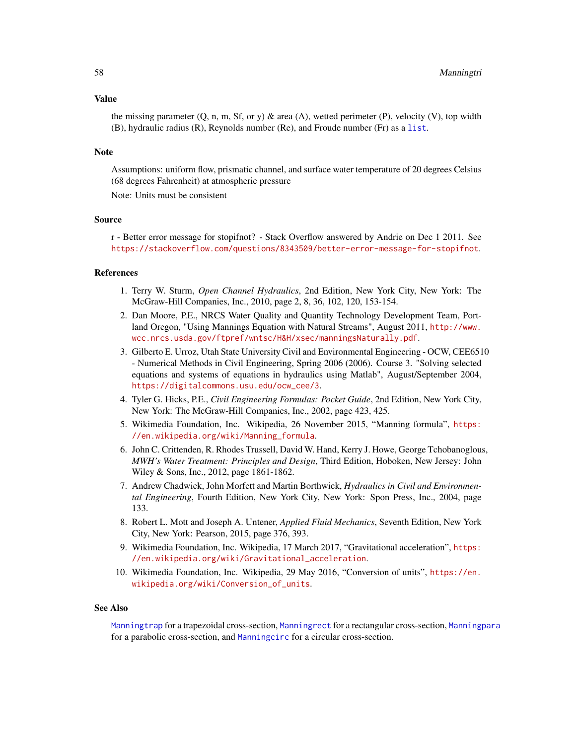#### Value

the missing parameter  $(0, n, m, Sf, or y)$  & area  $(A)$ , wetted perimeter  $(P)$ , velocity  $(V)$ , top width (B), hydraulic radius (R), Reynolds number (Re), and Froude number (Fr) as a [list](#page-0-0).

#### **Note**

Assumptions: uniform flow, prismatic channel, and surface water temperature of 20 degrees Celsius (68 degrees Fahrenheit) at atmospheric pressure

Note: Units must be consistent

#### Source

r - Better error message for stopifnot? - Stack Overflow answered by Andrie on Dec 1 2011. See <https://stackoverflow.com/questions/8343509/better-error-message-for-stopifnot>.

## References

- 1. Terry W. Sturm, *Open Channel Hydraulics*, 2nd Edition, New York City, New York: The McGraw-Hill Companies, Inc., 2010, page 2, 8, 36, 102, 120, 153-154.
- 2. Dan Moore, P.E., NRCS Water Quality and Quantity Technology Development Team, Portland Oregon, "Using Mannings Equation with Natural Streams", August 2011, [http://www.](http://www.wcc.nrcs.usda.gov/ftpref/wntsc/H&H/xsec/manningsNaturally.pdf) [wcc.nrcs.usda.gov/ftpref/wntsc/H&H/xsec/manningsNaturally.pdf](http://www.wcc.nrcs.usda.gov/ftpref/wntsc/H&H/xsec/manningsNaturally.pdf).
- 3. Gilberto E. Urroz, Utah State University Civil and Environmental Engineering OCW, CEE6510 - Numerical Methods in Civil Engineering, Spring 2006 (2006). Course 3. "Solving selected equations and systems of equations in hydraulics using Matlab", August/September 2004, [https://digitalcommons.usu.edu/ocw\\_cee/3](https://digitalcommons.usu.edu/ocw_cee/3).
- 4. Tyler G. Hicks, P.E., *Civil Engineering Formulas: Pocket Guide*, 2nd Edition, New York City, New York: The McGraw-Hill Companies, Inc., 2002, page 423, 425.
- 5. Wikimedia Foundation, Inc. Wikipedia, 26 November 2015, "Manning formula", [https:](https://en.wikipedia.org/wiki/Manning_formula) [//en.wikipedia.org/wiki/Manning\\_formula](https://en.wikipedia.org/wiki/Manning_formula).
- 6. John C. Crittenden, R. Rhodes Trussell, David W. Hand, Kerry J. Howe, George Tchobanoglous, *MWH's Water Treatment: Principles and Design*, Third Edition, Hoboken, New Jersey: John Wiley & Sons, Inc., 2012, page 1861-1862.
- 7. Andrew Chadwick, John Morfett and Martin Borthwick, *Hydraulics in Civil and Environmental Engineering*, Fourth Edition, New York City, New York: Spon Press, Inc., 2004, page 133.
- 8. Robert L. Mott and Joseph A. Untener, *Applied Fluid Mechanics*, Seventh Edition, New York City, New York: Pearson, 2015, page 376, 393.
- 9. Wikimedia Foundation, Inc. Wikipedia, 17 March 2017, "Gravitational acceleration", [https:](https://en.wikipedia.org/wiki/Gravitational_acceleration) [//en.wikipedia.org/wiki/Gravitational\\_acceleration](https://en.wikipedia.org/wiki/Gravitational_acceleration).
- 10. Wikimedia Foundation, Inc. Wikipedia, 29 May 2016, "Conversion of units", [https://en.](https://en.wikipedia.org/wiki/Conversion_of_units) [wikipedia.org/wiki/Conversion\\_of\\_units](https://en.wikipedia.org/wiki/Conversion_of_units).

#### See Also

[Manningtrap](#page-49-0) for a trapezoidal cross-section, [Manningrect](#page-45-0) for a rectangular cross-section, [Manningpara](#page-40-0) for a parabolic cross-section, and [Manningcirc](#page-34-0) for a circular cross-section.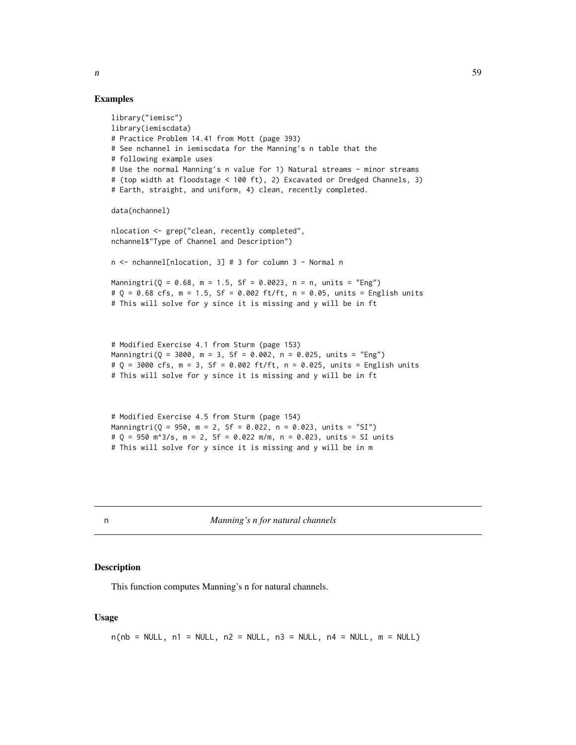## Examples

```
library("iemisc")
library(iemiscdata)
# Practice Problem 14.41 from Mott (page 393)
# See nchannel in iemiscdata for the Manning's n table that the
# following example uses
# Use the normal Manning's n value for 1) Natural streams - minor streams
# (top width at floodstage < 100 ft), 2) Excavated or Dredged Channels, 3)
# Earth, straight, and uniform, 4) clean, recently completed.
data(nchannel)
nlocation <- grep("clean, recently completed",
nchannel$"Type of Channel and Description")
n <- nchannel[nlocation, 3] # 3 for column 3 - Normal n
Manningtri(Q = 0.68, m = 1.5, Sf = 0.0023, n = n, units = "Eng")
# Q = 0.68 cfs, m = 1.5, Sf = 0.002 ft/ft, n = 0.05, units = English units
# This will solve for y since it is missing and y will be in ft
# Modified Exercise 4.1 from Sturm (page 153)
Manningtri(Q = 3000, m = 3, Sf = 0.002, n = 0.025, units = "Eng")
# 0 = 3000 cfs, m = 3, Sf = 0.002 ft/ft, n = 0.025, units = English units
# This will solve for y since it is missing and y will be in ft
# Modified Exercise 4.5 from Sturm (page 154)
Manningtri(Q = 950, m = 2, Sf = 0.022, n = 0.023, units = "SI")
# Q = 950 m^3/s, m = 2, Sf = 0.022 m/m, n = 0.023, units = SI units
```
# This will solve for y since it is missing and y will be in m

<span id="page-58-0"></span>

n *Manning's n for natural channels*

#### Description

This function computes Manning's n for natural channels.

#### Usage

```
n(nb = NULL, n1 = NULL, n2 = NULL, n3 = NULL, n4 = NULL, m = NULL)
```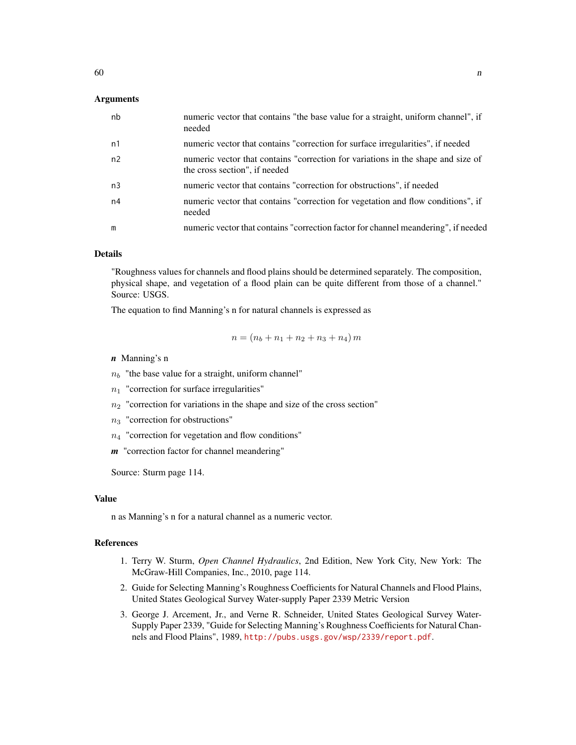## Arguments

| nb             | numeric vector that contains "the base value for a straight, uniform channel", if<br>needed                       |
|----------------|-------------------------------------------------------------------------------------------------------------------|
| n1             | numeric vector that contains "correction for surface irregularities", if needed                                   |
| n2             | numeric vector that contains "correction for variations in the shape and size of<br>the cross section", if needed |
| n <sub>3</sub> | numeric vector that contains "correction for obstructions", if needed                                             |
| n4             | numeric vector that contains "correction for vegetation and flow conditions", if<br>needed                        |
| m              | numeric vector that contains "correction factor for channel meandering", if needed                                |

# Details

"Roughness values for channels and flood plains should be determined separately. The composition, physical shape, and vegetation of a flood plain can be quite different from those of a channel." Source: USGS.

The equation to find Manning's n for natural channels is expressed as

$$
n = (n_b + n_1 + n_2 + n_3 + n_4) m
$$

#### *n* Manning's n

 $n_b$  "the base value for a straight, uniform channel"

 $n_1$  "correction for surface irregularities"

 $n_2$  "correction for variations in the shape and size of the cross section"

 $n_3$  "correction for obstructions"

 $n_4$  "correction for vegetation and flow conditions"

*m* "correction factor for channel meandering"

Source: Sturm page 114.

#### Value

n as Manning's n for a natural channel as a numeric vector.

# References

- 1. Terry W. Sturm, *Open Channel Hydraulics*, 2nd Edition, New York City, New York: The McGraw-Hill Companies, Inc., 2010, page 114.
- 2. Guide for Selecting Manning's Roughness Coefficients for Natural Channels and Flood Plains, United States Geological Survey Water-supply Paper 2339 Metric Version
- 3. George J. Arcement, Jr., and Verne R. Schneider, United States Geological Survey Water-Supply Paper 2339, "Guide for Selecting Manning's Roughness Coefficients for Natural Channels and Flood Plains", 1989, <http://pubs.usgs.gov/wsp/2339/report.pdf>.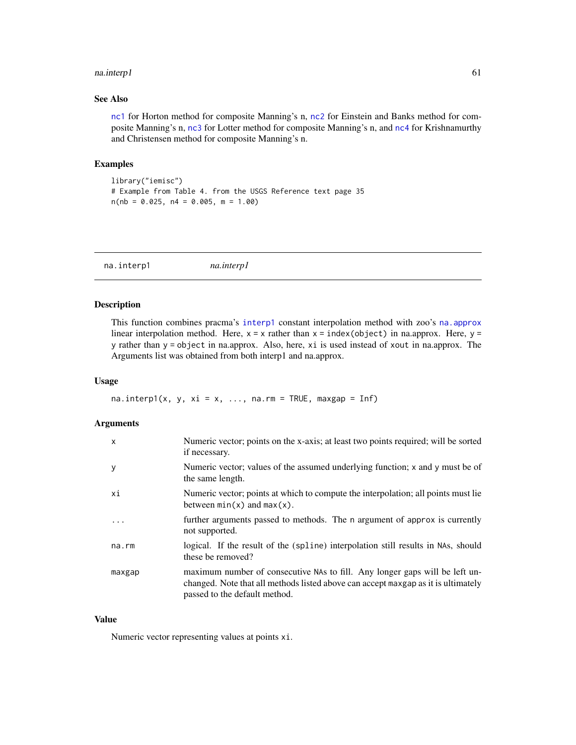#### na.interp1 61

## See Also

[nc1](#page-62-0) for Horton method for composite Manning's n, [nc2](#page-64-0) for Einstein and Banks method for composite Manning's n, [nc3](#page-65-0) for Lotter method for composite Manning's n, and [nc4](#page-66-0) for Krishnamurthy and Christensen method for composite Manning's n.

#### Examples

```
library("iemisc")
# Example from Table 4. from the USGS Reference text page 35
n(nb = 0.025, n4 = 0.005, m = 1.00)
```
na.interp1 *na.interp1*

# Description

This function combines pracma's [interp1](#page-0-0) constant interpolation method with zoo's [na.approx](#page-0-0) linear interpolation method. Here,  $x = x$  rather than  $x = \text{index}(\text{object})$  in na.approx. Here,  $y =$ y rather than y = object in na.approx. Also, here, xi is used instead of xout in na.approx. The Arguments list was obtained from both interp1 and na.approx.

#### Usage

na.interp1(x, y, xi = x, ..., na.rm = TRUE, maxgap = Inf)

## Arguments

| $\mathsf{x}$ | Numeric vector; points on the x-axis; at least two points required; will be sorted<br>if necessary.                                                                                               |
|--------------|---------------------------------------------------------------------------------------------------------------------------------------------------------------------------------------------------|
| y            | Numeric vector; values of the assumed underlying function; x and y must be of<br>the same length.                                                                                                 |
| хi           | Numeric vector; points at which to compute the interpolation; all points must lie<br>between $min(x)$ and $max(x)$ .                                                                              |
| .            | further arguments passed to methods. The n argument of approx is currently<br>not supported.                                                                                                      |
| $na$ . $rm$  | logical. If the result of the (spline) interpolation still results in NAs, should<br>these be removed?                                                                                            |
| maxgap       | maximum number of consecutive NAs to fill. Any longer gaps will be left un-<br>changed. Note that all methods listed above can accept maxgap as it is ultimately<br>passed to the default method. |

## Value

Numeric vector representing values at points xi.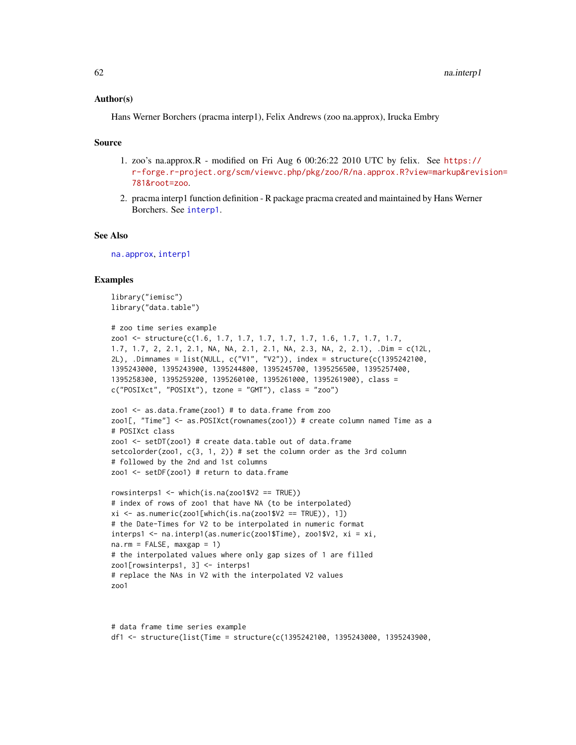#### Author(s)

Hans Werner Borchers (pracma interp1), Felix Andrews (zoo na.approx), Irucka Embry

#### Source

- 1. zoo's na.approx.R modified on Fri Aug 6 00:26:22 2010 UTC by felix. See [https://](https://r-forge.r-project.org/scm/viewvc.php/pkg/zoo/R/na.approx.R?view=markup&revision=781&root=zoo) [r-forge.r-project.org/scm/viewvc.php/pkg/zoo/R/na.approx.R?view=markup&revi](https://r-forge.r-project.org/scm/viewvc.php/pkg/zoo/R/na.approx.R?view=markup&revision=781&root=zoo)sion= [781&root=zoo](https://r-forge.r-project.org/scm/viewvc.php/pkg/zoo/R/na.approx.R?view=markup&revision=781&root=zoo).
- 2. pracma interp1 function definition R package pracma created and maintained by Hans Werner Borchers. See [interp1](#page-0-0).

#### See Also

[na.approx](#page-0-0), [interp1](#page-0-0)

#### Examples

```
library("iemisc")
library("data.table")
```

```
# zoo time series example
zoo1 <- structure(c(1.6, 1.7, 1.7, 1.7, 1.7, 1.7, 1.6, 1.7, 1.7, 1.7,
1.7, 1.7, 2, 2.1, 2.1, NA, NA, 2.1, 2.1, NA, 2.3, NA, 2, 2.1), .Dim = c(12L,
2L), .Dimnames = list(NULL, c("V1", "V2")), index = structure(c(1395242100,
1395243000, 1395243900, 1395244800, 1395245700, 1395256500, 1395257400,
1395258300, 1395259200, 1395260100, 1395261000, 1395261900), class =
c("POSIXct", "POSIXt"), tzone = "GMT"), class = "zoo")
```

```
zoo1 <- as.data.frame(zoo1) # to data.frame from zoo
zoo1[, "Time"] <- as.POSIXct(rownames(zoo1)) # create column named Time as a
# POSIXct class
zoo1 <- setDT(zoo1) # create data.table out of data.frame
setcolorder(zoo1, c(3, 1, 2)) # set the column order as the 3rd column
# followed by the 2nd and 1st columns
zoo1 <- setDF(zoo1) # return to data.frame
```

```
rowsinterps1 <- which(is.na(zoo1$V2 == TRUE))
# index of rows of zoo1 that have NA (to be interpolated)
xi \leftarrow as.numeric(zoo1[which(is.na(zoo1$V2 == TRUE)), 1])# the Date-Times for V2 to be interpolated in numeric format
interps1 <- na.interp1(as.numeric(zoo1$Time), zoo1$V2, xi = xi,
na.rm = FALSE, maxgap = 1)# the interpolated values where only gap sizes of 1 are filled
zoo1[rowsinterps1, 3] <- interps1
# replace the NAs in V2 with the interpolated V2 values
zoo1
```

```
# data frame time series example
df1 <- structure(list(Time = structure(c(1395242100, 1395243000, 1395243900,
```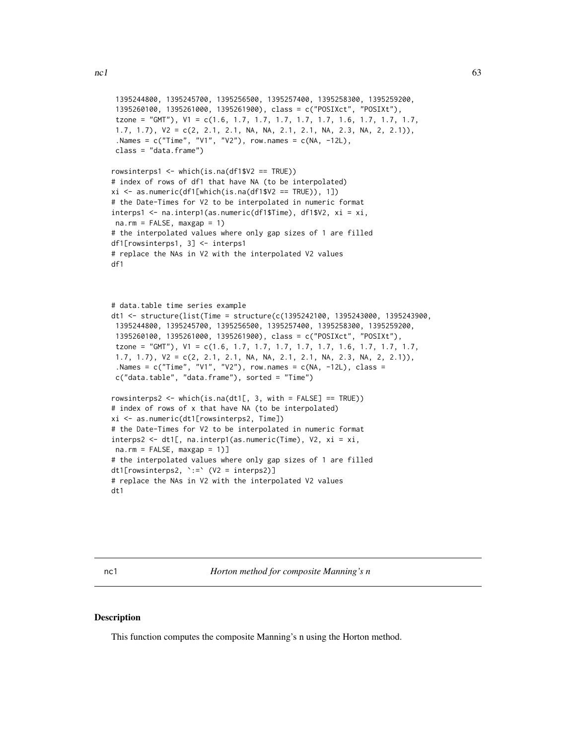```
1395244800, 1395245700, 1395256500, 1395257400, 1395258300, 1395259200,
 1395260100, 1395261000, 1395261900), class = c("POSIXct", "POSIXt"),
 tzone = "GMT"), V1 = c(1.6, 1.7, 1.7, 1.7, 1.7, 1.7, 1.6, 1.7, 1.7, 1.7,1.7, 1.7), V2 = c(2, 2.1, 2.1, NA, NA, 2.1, 2.1, NA, 2.3, NA, 2, 2.1)),
 .Names = c("Time", "V1", "V2"), row names = <math>c(NA, -12L)</math>,class = "data.frame")
rowsinterps1 <- which(is.na(df1$V2 == TRUE))
# index of rows of df1 that have NA (to be interpolated)
xi <- as.numeric(df1[which(is.na(df1$V2 == TRUE)), 1])
# the Date-Times for V2 to be interpolated in numeric format
interps1 <- na.interp1(as.numeric(df1$Time), df1$V2, xi = xi,
na.rm = FALSE, maxgap = 1)# the interpolated values where only gap sizes of 1 are filled
df1[rowsinterps1, 3] <- interps1
# replace the NAs in V2 with the interpolated V2 values
df1
# data.table time series example
dt1 <- structure(list(Time = structure(c(1395242100, 1395243000, 1395243900,
1395244800, 1395245700, 1395256500, 1395257400, 1395258300, 1395259200,
 1395260100, 1395261000, 1395261900), class = c("POSIXct", "POSIXt"),
 tzone = "GMT"), V1 = c(1.6, 1.7, 1.7, 1.7, 1.7, 1.7, 1.6, 1.7, 1.7, 1.7,
 1.7, 1.7), V2 = c(2, 2.1, 2.1, NA, NA, 2.1, 2.1, NA, 2.3, NA, 2, 2.1)),
 .Names = c("Time", "V1", "V2"), row.name = <math>c(NA, -12L)</math>, class =c("data.table", "data.frame"), sorted = "Time")
rowsinterps2 <- which(is.na(dt1[, 3, with = FALSE] == TRUE))
# index of rows of x that have NA (to be interpolated)
xi <- as.numeric(dt1[rowsinterps2, Time])
# the Date-Times for V2 to be interpolated in numeric format
interps2 <- dt1[, na.interp1(as.numeric(Time), V2, xi = xi,
na.rm = FALSE, maxgap = 1]# the interpolated values where only gap sizes of 1 are filled
dt1[rowsinterps2, `:=` (V2 = interps2)]
# replace the NAs in V2 with the interpolated V2 values
dt1
```
<span id="page-62-0"></span>nc1 *Horton method for composite Manning's n*

#### **Description**

This function computes the composite Manning's n using the Horton method.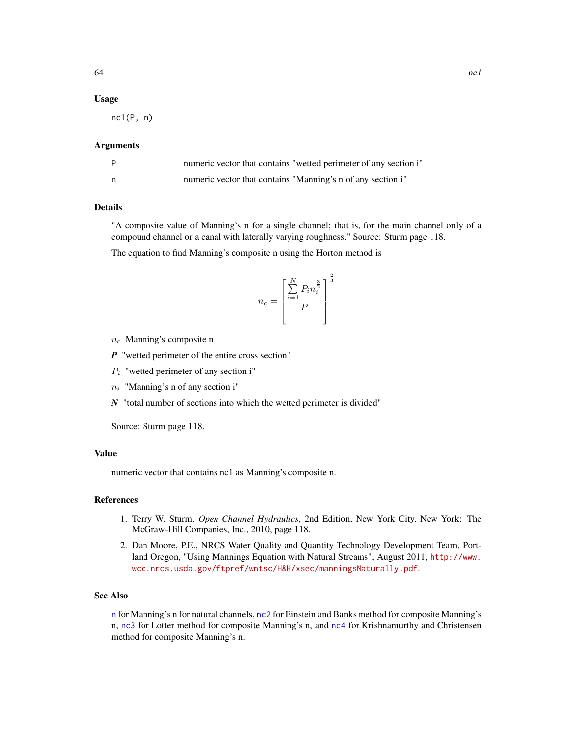#### Usage

nc1(P, n)

#### Arguments

| numeric vector that contains "wetted perimeter of any section i" |
|------------------------------------------------------------------|
| numeric vector that contains "Manning's n of any section i"      |

## Details

"A composite value of Manning's n for a single channel; that is, for the main channel only of a compound channel or a canal with laterally varying roughness." Source: Sturm page 118.

The equation to find Manning's composite n using the Horton method is

$$
n_c = \left[\frac{\sum_{i=1}^{N} P_i n_i^{\frac{3}{2}}}{P}\right]^{\frac{2}{3}}
$$

- $n_c$  Manning's composite n
- *P* "wetted perimeter of the entire cross section"
- $P_i$  "wetted perimeter of any section i"
- $n_i$  "Manning's n of any section i"
- *N* "total number of sections into which the wetted perimeter is divided"

Source: Sturm page 118.

## Value

numeric vector that contains nc1 as Manning's composite n.

## References

- 1. Terry W. Sturm, *Open Channel Hydraulics*, 2nd Edition, New York City, New York: The McGraw-Hill Companies, Inc., 2010, page 118.
- 2. Dan Moore, P.E., NRCS Water Quality and Quantity Technology Development Team, Portland Oregon, "Using Mannings Equation with Natural Streams", August 2011, [http://www.](http://www.wcc.nrcs.usda.gov/ftpref/wntsc/H&H/xsec/manningsNaturally.pdf) [wcc.nrcs.usda.gov/ftpref/wntsc/H&H/xsec/manningsNaturally.pdf](http://www.wcc.nrcs.usda.gov/ftpref/wntsc/H&H/xsec/manningsNaturally.pdf).

#### See Also

[n](#page-58-0) for Manning's n for natural channels, [nc2](#page-64-0) for Einstein and Banks method for composite Manning's n, [nc3](#page-65-0) for Lotter method for composite Manning's n, and [nc4](#page-66-0) for Krishnamurthy and Christensen method for composite Manning's n.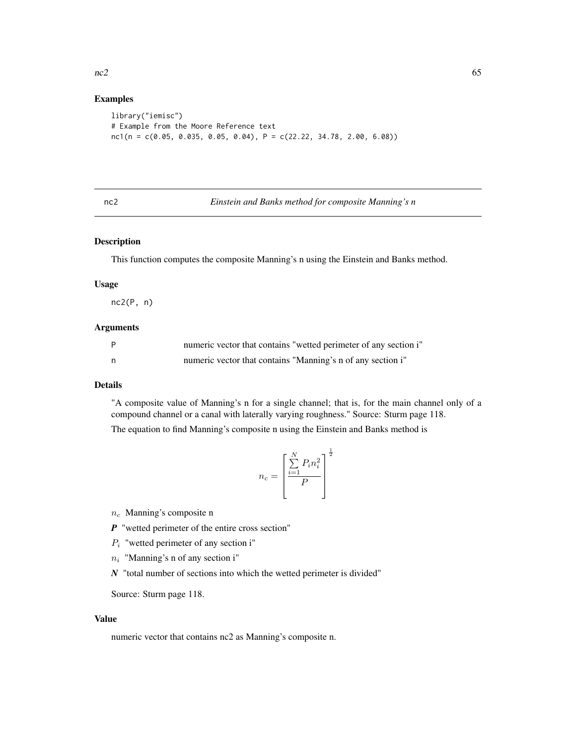## Examples

```
library("iemisc")
# Example from the Moore Reference text
nc1(n = c(0.05, 0.035, 0.05, 0.04), P = c(22.22, 34.78, 2.00, 6.08))
```
# <span id="page-64-0"></span>nc2 *Einstein and Banks method for composite Manning's n*

## Description

This function computes the composite Manning's n using the Einstein and Banks method.

## Usage

nc2(P, n)

## Arguments

| $\mathsf{P}$ | numeric vector that contains "wetted perimeter of any section i" |
|--------------|------------------------------------------------------------------|
| n            | numeric vector that contains "Manning's n of any section i"      |

## Details

"A composite value of Manning's n for a single channel; that is, for the main channel only of a compound channel or a canal with laterally varying roughness." Source: Sturm page 118.

The equation to find Manning's composite n using the Einstein and Banks method is

$$
n_c = \left[\frac{\sum_{i=1}^{N} P_i n_i^2}{P}\right]^{\frac{1}{2}}
$$

 $n_c$  Manning's composite n

- *P* "wetted perimeter of the entire cross section"
- $P_i$  "wetted perimeter of any section i"
- $n_i$  "Manning's n of any section i"
- *N* "total number of sections into which the wetted perimeter is divided"

Source: Sturm page 118.

## Value

numeric vector that contains nc2 as Manning's composite n.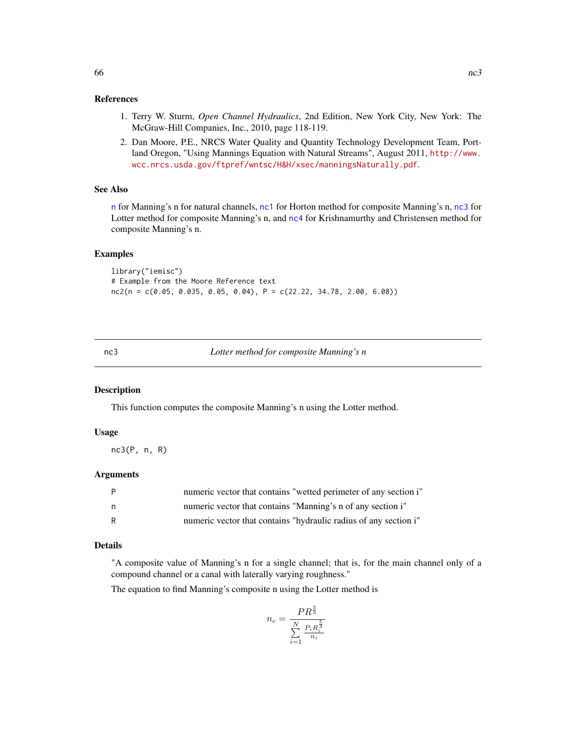## References

- 1. Terry W. Sturm, *Open Channel Hydraulics*, 2nd Edition, New York City, New York: The McGraw-Hill Companies, Inc., 2010, page 118-119.
- 2. Dan Moore, P.E., NRCS Water Quality and Quantity Technology Development Team, Portland Oregon, "Using Mannings Equation with Natural Streams", August 2011, [http://www.](http://www.wcc.nrcs.usda.gov/ftpref/wntsc/H&H/xsec/manningsNaturally.pdf) [wcc.nrcs.usda.gov/ftpref/wntsc/H&H/xsec/manningsNaturally.pdf](http://www.wcc.nrcs.usda.gov/ftpref/wntsc/H&H/xsec/manningsNaturally.pdf).

## See Also

[n](#page-58-0) for Manning's n for natural channels, [nc1](#page-62-0) for Horton method for composite Manning's n, [nc3](#page-65-0) for Lotter method for composite Manning's n, and [nc4](#page-66-0) for Krishnamurthy and Christensen method for composite Manning's n.

## Examples

library("iemisc") # Example from the Moore Reference text  $nc2(n = c(0.05, 0.035, 0.05, 0.04), P = c(22.22, 34.78, 2.00, 6.08))$ 

#### <span id="page-65-0"></span>nc3 *Lotter method for composite Manning's n*

#### Description

This function computes the composite Manning's n using the Lotter method.

#### Usage

nc3(P, n, R)

## Arguments

| numeric vector that contains "wetted perimeter of any section i" |
|------------------------------------------------------------------|
| numeric vector that contains "Manning's n of any section i"      |
| numeric vector that contains "hydraulic radius of any section i" |

## Details

"A composite value of Manning's n for a single channel; that is, for the main channel only of a compound channel or a canal with laterally varying roughness."

The equation to find Manning's composite n using the Lotter method is

$$
n_c = \frac{PR^{\frac{5}{3}}}{\sum_{i=1}^{N} \frac{P_i R_i^{\frac{5}{3}}}{n_i}}
$$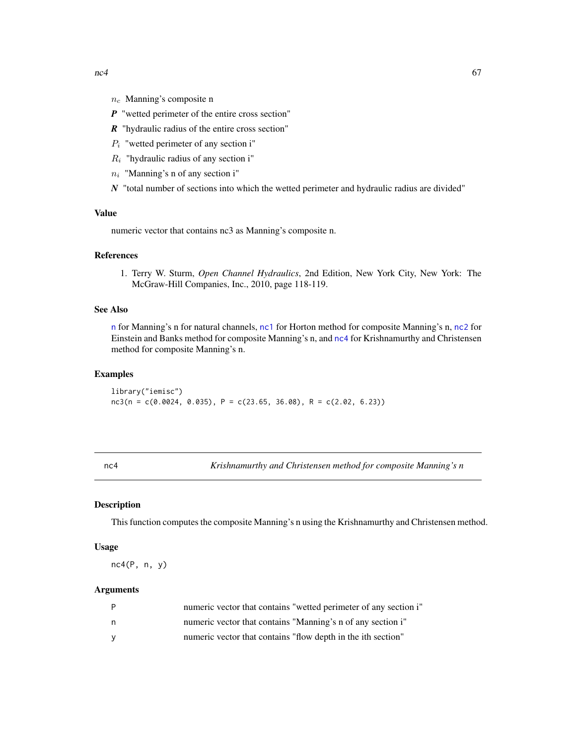- $n_c$  Manning's composite n
- *P* "wetted perimeter of the entire cross section"
- *R* "hydraulic radius of the entire cross section"
- $P_i$  "wetted perimeter of any section i"
- $R_i$  "hydraulic radius of any section i"
- $n_i$  "Manning's n of any section i"
- *N* "total number of sections into which the wetted perimeter and hydraulic radius are divided"

## Value

numeric vector that contains nc3 as Manning's composite n.

#### References

1. Terry W. Sturm, *Open Channel Hydraulics*, 2nd Edition, New York City, New York: The McGraw-Hill Companies, Inc., 2010, page 118-119.

## See Also

[n](#page-58-0) for Manning's n for natural channels, [nc1](#page-62-0) for Horton method for composite Manning's n, [nc2](#page-64-0) for Einstein and Banks method for composite Manning's n, and [nc4](#page-66-0) for Krishnamurthy and Christensen method for composite Manning's n.

## Examples

library("iemisc")  $nc3(n = c(0.0024, 0.035), P = c(23.65, 36.08), R = c(2.02, 6.23))$ 

<span id="page-66-0"></span>nc4 *Krishnamurthy and Christensen method for composite Manning's n*

#### Description

This function computes the composite Manning's n using the Krishnamurthy and Christensen method.

#### Usage

nc4(P, n, y)

## Arguments

|          | numeric vector that contains "wetted perimeter of any section i" |
|----------|------------------------------------------------------------------|
| n.       | numeric vector that contains "Manning's n of any section i"      |
| <b>V</b> | numeric vector that contains "flow depth in the ith section"     |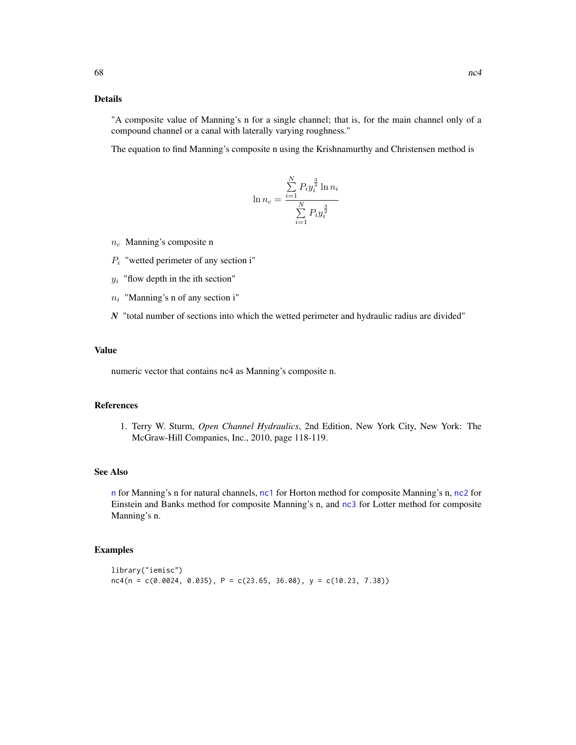# Details

"A composite value of Manning's n for a single channel; that is, for the main channel only of a compound channel or a canal with laterally varying roughness."

The equation to find Manning's composite n using the Krishnamurthy and Christensen method is

 $\ddot{\phantom{0}}$ 

$$
\ln n_c = \frac{\sum_{i=1}^{N} P_i y_i^{\frac{3}{2}} \ln n_i}{\sum_{i=1}^{N} P_i y_i^{\frac{3}{2}}}
$$

- $n_c$  Manning's composite n
- $P_i$  "wetted perimeter of any section i"
- $y_i$  "flow depth in the ith section"
- $n_i$  "Manning's n of any section i"
- *N* "total number of sections into which the wetted perimeter and hydraulic radius are divided"

#### Value

numeric vector that contains nc4 as Manning's composite n.

## References

1. Terry W. Sturm, *Open Channel Hydraulics*, 2nd Edition, New York City, New York: The McGraw-Hill Companies, Inc., 2010, page 118-119.

## See Also

[n](#page-58-0) for Manning's n for natural channels, [nc1](#page-62-0) for Horton method for composite Manning's n, [nc2](#page-64-0) for Einstein and Banks method for composite Manning's n, and [nc3](#page-65-0) for Lotter method for composite Manning's n.

#### Examples

```
library("iemisc")
nc4(n = c(0.0024, 0.035), P = c(23.65, 36.08), y = c(10.23, 7.38))
```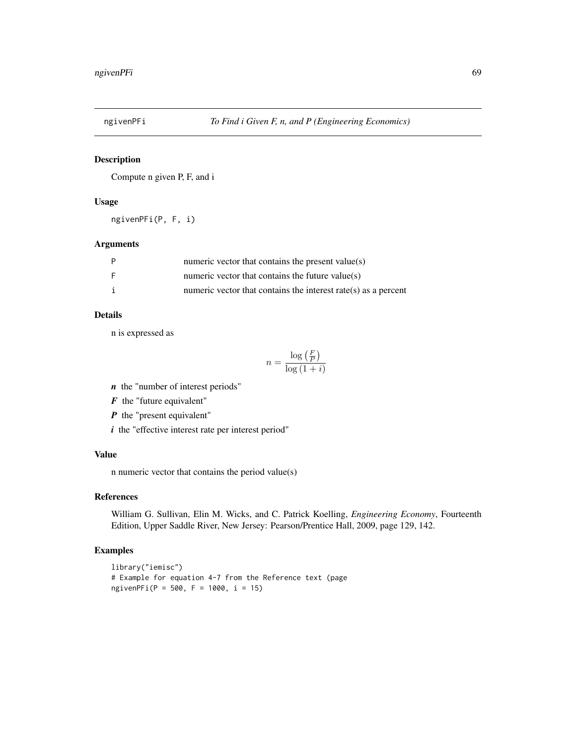## Description

Compute n given P, F, and i

# Usage

ngivenPFi(P, F, i)

## Arguments

| P | numeric vector that contains the present value(s)                  |
|---|--------------------------------------------------------------------|
| E | numeric vector that contains the future value( $s$ )               |
| i | numeric vector that contains the interest rate( $s$ ) as a percent |

# Details

n is expressed as

$$
n = \frac{\log\left(\frac{F}{P}\right)}{\log\left(1+i\right)}
$$

*n* the "number of interest periods"

*F* the "future equivalent"

*P* the "present equivalent"

*i* the "effective interest rate per interest period"

# Value

n numeric vector that contains the period value(s)

## References

William G. Sullivan, Elin M. Wicks, and C. Patrick Koelling, *Engineering Economy*, Fourteenth Edition, Upper Saddle River, New Jersey: Pearson/Prentice Hall, 2009, page 129, 142.

## Examples

```
library("iemisc")
# Example for equation 4-7 from the Reference text (page
ngivenPFi(P = 500, F = 1000, i = 15)
```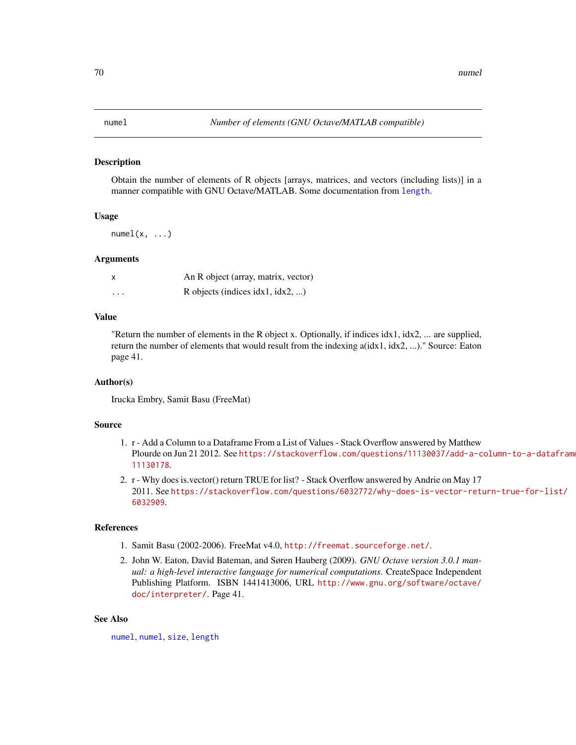#### <span id="page-69-0"></span>Description

Obtain the number of elements of R objects [arrays, matrices, and vectors (including lists)] in a manner compatible with GNU Octave/MATLAB. Some documentation from [length](#page-0-0).

## Usage

 $numel(x, \ldots)$ 

#### Arguments

|          | An R object (array, matrix, vector)    |
|----------|----------------------------------------|
| $\cdots$ | R objects (indices $idx1$ , $idx2$ , ) |

# Value

"Return the number of elements in the R object x. Optionally, if indices idx1, idx2, ... are supplied, return the number of elements that would result from the indexing a(idx1, idx2, ...)." Source: Eaton page 41.

#### Author(s)

Irucka Embry, Samit Basu (FreeMat)

## Source

- 1. r Add a Column to a Dataframe From a List of Values Stack Overflow answered by Matthew Plourde on Jun 21 2012. See [https://stackoverflow.com/questions/11130037/add-a-c](https://stackoverflow.com/questions/11130037/add-a-column-to-a-dataframe-from-a-list-of-values/11130178)olumn-to-a-datafram [11130178](https://stackoverflow.com/questions/11130037/add-a-column-to-a-dataframe-from-a-list-of-values/11130178).
- 2. r Why does is.vector() return TRUE for list? Stack Overflow answered by Andrie on May 17 2011. See [https://stackoverflow.com/questions/6032772/why-does-is-vector-retu](https://stackoverflow.com/questions/6032772/why-does-is-vector-return-true-for-list/6032909)rn-true-for-list/ [6032909](https://stackoverflow.com/questions/6032772/why-does-is-vector-return-true-for-list/6032909).

## References

- 1. Samit Basu (2002-2006). FreeMat v4.0, <http://freemat.sourceforge.net/>.
- 2. John W. Eaton, David Bateman, and Søren Hauberg (2009). *GNU Octave version 3.0.1 manual: a high-level interactive language for numerical computations*. CreateSpace Independent Publishing Platform. ISBN 1441413006, URL [http://www.gnu.org/software/octave/](http://www.gnu.org/software/octave/doc/interpreter/) [doc/interpreter/](http://www.gnu.org/software/octave/doc/interpreter/). Page 41.

## See Also

[numel](#page-69-0), [numel](#page-69-0), [size](#page-90-0), [length](#page-0-0)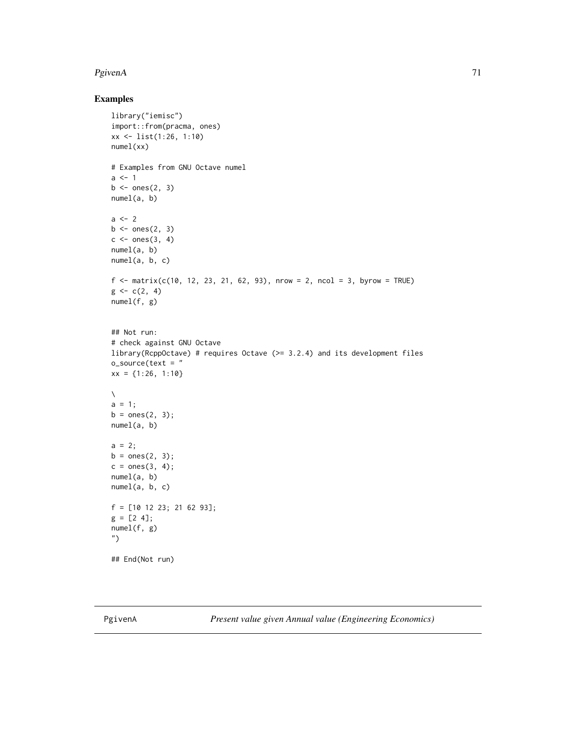## $PgivenA$  71

## Examples

```
library("iemisc")
import::from(pracma, ones)
xx <- list(1:26, 1:10)
numel(xx)
# Examples from GNU Octave numel
a < -1b \leftarrow ones(2, 3)numel(a, b)
a \leftarrow 2b \leftarrow ones(2, 3)c \leftarrow ones(3, 4)numel(a, b)
numel(a, b, c)
f <- matrix(c(10, 12, 23, 21, 62, 93), nrow = 2, ncol = 3, byrow = TRUE)
g \leftarrow c(2, 4)numel(f, g)
## Not run:
# check against GNU Octave
library(RcppOctave) # requires Octave (>= 3.2.4) and its development files
o_source(text = "
xx = {1:26, 1:10}
\setminusa = 1;b = ones(2, 3);numel(a, b)
a = 2;b = ones(2, 3);c = ones(3, 4);numel(a, b)
numel(a, b, c)
f = [10 12 23; 21 62 93];
g = [2 4];numel(f, g)
")
## End(Not run)
```
PgivenA *Present value given Annual value (Engineering Economics)*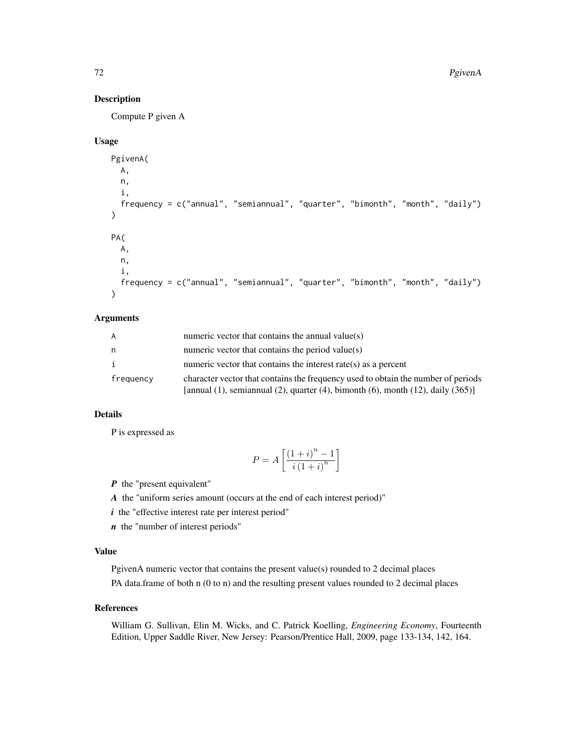# Description

Compute P given A

## Usage

```
PgivenA(
 A,
  n,
  i,
  frequency = c("annual", "semiannual", "quarter", "bimonth", "month", "daily")
\lambdaPA(
 A,
 n,
  i,
  frequency = c("annual", "semiannual", "quarter", "bimonth", "month", "daily")
)
```
## Arguments

| A         | numeric vector that contains the annual value(s)                                                                                                                                       |
|-----------|----------------------------------------------------------------------------------------------------------------------------------------------------------------------------------------|
| n         | numeric vector that contains the period value(s)                                                                                                                                       |
| i.        | numeric vector that contains the interest rate(s) as a percent                                                                                                                         |
| frequency | character vector that contains the frequency used to obtain the number of periods<br>[annual $(1)$ , semiannual $(2)$ , quarter $(4)$ , bimonth $(6)$ , month $(12)$ , daily $(365)$ ] |

# Details

P is expressed as

$$
P = A \left[ \frac{\left(1+i\right)^{n}-1}{i\left(1+i\right)^{n}} \right]
$$

*P* the "present equivalent"

*A* the "uniform series amount (occurs at the end of each interest period)"

*i* the "effective interest rate per interest period"

*n* the "number of interest periods"

#### Value

PgivenA numeric vector that contains the present value(s) rounded to 2 decimal places PA data.frame of both n (0 to n) and the resulting present values rounded to 2 decimal places

#### References

William G. Sullivan, Elin M. Wicks, and C. Patrick Koelling, *Engineering Economy*, Fourteenth Edition, Upper Saddle River, New Jersey: Pearson/Prentice Hall, 2009, page 133-134, 142, 164.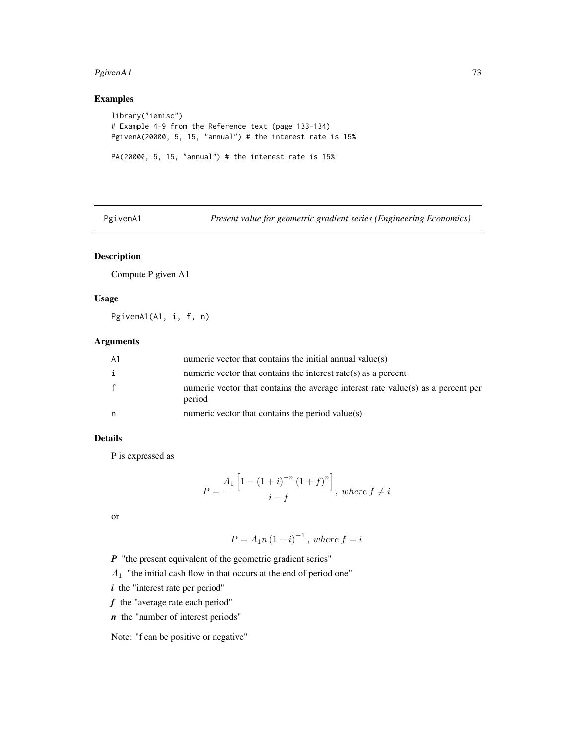#### <span id="page-72-0"></span> $PgivenA1$  73

## Examples

```
library("iemisc")
# Example 4-9 from the Reference text (page 133-134)
PgivenA(20000, 5, 15, "annual") # the interest rate is 15%
PA(20000, 5, 15, "annual") # the interest rate is 15%
```
PgivenA1 *Present value for geometric gradient series (Engineering Economics)*

## Description

Compute P given A1

#### Usage

PgivenA1(A1, i, f, n)

## Arguments

| A1 | numeric vector that contains the initial annual value(s)                                   |
|----|--------------------------------------------------------------------------------------------|
| i  | numeric vector that contains the interest rate(s) as a percent                             |
| f  | numeric vector that contains the average interest rate value(s) as a percent per<br>period |
| n  | numeric vector that contains the period value(s)                                           |

## Details

P is expressed as

$$
P = \frac{A_1 \left[ 1 - (1 + i)^{-n} (1 + f)^n \right]}{i - f}, \text{ where } f \neq i
$$

or

$$
P = A_1 n (1 + i)^{-1}
$$
, where  $f = i$ 

*P* "the present equivalent of the geometric gradient series"

 $A_1$  "the initial cash flow in that occurs at the end of period one"

*i* the "interest rate per period"

*f* the "average rate each period"

*n* the "number of interest periods"

Note: "f can be positive or negative"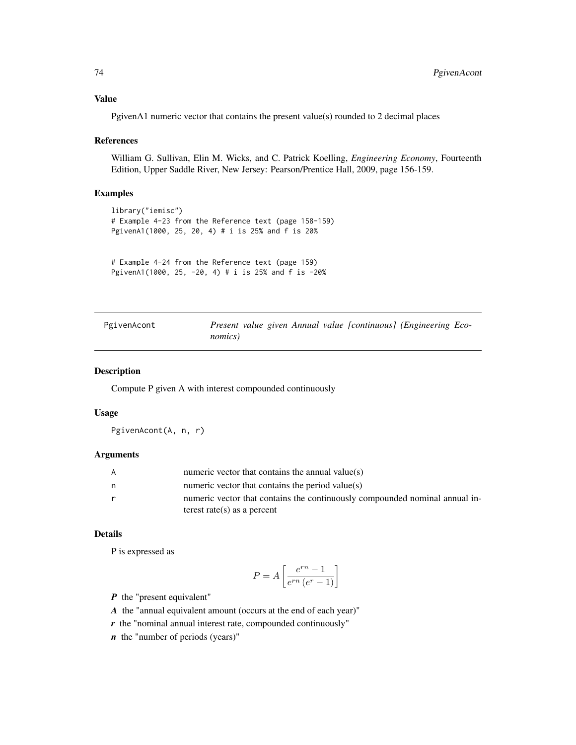## <span id="page-73-0"></span>Value

PgivenA1 numeric vector that contains the present value(s) rounded to 2 decimal places

#### References

William G. Sullivan, Elin M. Wicks, and C. Patrick Koelling, *Engineering Economy*, Fourteenth Edition, Upper Saddle River, New Jersey: Pearson/Prentice Hall, 2009, page 156-159.

#### Examples

```
library("iemisc")
# Example 4-23 from the Reference text (page 158-159)
PgivenA1(1000, 25, 20, 4) # i is 25% and f is 20%
```

```
# Example 4-24 from the Reference text (page 159)
PgivenA1(1000, 25, -20, 4) # i is 25% and f is -20%
```

| PgivenAcont | Present value given Annual value [continuous] (Engineering Eco- |  |
|-------------|-----------------------------------------------------------------|--|
|             | nomics)                                                         |  |

#### Description

Compute P given A with interest compounded continuously

#### Usage

PgivenAcont(A, n, r)

## Arguments

| A | numeric vector that contains the annual value $(s)$                         |
|---|-----------------------------------------------------------------------------|
| n | numeric vector that contains the period value(s)                            |
| r | numeric vector that contains the continuously compounded nominal annual in- |
|   | terest rate(s) as a percent                                                 |

## Details

P is expressed as

$$
P = A \left[ \frac{e^{rn} - 1}{e^{rn} (e^r - 1)} \right]
$$

*P* the "present equivalent"

- *A* the "annual equivalent amount (occurs at the end of each year)"
- *r* the "nominal annual interest rate, compounded continuously"

*n* the "number of periods (years)"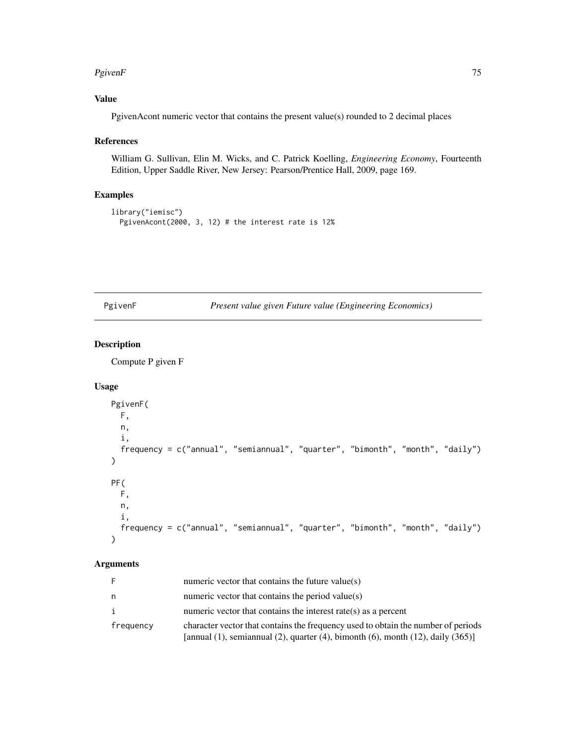#### <span id="page-74-0"></span> $PgivenF$  75

## Value

PgivenAcont numeric vector that contains the present value(s) rounded to 2 decimal places

## References

William G. Sullivan, Elin M. Wicks, and C. Patrick Koelling, *Engineering Economy*, Fourteenth Edition, Upper Saddle River, New Jersey: Pearson/Prentice Hall, 2009, page 169.

## Examples

```
library("iemisc")
  PgivenAcont(2000, 3, 12) # the interest rate is 12%
```
PgivenF *Present value given Future value (Engineering Economics)*

## Description

Compute P given F

## Usage

```
PgivenF(
 F,
 n,
  i,
  frequency = c("annual", "semiannual", "quarter", "bimonth", "month", "daily")
\mathcal{L}PF(
 F,
 n,
  i,
  frequency = c("annual", "semiannual", "quarter", "bimonth", "month", "daily")
\lambda
```
## Arguments

|           | numeric vector that contains the future value( $s$ )                                                                                                                                   |
|-----------|----------------------------------------------------------------------------------------------------------------------------------------------------------------------------------------|
| n         | numeric vector that contains the period value(s)                                                                                                                                       |
| i         | numeric vector that contains the interest rate(s) as a percent                                                                                                                         |
| frequency | character vector that contains the frequency used to obtain the number of periods<br>[annual $(1)$ , semiannual $(2)$ , quarter $(4)$ , bimonth $(6)$ , month $(12)$ , daily $(365)$ ] |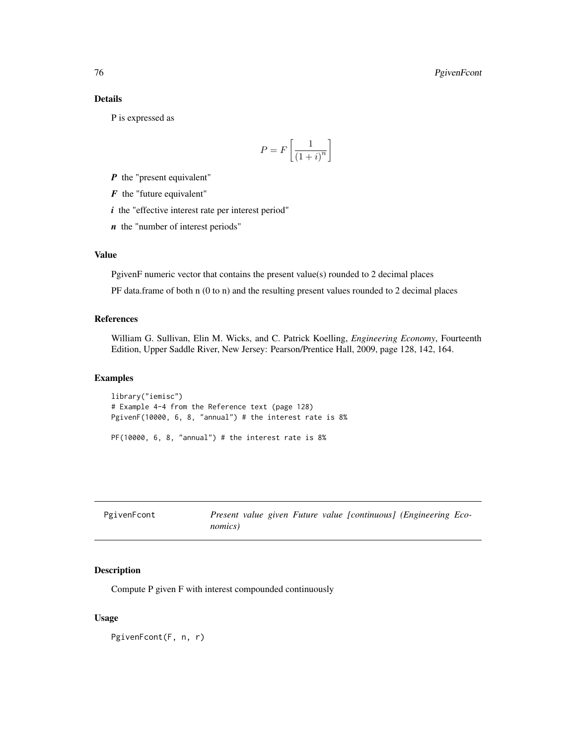## <span id="page-75-0"></span>Details

P is expressed as

$$
P = F\left[\frac{1}{\left(1+i\right)^n}\right]
$$

*P* the "present equivalent"

*F* the "future equivalent"

*i* the "effective interest rate per interest period"

*n* the "number of interest periods"

## Value

PgivenF numeric vector that contains the present value(s) rounded to 2 decimal places

PF data.frame of both n (0 to n) and the resulting present values rounded to 2 decimal places

#### References

William G. Sullivan, Elin M. Wicks, and C. Patrick Koelling, *Engineering Economy*, Fourteenth Edition, Upper Saddle River, New Jersey: Pearson/Prentice Hall, 2009, page 128, 142, 164.

## Examples

library("iemisc") # Example 4-4 from the Reference text (page 128) PgivenF(10000, 6, 8, "annual") # the interest rate is 8%

 $PF(10000, 6, 8, 'annual')$  # the interest rate is  $8\%$ 

| PgivenFcont |                 |  |  | Present value given Future value [continuous] (Engineering Eco- |  |
|-------------|-----------------|--|--|-----------------------------------------------------------------|--|
|             | <i>nomics</i> ) |  |  |                                                                 |  |

## Description

Compute P given F with interest compounded continuously

#### Usage

PgivenFcont(F, n, r)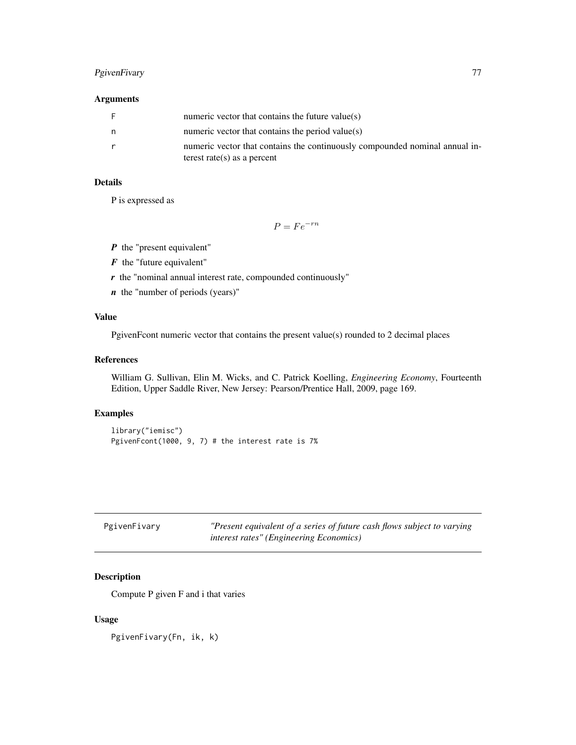## <span id="page-76-0"></span>PgivenFivary 77

## Arguments

|   | numeric vector that contains the future value( $s$ )                                                       |
|---|------------------------------------------------------------------------------------------------------------|
| n | numeric vector that contains the period value(s)                                                           |
|   | numeric vector that contains the continuously compounded nominal annual in-<br>terest rate(s) as a percent |

## Details

P is expressed as

 $P = Fe^{-rn}$ 

- *P* the "present equivalent"
- *F* the "future equivalent"
- *r* the "nominal annual interest rate, compounded continuously"
- *n* the "number of periods (years)"

## Value

PgivenFcont numeric vector that contains the present value(s) rounded to 2 decimal places

#### References

William G. Sullivan, Elin M. Wicks, and C. Patrick Koelling, *Engineering Economy*, Fourteenth Edition, Upper Saddle River, New Jersey: Pearson/Prentice Hall, 2009, page 169.

## Examples

```
library("iemisc")
PgivenFcont(1000, 9, 7) # the interest rate is 7%
```

| PgivenFivary | "Present equivalent of a series of future cash flows subject to varying |
|--------------|-------------------------------------------------------------------------|
|              | <i>interest rates" (Engineering Economics)</i>                          |

## Description

Compute P given F and i that varies

#### Usage

PgivenFivary(Fn, ik, k)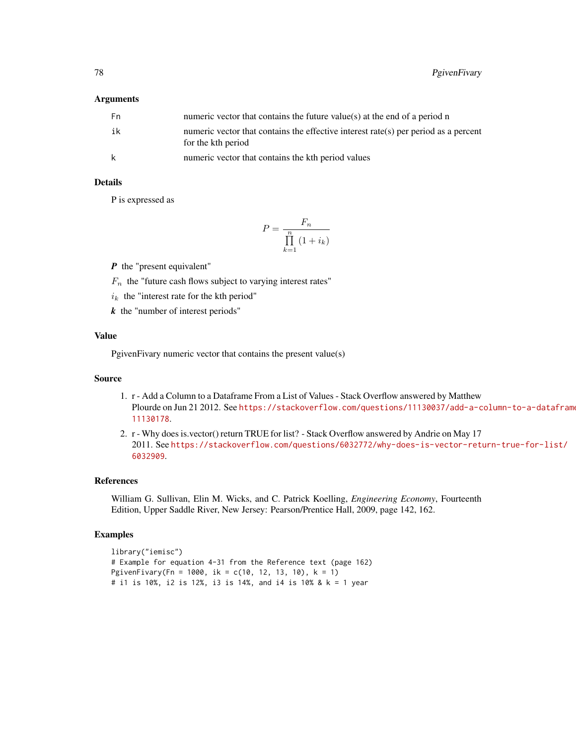#### Arguments

| - Fn | numeric vector that contains the future value(s) at the end of a period n                                 |
|------|-----------------------------------------------------------------------------------------------------------|
| ik   | numeric vector that contains the effective interest rate(s) per period as a percent<br>for the kth period |
| k    | numeric vector that contains the kth period values                                                        |

## Details

P is expressed as

$$
P = \frac{F_n}{\prod_{k=1}^n (1 + i_k)}
$$

*P* the "present equivalent"

 $F_n$  the "future cash flows subject to varying interest rates"

 $i_k$  the "interest rate for the kth period"

*k* the "number of interest periods"

## Value

PgivenFivary numeric vector that contains the present value(s)

## Source

- 1. r Add a Column to a Dataframe From a List of Values Stack Overflow answered by Matthew Plourde on Jun 21 2012. See [https://stackoverflow.com/questions/11130037/add-a-c](https://stackoverflow.com/questions/11130037/add-a-column-to-a-dataframe-from-a-list-of-values/11130178)olumn-to-a-dataframe [11130178](https://stackoverflow.com/questions/11130037/add-a-column-to-a-dataframe-from-a-list-of-values/11130178).
- 2. r Why does is.vector() return TRUE for list? Stack Overflow answered by Andrie on May 17 2011. See [https://stackoverflow.com/questions/6032772/why-does-is-vector-retu](https://stackoverflow.com/questions/6032772/why-does-is-vector-return-true-for-list/6032909)rn-true-for-list/ [6032909](https://stackoverflow.com/questions/6032772/why-does-is-vector-return-true-for-list/6032909).

## References

William G. Sullivan, Elin M. Wicks, and C. Patrick Koelling, *Engineering Economy*, Fourteenth Edition, Upper Saddle River, New Jersey: Pearson/Prentice Hall, 2009, page 142, 162.

```
library("iemisc")
# Example for equation 4-31 from the Reference text (page 162)
PgivenFivary(Fn = 1000, ik = c(10, 12, 13, 10), k = 1)
# i1 is 10%, i2 is 12%, i3 is 14%, and i4 is 10% & k = 1 year
```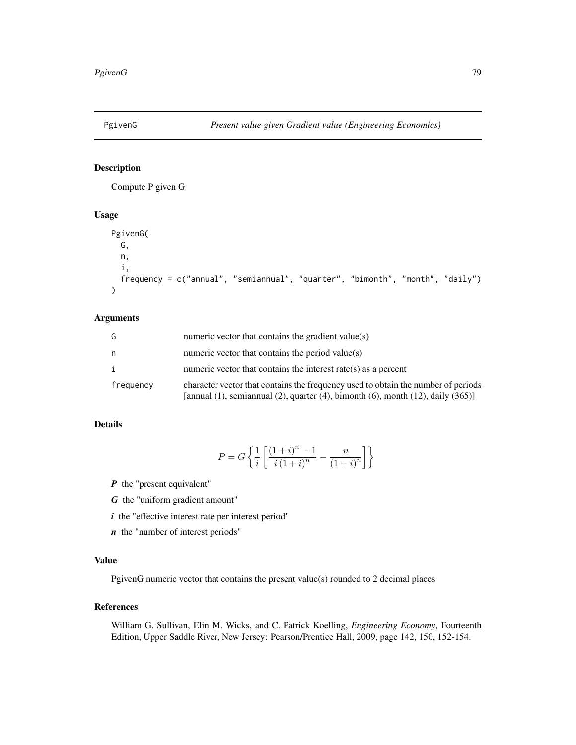<span id="page-78-0"></span>

## Description

Compute P given G

## Usage

```
PgivenG(
  G,
  n,
  i,
  frequency = c("annual", "semiannual", "quarter", "bimonth", "month", "daily")
\mathcal{L}
```
## Arguments

| G         | numeric vector that contains the gradient value(s)                                                                                                                                     |
|-----------|----------------------------------------------------------------------------------------------------------------------------------------------------------------------------------------|
| n         | numeric vector that contains the period value(s)                                                                                                                                       |
| i         | numeric vector that contains the interest rate( $s$ ) as a percent                                                                                                                     |
| frequency | character vector that contains the frequency used to obtain the number of periods<br>[annual $(1)$ , semiannual $(2)$ , quarter $(4)$ , bimonth $(6)$ , month $(12)$ , daily $(365)$ ] |

## Details

$$
P = G\left\{\frac{1}{i}\left[\frac{\left(1+i\right)^n - 1}{i\left(1+i\right)^n} - \frac{n}{\left(1+i\right)^n}\right]\right\}
$$

*P* the "present equivalent"

*G* the "uniform gradient amount"

- *i* the "effective interest rate per interest period"
- *n* the "number of interest periods"

## Value

PgivenG numeric vector that contains the present value(s) rounded to 2 decimal places

## References

William G. Sullivan, Elin M. Wicks, and C. Patrick Koelling, *Engineering Economy*, Fourteenth Edition, Upper Saddle River, New Jersey: Pearson/Prentice Hall, 2009, page 142, 150, 152-154.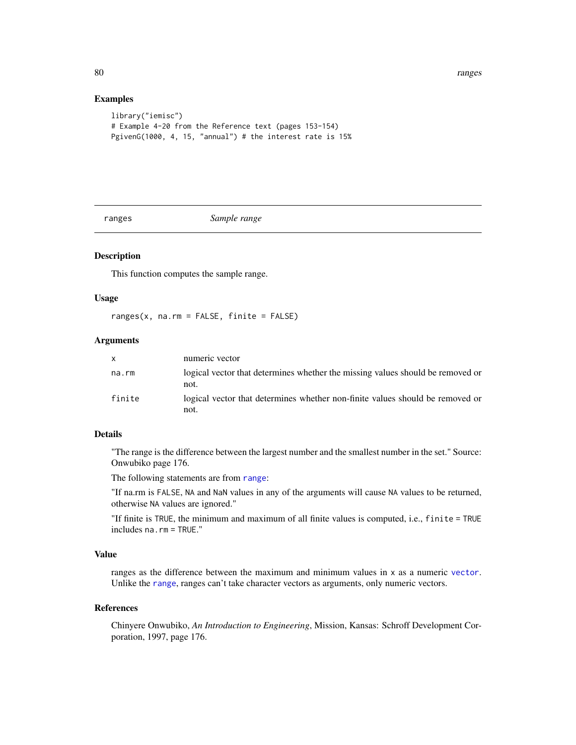80 ranges and the set of the set of the set of the set of the set of the set of the set of the set of the set of the set of the set of the set of the set of the set of the set of the set of the set of the set of the set of

## Examples

```
library("iemisc")
# Example 4-20 from the Reference text (pages 153-154)
PgivenG(1000, 4, 15, "annual") # the interest rate is 15%
```
<span id="page-79-0"></span>

ranges *Sample range*

## Description

This function computes the sample range.

#### Usage

ranges(x, na.rm = FALSE, finite = FALSE)

## Arguments

| X.     | numeric vector                                                                         |
|--------|----------------------------------------------------------------------------------------|
| na.rm  | logical vector that determines whether the missing values should be removed or<br>not. |
| finite | logical vector that determines whether non-finite values should be removed or<br>not.  |

## Details

"The range is the difference between the largest number and the smallest number in the set." Source: Onwubiko page 176.

The following statements are from [range](#page-0-0):

"If na.rm is FALSE, NA and NaN values in any of the arguments will cause NA values to be returned, otherwise NA values are ignored."

"If finite is TRUE, the minimum and maximum of all finite values is computed, i.e., finite = TRUE includes na.rm = TRUE."

## Value

ranges as the difference between the maximum and minimum values in x as a numeric [vector](#page-0-0). Unlike the [range](#page-0-0), ranges can't take character vectors as arguments, only numeric vectors.

#### References

Chinyere Onwubiko, *An Introduction to Engineering*, Mission, Kansas: Schroff Development Corporation, 1997, page 176.

<span id="page-79-1"></span>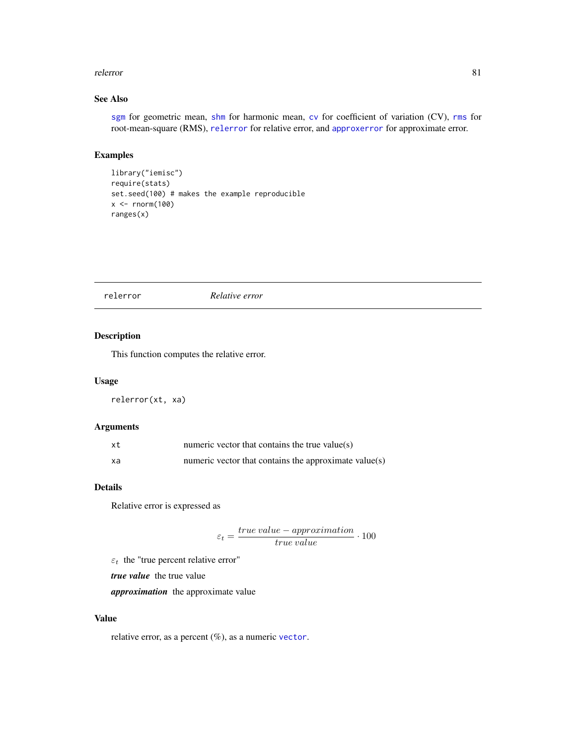#### <span id="page-80-1"></span>relerror 81

## See Also

[sgm](#page-85-0) for geometric mean, [shm](#page-86-0) for harmonic mean, [cv](#page-23-0) for coefficient of variation (CV), [rms](#page-83-0) for root-mean-square (RMS), [relerror](#page-80-0) for relative error, and [approxerror](#page-11-0) for approximate error.

## Examples

```
library("iemisc")
require(stats)
set.seed(100) # makes the example reproducible
x < - rnorm(100)
ranges(x)
```
<span id="page-80-0"></span>relerror *Relative error*

## Description

This function computes the relative error.

#### Usage

relerror(xt, xa)

#### Arguments

| xt | numeric vector that contains the true value( $s$ )    |
|----|-------------------------------------------------------|
| xa | numeric vector that contains the approximate value(s) |

### Details

Relative error is expressed as

 $\varepsilon_t = \frac{true\ value - approximation}{true\ value} \cdot 100$ 

 $\varepsilon_t$  the "true percent relative error"

*true value* the true value

*approximation* the approximate value

#### Value

relative error, as a percent (%), as a numeric [vector](#page-0-0).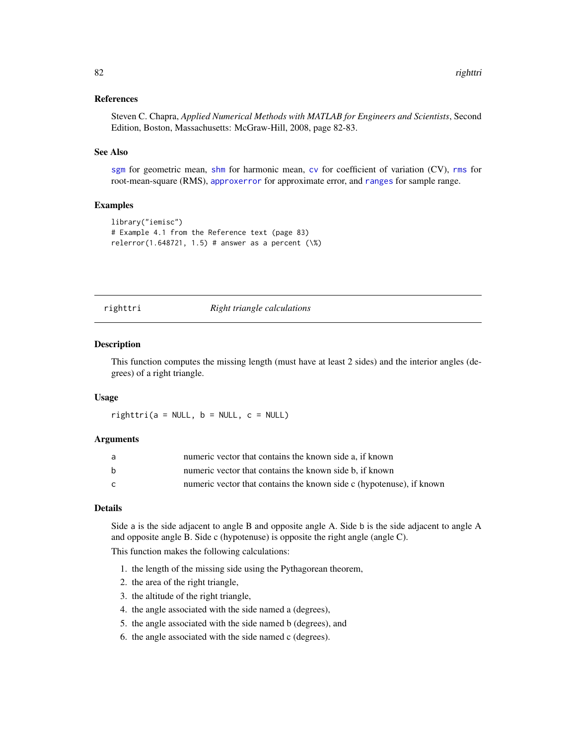#### <span id="page-81-0"></span>References

Steven C. Chapra, *Applied Numerical Methods with MATLAB for Engineers and Scientists*, Second Edition, Boston, Massachusetts: McGraw-Hill, 2008, page 82-83.

#### See Also

[sgm](#page-85-0) for geometric mean, [shm](#page-86-0) for harmonic mean, [cv](#page-23-0) for coefficient of variation (CV), [rms](#page-83-0) for root-mean-square (RMS), [approxerror](#page-11-0) for approximate error, and [ranges](#page-79-0) for sample range.

## Examples

```
library("iemisc")
# Example 4.1 from the Reference text (page 83)
relerror(1.648721, 1.5) # answer as a percent (\%)
```
righttri *Right triangle calculations*

#### Description

This function computes the missing length (must have at least 2 sides) and the interior angles (degrees) of a right triangle.

#### Usage

 $righttri(a = NULL, b = NULL, c = NULL)$ 

#### Arguments

| a | numeric vector that contains the known side a, if known              |
|---|----------------------------------------------------------------------|
| b | numeric vector that contains the known side b, if known              |
| C | numeric vector that contains the known side c (hypotenuse), if known |

#### Details

Side a is the side adjacent to angle B and opposite angle A. Side b is the side adjacent to angle A and opposite angle B. Side c (hypotenuse) is opposite the right angle (angle C).

This function makes the following calculations:

- 1. the length of the missing side using the Pythagorean theorem,
- 2. the area of the right triangle,
- 3. the altitude of the right triangle,
- 4. the angle associated with the side named a (degrees),
- 5. the angle associated with the side named b (degrees), and
- 6. the angle associated with the side named c (degrees).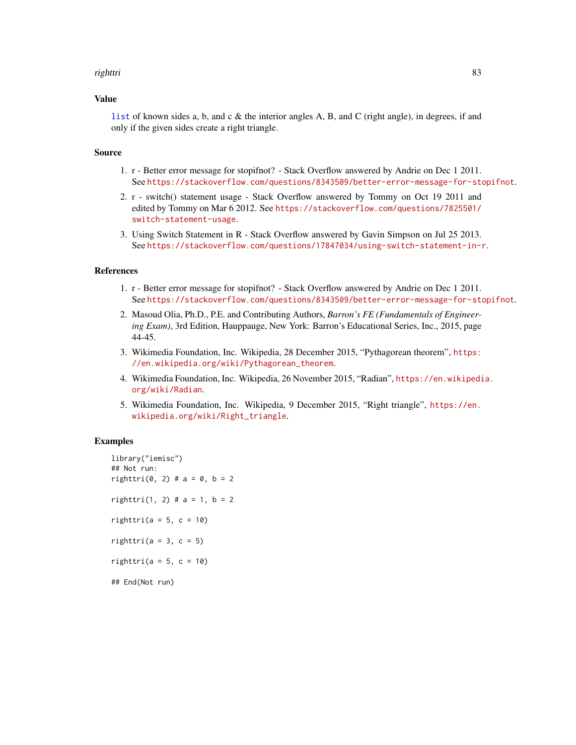#### <span id="page-82-0"></span>righttri 83

#### Value

[list](#page-0-0) of known sides a, b, and c  $\&$  the interior angles A, B, and C (right angle), in degrees, if and only if the given sides create a right triangle.

#### Source

- 1. r Better error message for stopifnot? Stack Overflow answered by Andrie on Dec 1 2011. See <https://stackoverflow.com/questions/8343509/better-error-message-for-stopifnot>.
- 2. r switch() statement usage Stack Overflow answered by Tommy on Oct 19 2011 and edited by Tommy on Mar 6 2012. See [https://stackoverflow.com/questions/7825501/](https://stackoverflow.com/questions/7825501/switch-statement-usage) [switch-statement-usage](https://stackoverflow.com/questions/7825501/switch-statement-usage).
- 3. Using Switch Statement in R Stack Overflow answered by Gavin Simpson on Jul 25 2013. See <https://stackoverflow.com/questions/17847034/using-switch-statement-in-r>.

#### References

- 1. r Better error message for stopifnot? Stack Overflow answered by Andrie on Dec 1 2011. See <https://stackoverflow.com/questions/8343509/better-error-message-for-stopifnot>.
- 2. Masoud Olia, Ph.D., P.E. and Contributing Authors, *Barron's FE (Fundamentals of Engineering Exam)*, 3rd Edition, Hauppauge, New York: Barron's Educational Series, Inc., 2015, page 44-45.
- 3. Wikimedia Foundation, Inc. Wikipedia, 28 December 2015, "Pythagorean theorem", [https:](https://en.wikipedia.org/wiki/Pythagorean_theorem) [//en.wikipedia.org/wiki/Pythagorean\\_theorem](https://en.wikipedia.org/wiki/Pythagorean_theorem).
- 4. Wikimedia Foundation, Inc. Wikipedia, 26 November 2015, "Radian", [https://en.wikipedi](https://en.wikipedia.org/wiki/Radian)a. [org/wiki/Radian](https://en.wikipedia.org/wiki/Radian).
- 5. Wikimedia Foundation, Inc. Wikipedia, 9 December 2015, "Right triangle", [https://en.](https://en.wikipedia.org/wiki/Right_triangle) [wikipedia.org/wiki/Right\\_triangle](https://en.wikipedia.org/wiki/Right_triangle).

```
library("iemisc")
## Not run:
righttri(0, 2) # a = 0, b = 2
righttri(1, 2) # a = 1, b = 2righttri(a = 5, c = 10)
righttri(a = 3, c = 5)
righttri(a = 5, c = 10)
## End(Not run)
```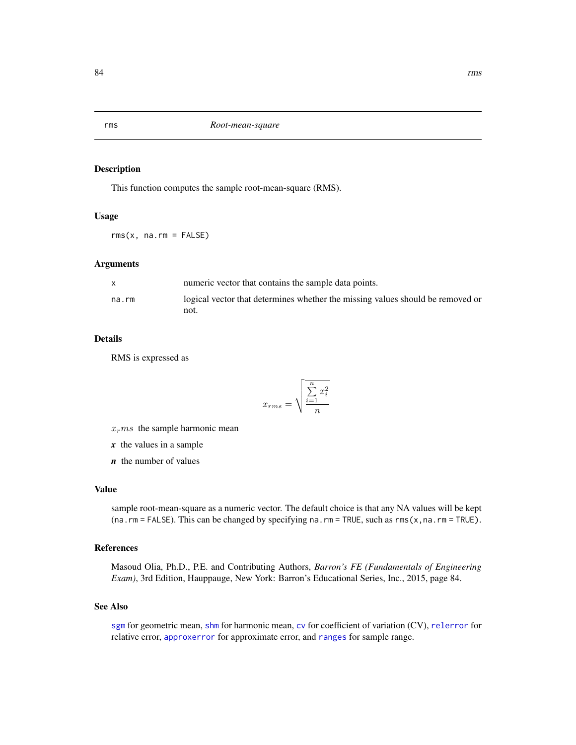<span id="page-83-1"></span><span id="page-83-0"></span>rms *Root-mean-square*

#### Description

This function computes the sample root-mean-square (RMS).

## Usage

 $rms(x, na.rm = FALSE)$ 

## Arguments

|       | numeric vector that contains the sample data points.                           |
|-------|--------------------------------------------------------------------------------|
| na.rm | logical vector that determines whether the missing values should be removed or |
|       | not.                                                                           |

#### Details

RMS is expressed as

$$
x_{rms} = \sqrt{\frac{\sum_{i=1}^{n} x_i^2}{n}}
$$

 $x<sub>r</sub>ms$  the sample harmonic mean

*x* the values in a sample

*n* the number of values

#### Value

sample root-mean-square as a numeric vector. The default choice is that any NA values will be kept (na.rm = FALSE). This can be changed by specifying na.rm = TRUE, such as rms(x,na.rm = TRUE).

## References

Masoud Olia, Ph.D., P.E. and Contributing Authors, *Barron's FE (Fundamentals of Engineering Exam)*, 3rd Edition, Hauppauge, New York: Barron's Educational Series, Inc., 2015, page 84.

## See Also

[sgm](#page-85-0) for geometric mean, [shm](#page-86-0) for harmonic mean, [cv](#page-23-0) for coefficient of variation (CV), [relerror](#page-80-0) for relative error, [approxerror](#page-11-0) for approximate error, and [ranges](#page-79-0) for sample range.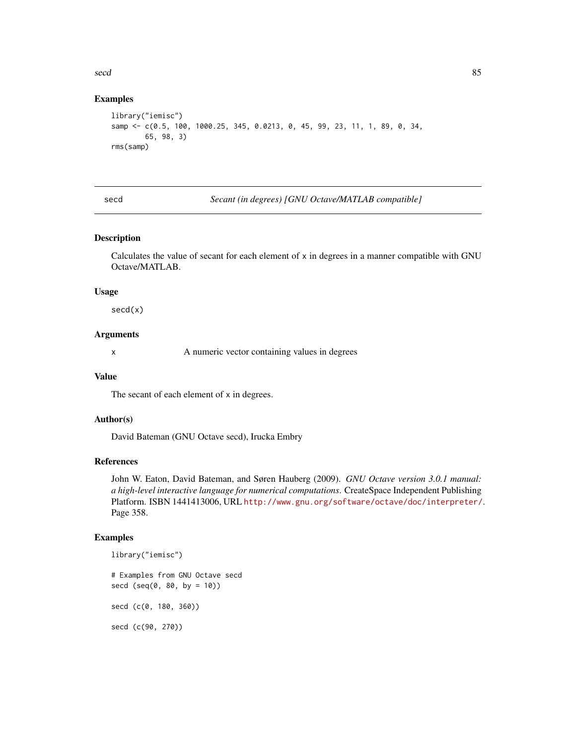#### <span id="page-84-0"></span>secd 85

## Examples

```
library("iemisc")
samp <- c(0.5, 100, 1000.25, 345, 0.0213, 0, 45, 99, 23, 11, 1, 89, 0, 34,
        65, 98, 3)
rms(samp)
```
secd *Secant (in degrees) [GNU Octave/MATLAB compatible]*

#### Description

Calculates the value of secant for each element of x in degrees in a manner compatible with GNU Octave/MATLAB.

#### Usage

secd(x)

## Arguments

x A numeric vector containing values in degrees

#### Value

The secant of each element of x in degrees.

## Author(s)

David Bateman (GNU Octave secd), Irucka Embry

## References

John W. Eaton, David Bateman, and Søren Hauberg (2009). *GNU Octave version 3.0.1 manual: a high-level interactive language for numerical computations*. CreateSpace Independent Publishing Platform. ISBN 1441413006, URL <http://www.gnu.org/software/octave/doc/interpreter/>. Page 358.

#### Examples

```
library("iemisc")
```
# Examples from GNU Octave secd  $seed (seq(0, 80, by = 10))$ secd (c(0, 180, 360))

secd (c(90, 270))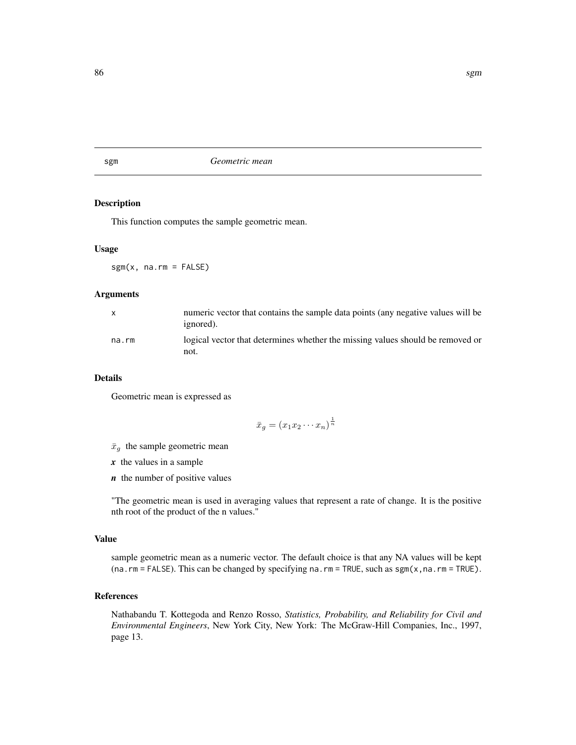#### Description

This function computes the sample geometric mean.

#### Usage

 $sgm(x, na.rm = FALSE)$ 

## Arguments

| $\mathsf{x}$ | numeric vector that contains the sample data points (any negative values will be<br>ignored). |
|--------------|-----------------------------------------------------------------------------------------------|
| na.rm        | logical vector that determines whether the missing values should be removed or<br>not.        |

#### Details

Geometric mean is expressed as

$$
\bar{x}_g = (x_1 x_2 \cdots x_n)^{\frac{1}{n}}
$$

- $\bar{x}_g$  the sample geometric mean
- *x* the values in a sample
- *n* the number of positive values

"The geometric mean is used in averaging values that represent a rate of change. It is the positive nth root of the product of the n values."

#### Value

sample geometric mean as a numeric vector. The default choice is that any NA values will be kept (na.rm = FALSE). This can be changed by specifying na.rm = TRUE, such as sgm(x,na.rm = TRUE).

## References

Nathabandu T. Kottegoda and Renzo Rosso, *Statistics, Probability, and Reliability for Civil and Environmental Engineers*, New York City, New York: The McGraw-Hill Companies, Inc., 1997, page 13.

<span id="page-85-1"></span><span id="page-85-0"></span>sgm *Geometric mean*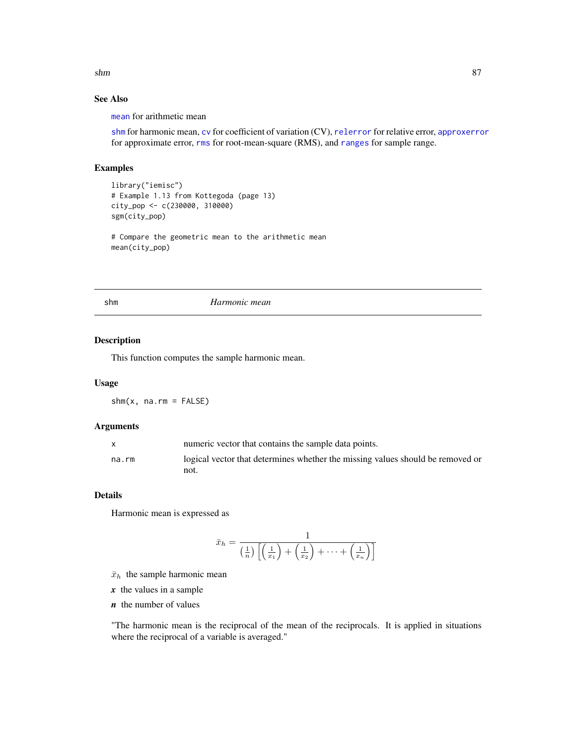<span id="page-86-1"></span> $s$ hm 87

## See Also

[mean](#page-0-0) for arithmetic mean

[shm](#page-86-0) for harmonic mean, [cv](#page-23-0) for coefficient of variation (CV), [relerror](#page-80-0) for relative error, [approxerror](#page-11-0) for approximate error, [rms](#page-83-0) for root-mean-square (RMS), and [ranges](#page-79-0) for sample range.

#### Examples

```
library("iemisc")
# Example 1.13 from Kottegoda (page 13)
city_pop <- c(230000, 310000)
sgm(city_pop)
# Compare the geometric mean to the arithmetic mean
```
mean(city\_pop)

<span id="page-86-0"></span>shm *Harmonic mean*

## Description

This function computes the sample harmonic mean.

## Usage

 $shm(x, na.rm = FALSE)$ 

## Arguments

|       | numeric vector that contains the sample data points.                           |
|-------|--------------------------------------------------------------------------------|
| na.rm | logical vector that determines whether the missing values should be removed or |
|       | not.                                                                           |

## Details

Harmonic mean is expressed as

$$
\bar{x}_h = \frac{1}{\left(\frac{1}{n}\right)\left[\left(\frac{1}{x_1}\right) + \left(\frac{1}{x_2}\right) + \dots + \left(\frac{1}{x_n}\right)\right]}
$$

 $\bar{x}_h$  the sample harmonic mean

*x* the values in a sample

*n* the number of values

"The harmonic mean is the reciprocal of the mean of the reciprocals. It is applied in situations where the reciprocal of a variable is averaged."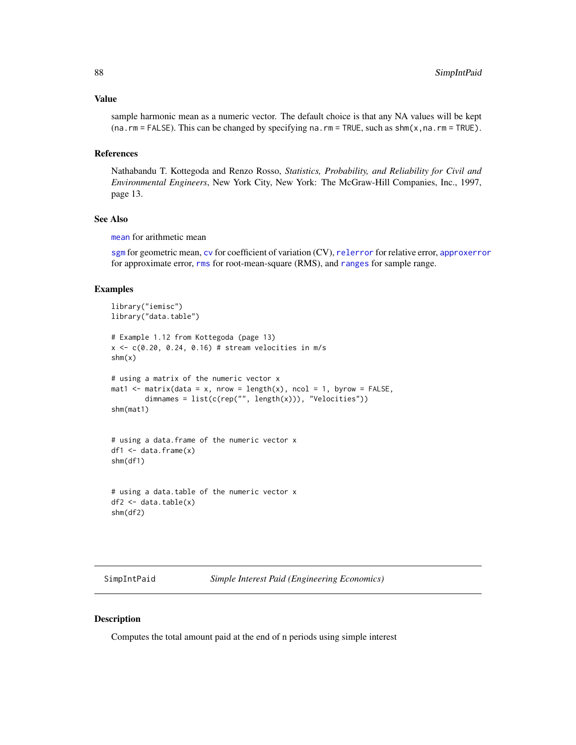#### <span id="page-87-0"></span>Value

sample harmonic mean as a numeric vector. The default choice is that any NA values will be kept  $(na.rm = FALSE)$ . This can be changed by specifying na.rm = TRUE, such as  $shm(x,na.rm = TRUE)$ .

#### References

Nathabandu T. Kottegoda and Renzo Rosso, *Statistics, Probability, and Reliability for Civil and Environmental Engineers*, New York City, New York: The McGraw-Hill Companies, Inc., 1997, page 13.

#### See Also

[mean](#page-0-0) for arithmetic mean

[sgm](#page-85-0) for geometric mean, [cv](#page-23-0) for coefficient of variation (CV), [relerror](#page-80-0) for relative error, [approxerror](#page-11-0) for approximate error, [rms](#page-83-0) for root-mean-square (RMS), and [ranges](#page-79-0) for sample range.

## Examples

```
library("iemisc")
library("data.table")
# Example 1.12 from Kottegoda (page 13)
x \leq c(0.20, 0.24, 0.16) # stream velocities in m/s
shm(x)
# using a matrix of the numeric vector x
mat1 <- matrix(data = x, nrow = length(x), ncol = 1, byrow = FALSE,
        dimnames = list(c(rep("", length(x))), "Velocities"))
shm(mat1)
# using a data.frame of the numeric vector x
df1 <- data.frame(x)
shm(df1)
# using a data.table of the numeric vector x
df2 \leq -\text{data.table}(x)shm(df2)
```
SimpIntPaid *Simple Interest Paid (Engineering Economics)*

## **Description**

Computes the total amount paid at the end of n periods using simple interest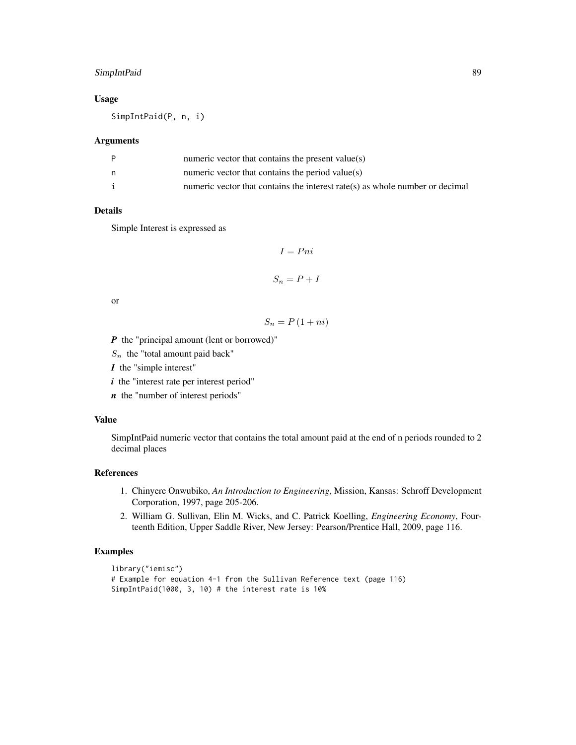## SimpIntPaid 89

## Usage

SimpIntPaid(P, n, i)

#### Arguments

| numeric vector that contains the present value( $s$ )                        |
|------------------------------------------------------------------------------|
| numeric vector that contains the period value( $s$ )                         |
| numeric vector that contains the interest rate(s) as whole number or decimal |

#### Details

Simple Interest is expressed as

$$
I = Pni
$$

$$
S_n = P + I
$$

or

$$
S_n = P\left(1 + ni\right)
$$

*P* the "principal amount (lent or borrowed)"

 $S_n$  the "total amount paid back"

*I* the "simple interest"

*i* the "interest rate per interest period"

*n* the "number of interest periods"

## Value

SimpIntPaid numeric vector that contains the total amount paid at the end of n periods rounded to 2 decimal places

## References

- 1. Chinyere Onwubiko, *An Introduction to Engineering*, Mission, Kansas: Schroff Development Corporation, 1997, page 205-206.
- 2. William G. Sullivan, Elin M. Wicks, and C. Patrick Koelling, *Engineering Economy*, Fourteenth Edition, Upper Saddle River, New Jersey: Pearson/Prentice Hall, 2009, page 116.

```
library("iemisc")
# Example for equation 4-1 from the Sullivan Reference text (page 116)
SimpIntPaid(1000, 3, 10) # the interest rate is 10%
```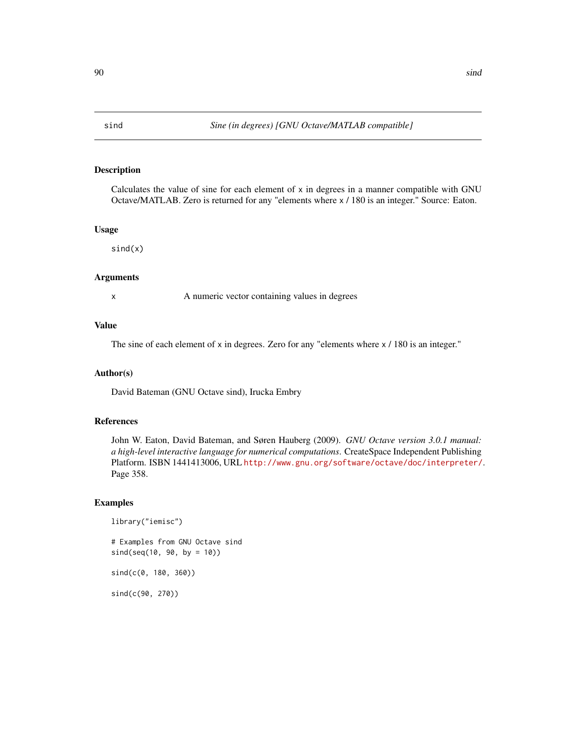<span id="page-89-0"></span>

## Description

Calculates the value of sine for each element of  $x$  in degrees in a manner compatible with GNU Octave/MATLAB. Zero is returned for any "elements where x / 180 is an integer." Source: Eaton.

#### Usage

 $sind(x)$ 

#### Arguments

x A numeric vector containing values in degrees

## Value

The sine of each element of x in degrees. Zero for any "elements where  $\times$  / 180 is an integer."

## Author(s)

David Bateman (GNU Octave sind), Irucka Embry

## References

John W. Eaton, David Bateman, and Søren Hauberg (2009). *GNU Octave version 3.0.1 manual: a high-level interactive language for numerical computations*. CreateSpace Independent Publishing Platform. ISBN 1441413006, URL <http://www.gnu.org/software/octave/doc/interpreter/>. Page 358.

## Examples

```
library("iemisc")
```
# Examples from GNU Octave sind sind(seq(10, 90, by = 10))

sind(c(0, 180, 360))

sind(c(90, 270))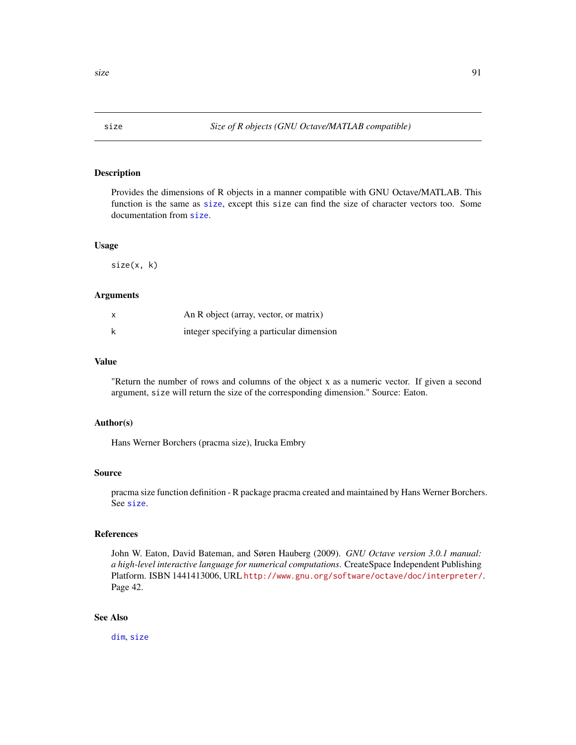<span id="page-90-1"></span><span id="page-90-0"></span>

#### Description

Provides the dimensions of R objects in a manner compatible with GNU Octave/MATLAB. This function is the same as [size](#page-90-0), except this size can find the size of character vectors too. Some documentation from [size](#page-90-0).

#### Usage

size(x, k)

### Arguments

| X | An R object (array, vector, or matrix)    |
|---|-------------------------------------------|
|   | integer specifying a particular dimension |

## Value

"Return the number of rows and columns of the object x as a numeric vector. If given a second argument, size will return the size of the corresponding dimension." Source: Eaton.

#### Author(s)

Hans Werner Borchers (pracma size), Irucka Embry

#### Source

pracma size function definition - R package pracma created and maintained by Hans Werner Borchers. See [size](#page-90-0).

#### References

John W. Eaton, David Bateman, and Søren Hauberg (2009). *GNU Octave version 3.0.1 manual: a high-level interactive language for numerical computations*. CreateSpace Independent Publishing Platform. ISBN 1441413006, URL <http://www.gnu.org/software/octave/doc/interpreter/>. Page 42.

#### See Also

[dim](#page-0-0), [size](#page-90-0)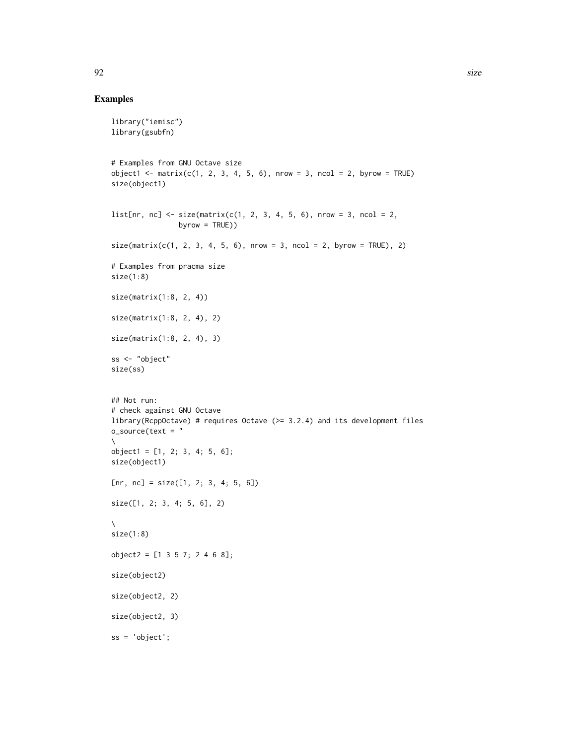```
library("iemisc")
library(gsubfn)
# Examples from GNU Octave size
object1 < - matrix(c(1, 2, 3, 4, 5, 6), nrow = 3, ncol = 2, byrow = TRUE)
size(object1)
list[nn, nc] \leftarrow size(maxrix(c(1, 2, 3, 4, 5, 6), nrow = 3, ncol = 2,byrow = TRUE))
size(maxrix(c(1, 2, 3, 4, 5, 6), nrow = 3, ncol = 2, byrow = TRUE), 2)# Examples from pracma size
size(1:8)
size(matrix(1:8, 2, 4))
size(matrix(1:8, 2, 4), 2)
size(matrix(1:8, 2, 4), 3)
ss <- "object"
size(ss)
## Not run:
# check against GNU Octave
library(RcppOctave) # requires Octave (>= 3.2.4) and its development files
o\_source(text = "\lambdaobject1 = [1, 2; 3, 4; 5, 6];size(object1)
[nr, nc] = size([1, 2; 3, 4; 5, 6])size([1, 2; 3, 4; 5, 6], 2)
\lambdasize(1:8)
object2 = [1 3 5 7; 2 4 6 8];
size(object2)
size(object2, 2)
size(object2, 3)
ss = 'object';
```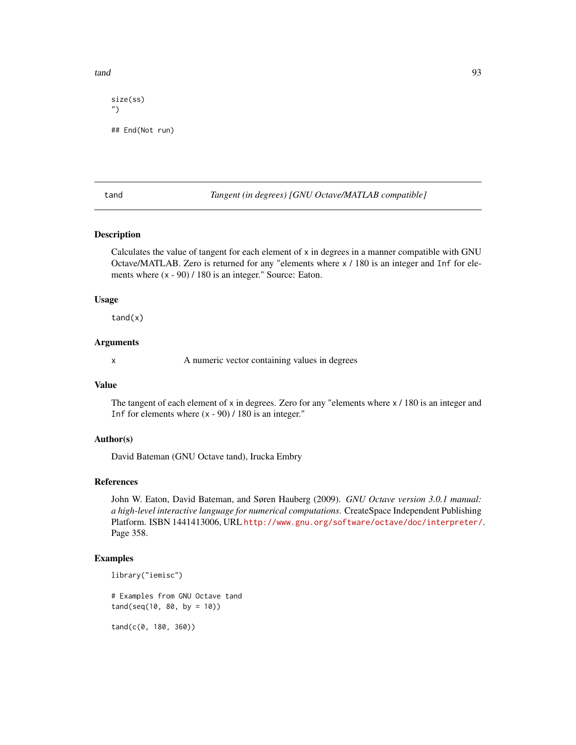<span id="page-92-0"></span>tand 93

```
size(ss)
")
## End(Not run)
```
tand *Tangent (in degrees) [GNU Octave/MATLAB compatible]*

## Description

Calculates the value of tangent for each element of x in degrees in a manner compatible with GNU Octave/MATLAB. Zero is returned for any "elements where x / 180 is an integer and Inf for elements where  $(x - 90) / 180$  is an integer." Source: Eaton.

#### Usage

 $t$ and $(x)$ 

#### Arguments

x A numeric vector containing values in degrees

#### Value

The tangent of each element of x in degrees. Zero for any "elements where  $x / 180$  is an integer and Inf for elements where  $(x - 90) / 180$  is an integer."

## Author(s)

David Bateman (GNU Octave tand), Irucka Embry

## References

John W. Eaton, David Bateman, and Søren Hauberg (2009). *GNU Octave version 3.0.1 manual: a high-level interactive language for numerical computations*. CreateSpace Independent Publishing Platform. ISBN 1441413006, URL <http://www.gnu.org/software/octave/doc/interpreter/>. Page 358.

## Examples

```
library("iemisc")
```
# Examples from GNU Octave tand  $tand(seq(10, 80, by = 10))$ 

tand(c(0, 180, 360))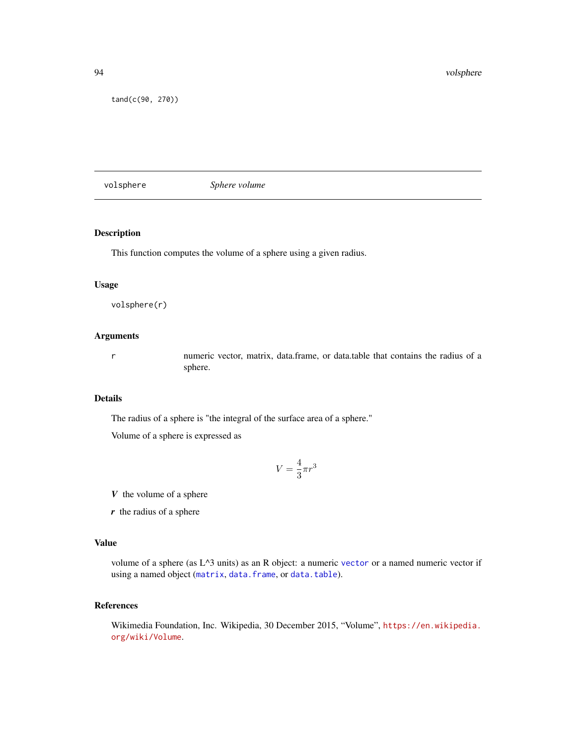<span id="page-93-0"></span>tand(c(90, 270))

volsphere *Sphere volume*

## Description

This function computes the volume of a sphere using a given radius.

#### Usage

volsphere(r)

## Arguments

r numeric vector, matrix, data.frame, or data.table that contains the radius of a sphere.

## Details

The radius of a sphere is "the integral of the surface area of a sphere."

Volume of a sphere is expressed as

$$
V=\frac{4}{3}\pi r^3
$$

*V* the volume of a sphere

*r* the radius of a sphere

## Value

volume of a sphere (as L^3 units) as an R object: a numeric [vector](#page-0-0) or a named numeric vector if using a named object ([matrix](#page-0-0), [data.frame](#page-0-0), or [data.table](#page-0-0)).

## References

Wikimedia Foundation, Inc. Wikipedia, 30 December 2015, "Volume", [https://en.wikipedia.](https://en.wikipedia.org/wiki/Volume) [org/wiki/Volume](https://en.wikipedia.org/wiki/Volume).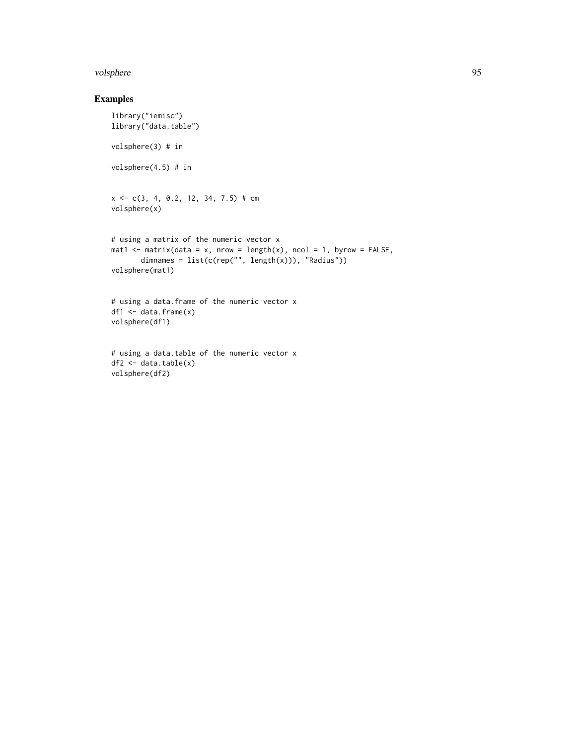#### volsphere 95

```
library("iemisc")
library("data.table")
volsphere(3) # in
volsphere(4.5) # in
x \leq -c(3, 4, 0.2, 12, 34, 7.5) # cm
volsphere(x)
# using a matrix of the numeric vector x
mat1 <- matrix(data = x, nrow = length(x), ncol = 1, byrow = FALSE,
       dimnames = list(c(rep("", length(x))), "Radius"))
volsphere(mat1)
# using a data.frame of the numeric vector x
df1 <- data.frame(x)
volsphere(df1)
```

```
# using a data.table of the numeric vector x
df2 <- data.table(x)
volsphere(df2)
```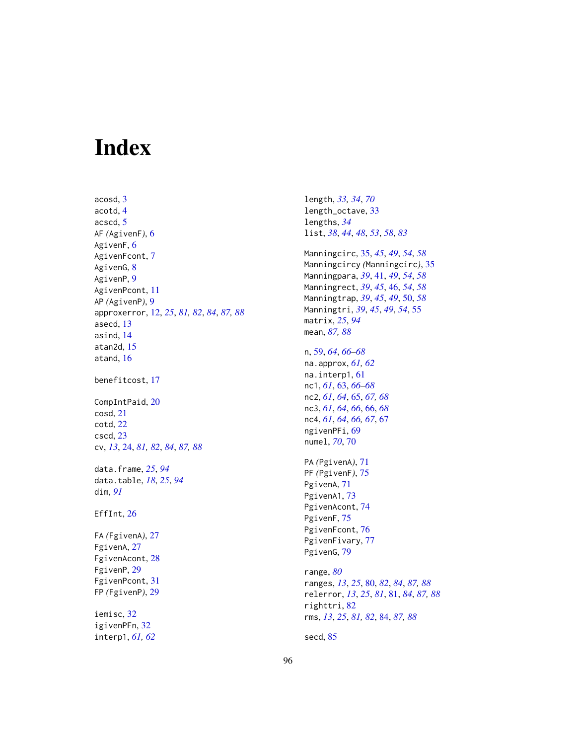# Index

acosd, [3](#page-2-0) acotd, [4](#page-3-0) acscd, [5](#page-4-0) AF *(*AgivenF*)*, [6](#page-5-0) AgivenF, [6](#page-5-0) AgivenFcont, [7](#page-6-0) AgivenG, [8](#page-7-0) AgivenP, [9](#page-8-0) AgivenPcont, [11](#page-10-0) AP *(*AgivenP*)*, [9](#page-8-0) approxerror, [12,](#page-11-1) *[25](#page-24-0)*, *[81,](#page-80-1) [82](#page-81-0)*, *[84](#page-83-1)*, *[87,](#page-86-1) [88](#page-87-0)* asecd, [13](#page-12-0) asind, [14](#page-13-0) atan2d, [15](#page-14-0) atand, [16](#page-15-0) benefitcost, [17](#page-16-0) CompIntPaid, [20](#page-19-0) cosd, [21](#page-20-0) cotd, [22](#page-21-0) cscd, [23](#page-22-0) cv, *[13](#page-12-0)*, [24,](#page-23-1) *[81,](#page-80-1) [82](#page-81-0)*, *[84](#page-83-1)*, *[87,](#page-86-1) [88](#page-87-0)* data.frame, *[25](#page-24-0)*, *[94](#page-93-0)* data.table, *[18](#page-17-0)*, *[25](#page-24-0)*, *[94](#page-93-0)* dim, *[91](#page-90-1)* EffInt, [26](#page-25-0) FA *(*FgivenA*)*, [27](#page-26-0) FgivenA, [27](#page-26-0) FgivenAcont, [28](#page-27-0) FgivenP, [29](#page-28-0) FgivenPcont, [31](#page-30-0) FP *(*FgivenP*)*, [29](#page-28-0) iemisc, [32](#page-31-0) igivenPFn, [32](#page-31-0) interp1, *[61,](#page-60-0) [62](#page-61-0)*

length\_octave, [33](#page-32-0) lengths, *[34](#page-33-0)* list, *[38](#page-37-0)*, *[44](#page-43-0)*, *[48](#page-47-0)*, *[53](#page-52-0)*, *[58](#page-57-0)*, *[83](#page-82-0)* Manningcirc, [35,](#page-34-0) *[45](#page-44-0)*, *[49](#page-48-0)*, *[54](#page-53-0)*, *[58](#page-57-0)* Manningcircy *(*Manningcirc*)*, [35](#page-34-0) Manningpara, *[39](#page-38-0)*, [41,](#page-40-0) *[49](#page-48-0)*, *[54](#page-53-0)*, *[58](#page-57-0)* Manningrect, *[39](#page-38-0)*, *[45](#page-44-0)*, [46,](#page-45-0) *[54](#page-53-0)*, *[58](#page-57-0)* Manningtrap, *[39](#page-38-0)*, *[45](#page-44-0)*, *[49](#page-48-0)*, [50,](#page-49-0) *[58](#page-57-0)* Manningtri, *[39](#page-38-0)*, *[45](#page-44-0)*, *[49](#page-48-0)*, *[54](#page-53-0)*, [55](#page-54-0) matrix, *[25](#page-24-0)*, *[94](#page-93-0)* mean, *[87,](#page-86-1) [88](#page-87-0)* n, [59,](#page-58-0) *[64](#page-63-0)*, *[66](#page-65-0)[–68](#page-67-0)* na.approx, *[61,](#page-60-0) [62](#page-61-0)* na.interp1, [61](#page-60-0) nc1, *[61](#page-60-0)*, [63,](#page-62-0) *[66](#page-65-0)[–68](#page-67-0)* nc2, *[61](#page-60-0)*, *[64](#page-63-0)*, [65,](#page-64-0) *[67,](#page-66-0) [68](#page-67-0)* nc3, *[61](#page-60-0)*, *[64](#page-63-0)*, *[66](#page-65-0)*, [66,](#page-65-0) *[68](#page-67-0)* nc4, *[61](#page-60-0)*, *[64](#page-63-0)*, *[66,](#page-65-0) [67](#page-66-0)*, [67](#page-66-0) ngivenPFi, [69](#page-68-0) numel, *[70](#page-69-0)*, [70](#page-69-0) PA *(*PgivenA*)*, [71](#page-70-0) PF *(*PgivenF*)*, [75](#page-74-0) PgivenA, [71](#page-70-0) PgivenA1, [73](#page-72-0) PgivenAcont, [74](#page-73-0) PgivenF, [75](#page-74-0) PgivenFcont, [76](#page-75-0) PgivenFivary, [77](#page-76-0) PgivenG, [79](#page-78-0) range, *[80](#page-79-1)* ranges, *[13](#page-12-0)*, *[25](#page-24-0)*, [80,](#page-79-1) *[82](#page-81-0)*, *[84](#page-83-1)*, *[87,](#page-86-1) [88](#page-87-0)* relerror, *[13](#page-12-0)*, *[25](#page-24-0)*, *[81](#page-80-1)*, [81,](#page-80-1) *[84](#page-83-1)*, *[87,](#page-86-1) [88](#page-87-0)* righttri, [82](#page-81-0) rms, *[13](#page-12-0)*, *[25](#page-24-0)*, *[81,](#page-80-1) [82](#page-81-0)*, [84,](#page-83-1) *[87,](#page-86-1) [88](#page-87-0)* secd, [85](#page-84-0)

length, *[33,](#page-32-0) [34](#page-33-0)*, *[70](#page-69-0)*